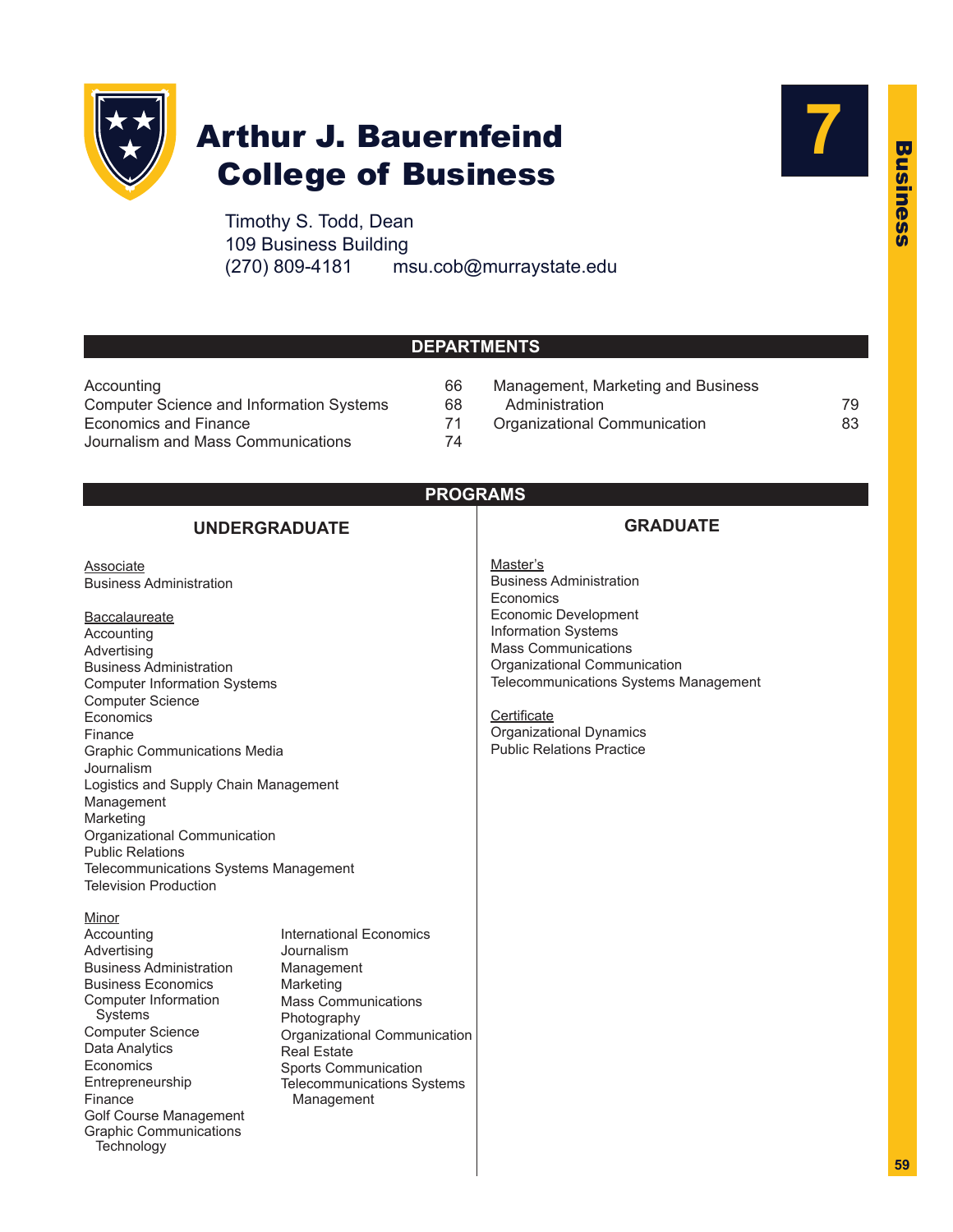

## Arthur J. Bauernfeind College of Business

Timothy S. Todd, Dean 109 Business Building (270) 809-4181 msu.cob@murraystate.edu



## **DEPARTMENTS**

| Accounting                                      | 66 |
|-------------------------------------------------|----|
| <b>Computer Science and Information Systems</b> | 68 |
| Economics and Finance                           | 71 |
| Journalism and Mass Communications              | 74 |

66 Management, Marketing and Business 68 Administration 59 Administration 59 71 Organizational Communication<br>
83

## **PROGRAMS**

## **UNDERGRADUATE**

**Associate** Business Administration

**Baccalaureate** Accounting Advertising Business Administration Computer Information Systems Computer Science **Economics** Finance Graphic Communications Media Journalism Logistics and Supply Chain Management Management Marketing Organizational Communication Public Relations Telecommunications Systems Management Television Production

**Minor** Accounting Advertising Business Administration Business Economics Computer Information Systems Computer Science Data Analytics Economics Entrepreneurship Finance Golf Course Management Graphic Communications **Technology** 

International Economics Journalism Management Marketing Mass Communications Photography Organizational Communication Real Estate Sports Communication Telecommunications Systems Management

## **GRADUATE**

Master's Business Administration **Economics** Economic Development Information Systems Mass Communications Organizational Communication Telecommunications Systems Management

**Certificate** Organizational Dynamics Public Relations Practice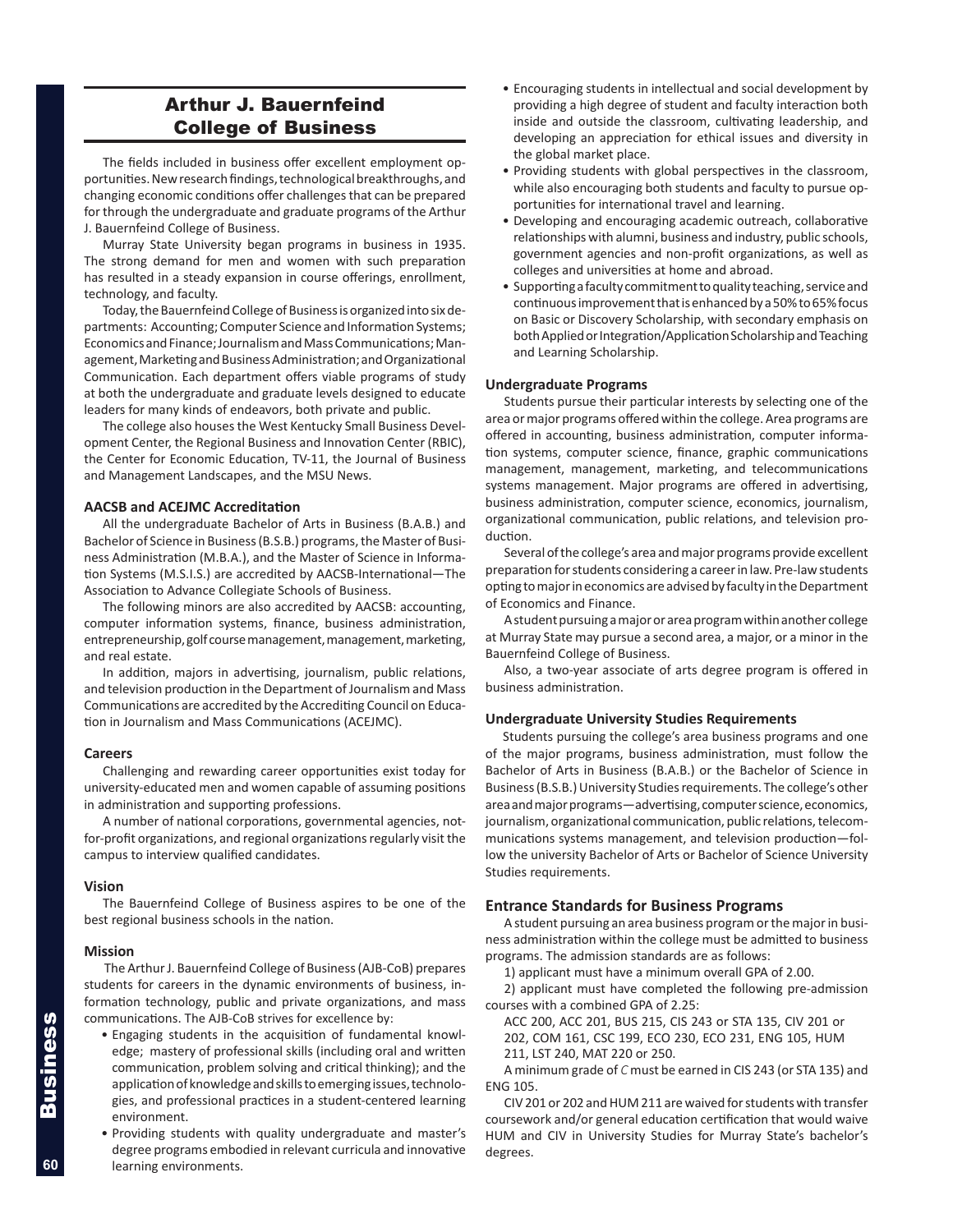## Arthur J. Bauernfeind College of Business

The fields included in business offer excellent employment opportunities. New research findings, technological breakthroughs, and changing economic conditions offer challenges that can be prepared for through the undergraduate and graduate programs of the Arthur J. Bauernfeind College of Business.

Murray State University began programs in business in 1935. The strong demand for men and women with such preparation has resulted in a steady expansion in course offerings, enrollment, technology, and faculty.

Today, the Bauernfeind College of Business is organized into six departments: Accounting; Computer Science and Information Systems; Economics and Finance; Journalism and Mass Communications; Management, Marketing and Business Administration; and Organizational Communication. Each department offers viable programs of study at both the undergraduate and graduate levels designed to educate leaders for many kinds of endeavors, both private and public.

The college also houses the West Kentucky Small Business Development Center, the Regional Business and Innovation Center (RBIC), the Center for Economic Education, TV-11, the Journal of Business and Management Landscapes, and the MSU News.

## **AACSB and ACEJMC Accreditation**

All the undergraduate Bachelor of Arts in Business (B.A.B.) and Bachelor of Science in Business (B.S.B.) programs, the Master of Business Administration (M.B.A.), and the Master of Science in Information Systems (M.S.I.S.) are accredited by AACSB-International—The Association to Advance Collegiate Schools of Business.

The following minors are also accredited by AACSB: accounting, computer information systems, finance, business administration, entrepreneurship, golf course management, management, marketing, and real estate.

In addition, majors in advertising, journalism, public relations, and television production in the Department of Journalism and Mass Communications are accredited by the Accrediting Council on Education in Journalism and Mass Communications (ACEJMC).

#### **Careers**

Challenging and rewarding career opportunities exist today for university-educated men and women capable of assuming positions in administration and supporting professions.

A number of national corporations, governmental agencies, notfor-profit organizations, and regional organizations regularly visit the campus to interview qualified candidates.

#### **Vision**

The Bauernfeind College of Business aspires to be one of the best regional business schools in the nation.

#### **Mission**

The Arthur J. Bauernfeind College of Business (AJB-CoB) prepares students for careers in the dynamic environments of business, information technology, public and private organizations, and mass communications. The AJB-CoB strives for excellence by:

- Engaging students in the acquisition of fundamental knowledge; mastery of professional skills (including oral and written communication, problem solving and critical thinking); and the application of knowledge and skills to emerging issues, technologies, and professional practices in a student-centered learning environment.
- Providing students with quality undergraduate and master's degree programs embodied in relevant curricula and innovative learning environments.
- Encouraging students in intellectual and social development by providing a high degree of student and faculty interaction both inside and outside the classroom, cultivating leadership, and developing an appreciation for ethical issues and diversity in the global market place.
- Providing students with global perspectives in the classroom, while also encouraging both students and faculty to pursue opportunities for international travel and learning.
- Developing and encouraging academic outreach, collaborative relationships with alumni, business and industry, public schools, government agencies and non-profit organizations, as well as colleges and universities at home and abroad.
- Supporting a faculty commitment to quality teaching, service and continuous improvement that is enhanced by a 50% to 65% focus on Basic or Discovery Scholarship, with secondary emphasis on both Applied or Integration/Application Scholarship and Teaching and Learning Scholarship.

## **Undergraduate Programs**

Students pursue their particular interests by selecting one of the area or major programs offered within the college. Area programs are offered in accounting, business administration, computer information systems, computer science, finance, graphic communications management, management, marketing, and telecommunications systems management. Major programs are offered in advertising, business administration, computer science, economics, journalism, organizational communication, public relations, and television production.

Several of the college's area and major programs provide excellent preparation for students considering a career in law. Pre-law students opting to major in economics are advised by faculty in the Department of Economics and Finance.

A student pursuing a major or area program within another college at Murray State may pursue a second area, a major, or a minor in the Bauernfeind College of Business.

Also, a two-year associate of arts degree program is offered in business administration.

## **Undergraduate University Studies Requirements**

Students pursuing the college's area business programs and one of the major programs, business administration, must follow the Bachelor of Arts in Business (B.A.B.) or the Bachelor of Science in Business (B.S.B.) University Studies requirements. The college's other area and major programs—advertising, computer science, economics, journalism, organizational communication, public relations, telecommunications systems management, and television production—follow the university Bachelor of Arts or Bachelor of Science University Studies requirements.

## **Entrance Standards for Business Programs**

A student pursuing an area business program or the major in business administration within the college must be admitted to business programs. The admission standards are as follows:

1) applicant must have a minimum overall GPA of 2.00.

2) applicant must have completed the following pre-admission courses with a combined GPA of 2.25:

ACC 200, ACC 201, BUS 215, CIS 243 or STA 135, CIV 201 or 202, COM 161, CSC 199, ECO 230, ECO 231, ENG 105, HUM

211, LST 240, MAT 220 or 250. A minimum grade of *C* must be earned in CIS 243 (or STA 135) and

ENG 105. CIV 201 or 202 and HUM 211 are waived for students with transfer

coursework and/or general education certification that would waive HUM and CIV in University Studies for Murray State's bachelor's degrees.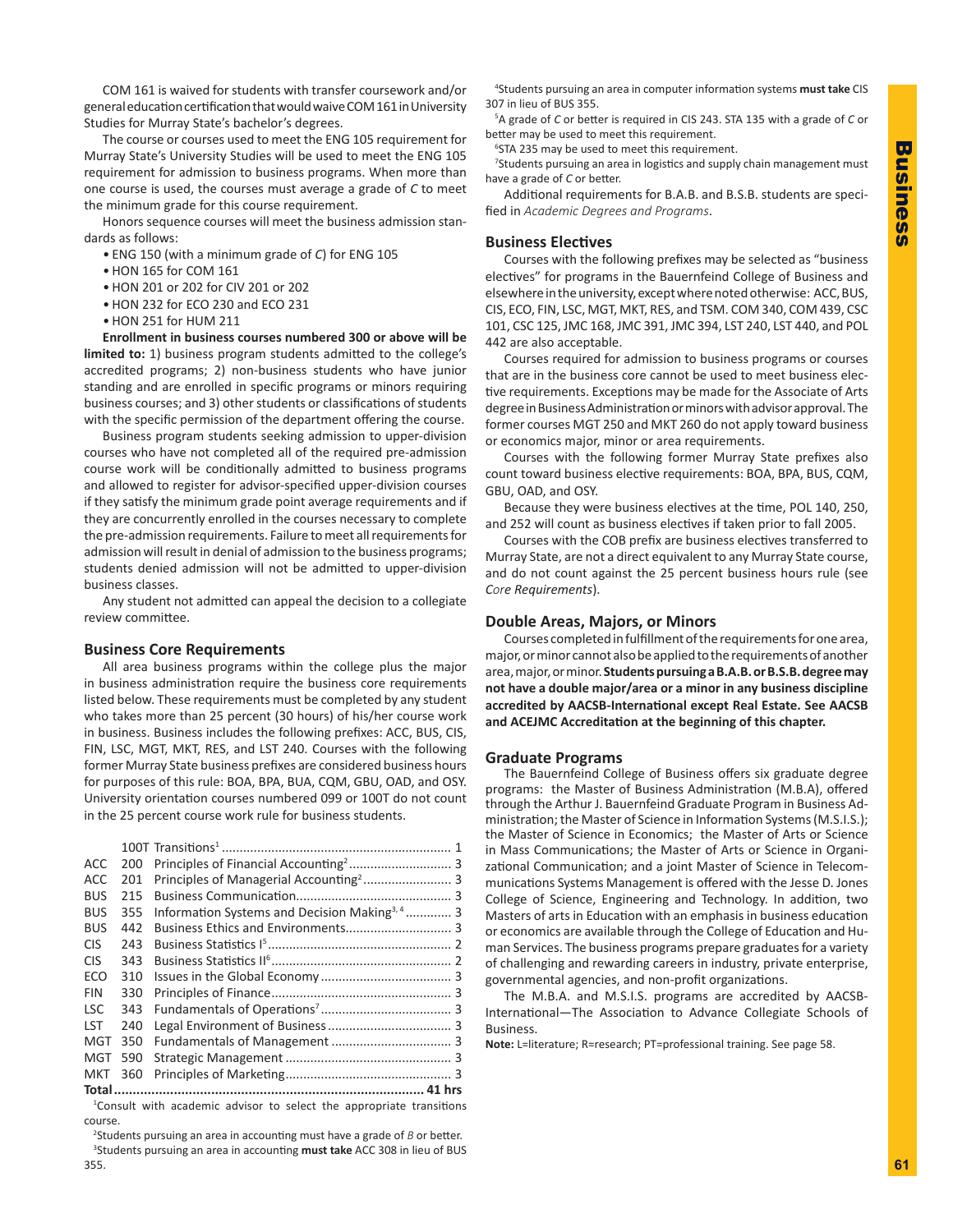COM 161 is waived for students with transfer coursework and/or general education certification that would waive COM 161 in University Studies for Murray State's bachelor's degrees.

The course or courses used to meet the ENG 105 requirement for Murray State's University Studies will be used to meet the ENG 105 requirement for admission to business programs. When more than one course is used, the courses must average a grade of *C* to meet the minimum grade for this course requirement.

Honors sequence courses will meet the business admission standards as follows:

- ENG 150 (with a minimum grade of *C*) for ENG 105
- HON 165 for COM 161
- HON 201 or 202 for CIV 201 or 202
- HON 232 for ECO 230 and ECO 231
- HON 251 for HUM 211

**Enrollment in business courses numbered 300 or above will be limited to:** 1) business program students admitted to the college's accredited programs; 2) non-business students who have junior standing and are enrolled in specific programs or minors requiring business courses; and 3) other students or classifications of students with the specific permission of the department offering the course.

Business program students seeking admission to upper-division courses who have not completed all of the required pre-admission course work will be conditionally admitted to business programs and allowed to register for advisor-specified upper-division courses if they satisfy the minimum grade point average requirements and if they are concurrently enrolled in the courses necessary to complete the pre-admission requirements. Failure to meet all requirements for admission will result in denial of admission to the business programs; students denied admission will not be admitted to upper-division business classes.

Any student not admitted can appeal the decision to a collegiate review committee.

## **Business Core Requirements**

All area business programs within the college plus the major in business administration require the business core requirements listed below. These requirements must be completed by any student who takes more than 25 percent (30 hours) of his/her course work in business. Business includes the following prefixes: ACC, BUS, CIS, FIN, LSC, MGT, MKT, RES, and LST 240. Courses with the following former Murray State business prefixes are considered business hours for purposes of this rule: BOA, BPA, BUA, CQM, GBU, OAD, and OSY. University orientation courses numbered 099 or 100T do not count in the 25 percent course work rule for business students.

| ACC.       | 200 |                                                           |  |
|------------|-----|-----------------------------------------------------------|--|
| <b>ACC</b> | 201 |                                                           |  |
| <b>BUS</b> | 215 |                                                           |  |
| <b>BUS</b> | 355 | Information Systems and Decision Making <sup>3, 4</sup> 3 |  |
| <b>BUS</b> | 442 |                                                           |  |
| <b>CIS</b> | 243 |                                                           |  |
| <b>CIS</b> | 343 |                                                           |  |
| ECO        | 310 |                                                           |  |
| <b>FIN</b> | 330 |                                                           |  |
| <b>LSC</b> | 343 |                                                           |  |
| <b>LST</b> | 240 |                                                           |  |
| <b>MGT</b> | 350 |                                                           |  |
| <b>MGT</b> | 590 |                                                           |  |
| <b>MKT</b> | 360 |                                                           |  |
|            |     |                                                           |  |

1 Consult with academic advisor to select the appropriate transitions course.

2 Students pursuing an area in accounting must have a grade of *B* or better. 3 Students pursuing an area in accounting **must take** ACC 308 in lieu of BUS 355.

4 Students pursuing an area in computer information systems **must take** CIS 307 in lieu of BUS 355.

5 A grade of *C* or better is required in CIS 243. STA 135 with a grade of *C* or better may be used to meet this requirement.

6 STA 235 may be used to meet this requirement.

<sup>7</sup>Students pursuing an area in logistics and supply chain management must have a grade of *C* or better.

Additional requirements for B.A.B. and B.S.B. students are specified in *Academic Degrees and Programs*.

## **Business Electives**

Courses with the following prefixes may be selected as "business electives" for programs in the Bauernfeind College of Business and elsewhere in the university, except where noted otherwise: ACC, BUS, CIS, ECO, FIN, LSC, MGT, MKT, RES, and TSM. COM 340, COM 439, CSC 101, CSC 125, JMC 168, JMC 391, JMC 394, LST 240, LST 440, and POL 442 are also acceptable.

Courses required for admission to business programs or courses that are in the business core cannot be used to meet business elective requirements. Exceptions may be made for the Associate of Arts degree in Business Administration or minors with advisor approval. The former courses MGT 250 and MKT 260 do not apply toward business or economics major, minor or area requirements.

Courses with the following former Murray State prefixes also count toward business elective requirements: BOA, BPA, BUS, CQM, GBU, OAD, and OSY.

Because they were business electives at the time, POL 140, 250, and 252 will count as business electives if taken prior to fall 2005.

Courses with the COB prefix are business electives transferred to Murray State, are not a direct equivalent to any Murray State course, and do not count against the 25 percent business hours rule (see *Core Requirements*).

## **Double Areas, Majors, or Minors**

Courses completed in fulfillment of the requirements for one area, major, or minor cannot also be applied to the requirements of another area, major, or minor. **Students pursuing a B.A.B. or B.S.B. degree may not have a double major/area or a minor in any business discipline accredited by AACSB-International except Real Estate. See AACSB and ACEJMC Accreditation at the beginning of this chapter.**

#### **Graduate Programs**

The Bauernfeind College of Business offers six graduate degree programs: the Master of Business Administration (M.B.A), offered through the Arthur J. Bauernfeind Graduate Program in Business Administration; the Master of Science in Information Systems (M.S.I.S.); the Master of Science in Economics; the Master of Arts or Science in Mass Communications; the Master of Arts or Science in Organizational Communication; and a joint Master of Science in Telecommunications Systems Management is offered with the Jesse D. Jones College of Science, Engineering and Technology. In addition, two Masters of arts in Education with an emphasis in business education or economics are available through the College of Education and Human Services. The business programs prepare graduates for a variety of challenging and rewarding careers in industry, private enterprise, governmental agencies, and non-profit organizations.

The M.B.A. and M.S.I.S. programs are accredited by AACSB-International—The Association to Advance Collegiate Schools of Business.

**Note:** L=literature; R=research; PT=professional training. See page 58.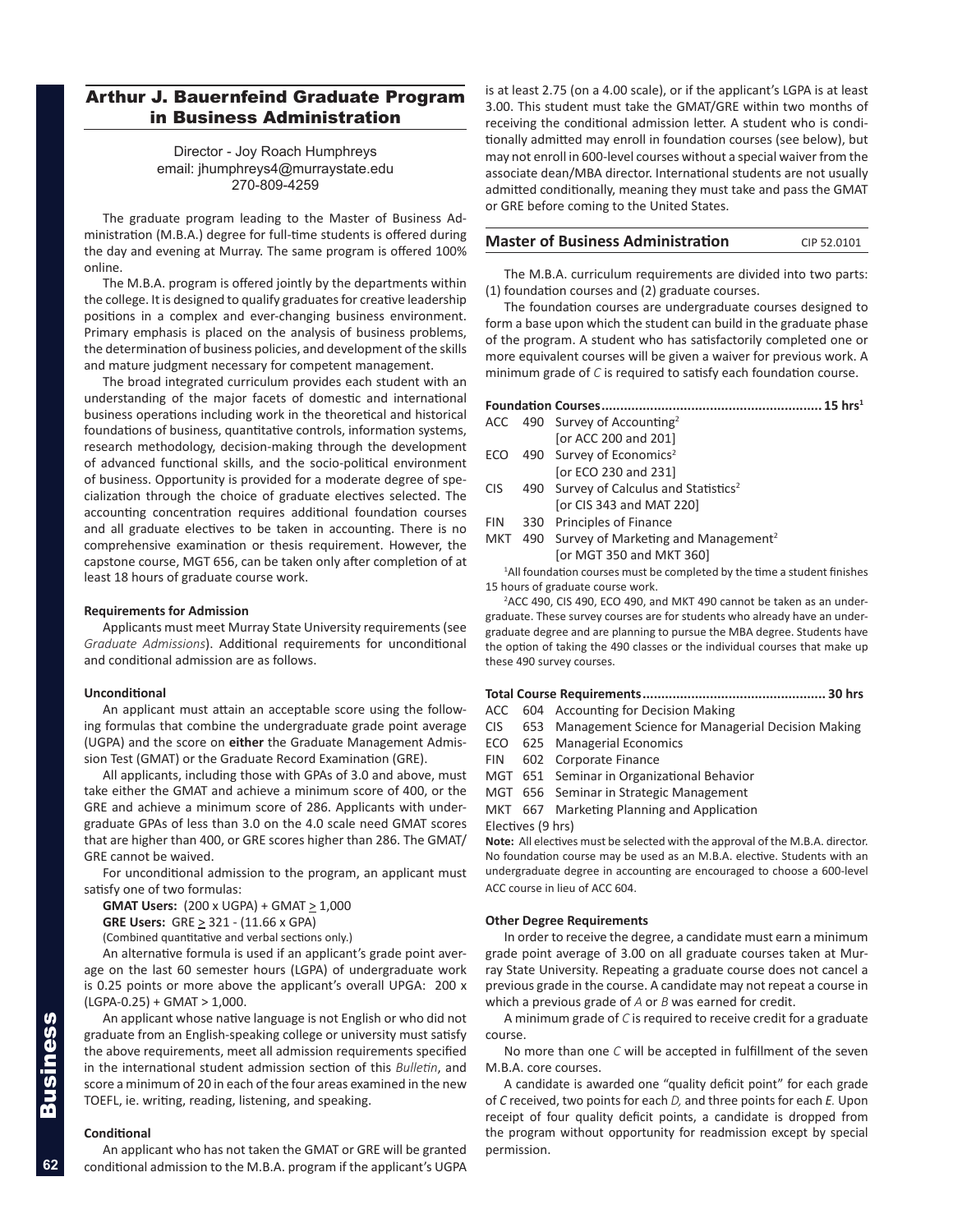## Arthur J. Bauernfeind Graduate Program in Business Administration

## Director - Joy Roach Humphreys email: jhumphreys4@murraystate.edu 270-809-4259

The graduate program leading to the Master of Business Administration (M.B.A.) degree for full-time students is offered during the day and evening at Murray. The same program is offered 100% online.

The M.B.A. program is offered jointly by the departments within the college. It is designed to qualify graduates for creative leadership positions in a complex and ever-changing business environment. Primary emphasis is placed on the analysis of business problems, the determination of business policies, and development of the skills and mature judgment necessary for competent management.

The broad integrated curriculum provides each student with an understanding of the major facets of domestic and international business operations including work in the theoretical and historical foundations of business, quantitative controls, information systems, research methodology, decision-making through the development of advanced functional skills, and the socio-political environment of business. Opportunity is provided for a moderate degree of specialization through the choice of graduate electives selected. The accounting concentration requires additional foundation courses and all graduate electives to be taken in accounting. There is no comprehensive examination or thesis requirement. However, the capstone course, MGT 656, can be taken only after completion of at least 18 hours of graduate course work.

#### **Requirements for Admission**

Applicants must meet Murray State University requirements (see *Graduate Admissions*). Additional requirements for unconditional and conditional admission are as follows.

## **Unconditional**

An applicant must attain an acceptable score using the following formulas that combine the undergraduate grade point average (UGPA) and the score on **either** the Graduate Management Admission Test (GMAT) or the Graduate Record Examination (GRE).

All applicants, including those with GPAs of 3.0 and above, must take either the GMAT and achieve a minimum score of 400, or the GRE and achieve a minimum score of 286. Applicants with undergraduate GPAs of less than 3.0 on the 4.0 scale need GMAT scores that are higher than 400, or GRE scores higher than 286. The GMAT/ GRE cannot be waived.

For unconditional admission to the program, an applicant must satisfy one of two formulas:

**GMAT Users:** (200 x UGPA) + GMAT  $\geq$  1,000

**GRE Users:** GRE > 321 - (11.66 x GPA)

(Combined quantitative and verbal sections only.)

An alternative formula is used if an applicant's grade point average on the last 60 semester hours (LGPA) of undergraduate work is 0.25 points or more above the applicant's overall UPGA: 200 x  $(LGPA-0.25) + GMAT > 1,000.$ 

An applicant whose native language is not English or who did not graduate from an English-speaking college or university must satisfy the above requirements, meet all admission requirements specified in the international student admission section of this *Bulletin*, and score a minimum of 20 in each of the four areas examined in the new TOEFL, ie. writing, reading, listening, and speaking.

## **Conditional**

An applicant who has not taken the GMAT or GRE will be granted conditional admission to the M.B.A. program if the applicant's UGPA

is at least 2.75 (on a 4.00 scale), or if the applicant's LGPA is at least 3.00. This student must take the GMAT/GRE within two months of receiving the conditional admission letter. A student who is conditionally admitted may enroll in foundation courses (see below), but may not enroll in 600-level courses without a special waiver from the associate dean/MBA director. International students are not usually admitted conditionally, meaning they must take and pass the GMAT or GRE before coming to the United States.

#### **Master of Business Administration** CIP 52.0101

The M.B.A. curriculum requirements are divided into two parts: (1) foundation courses and (2) graduate courses.

The foundation courses are undergraduate courses designed to form a base upon which the student can build in the graduate phase of the program. A student who has satisfactorily completed one or more equivalent courses will be given a waiver for previous work. A minimum grade of *C* is required to satisfy each foundation course.

#### **Foundation Courses........................................................... 15 hrs1**

|            | ACC 490 Survey of Accounting <sup>2</sup>           |
|------------|-----------------------------------------------------|
|            | [or ACC 200 and 201]                                |
|            | ECO 490 Survey of Economics <sup>2</sup>            |
|            | [or ECO 230 and 231]                                |
| <b>CIS</b> | 490 Survey of Calculus and Statistics <sup>2</sup>  |
|            | [or CIS 343 and MAT 220]                            |
| FIN 1      | 330 Principles of Finance                           |
| NAVT       | 100 Curvoy of Marketing and Managament <sup>2</sup> |

MKT 490 Survey of Marketing and Management [or MGT 350 and MKT 360]

<sup>1</sup>All foundation courses must be completed by the time a student finishes 15 hours of graduate course work.

<sup>2</sup>ACC 490, CIS 490, ECO 490, and MKT 490 cannot be taken as an undergraduate. These survey courses are for students who already have an undergraduate degree and are planning to pursue the MBA degree. Students have the option of taking the 490 classes or the individual courses that make up these 490 survey courses.

## **Total Course Requirements................................................. 30 hrs**

ACC 604 Accounting for Decision Making

CIS 653 Management Science for Managerial Decision Making

- ECO 625 Managerial Economics
- FIN 602 Corporate Finance
- MGT 651 Seminar in Organizational Behavior

MGT 656 Seminar in Strategic Management

MKT 667 Marketing Planning and Application

Electives (9 hrs)

**Note:** All electives must be selected with the approval of the M.B.A. director. No foundation course may be used as an M.B.A. elective. Students with an undergraduate degree in accounting are encouraged to choose a 600-level ACC course in lieu of ACC 604.

## **Other Degree Requirements**

In order to receive the degree, a candidate must earn a minimum grade point average of 3.00 on all graduate courses taken at Murray State University. Repeating a graduate course does not cancel a previous grade in the course. A candidate may not repeat a course in which a previous grade of *A* or *B* was earned for credit.

A minimum grade of *C* is required to receive credit for a graduate course.

No more than one *C* will be accepted in fulfillment of the seven M.B.A. core courses.

A candidate is awarded one "quality deficit point" for each grade of *C* received, two points for each *D,* and three points for each *E.* Upon receipt of four quality deficit points, a candidate is dropped from the program without opportunity for readmission except by special permission.

**62**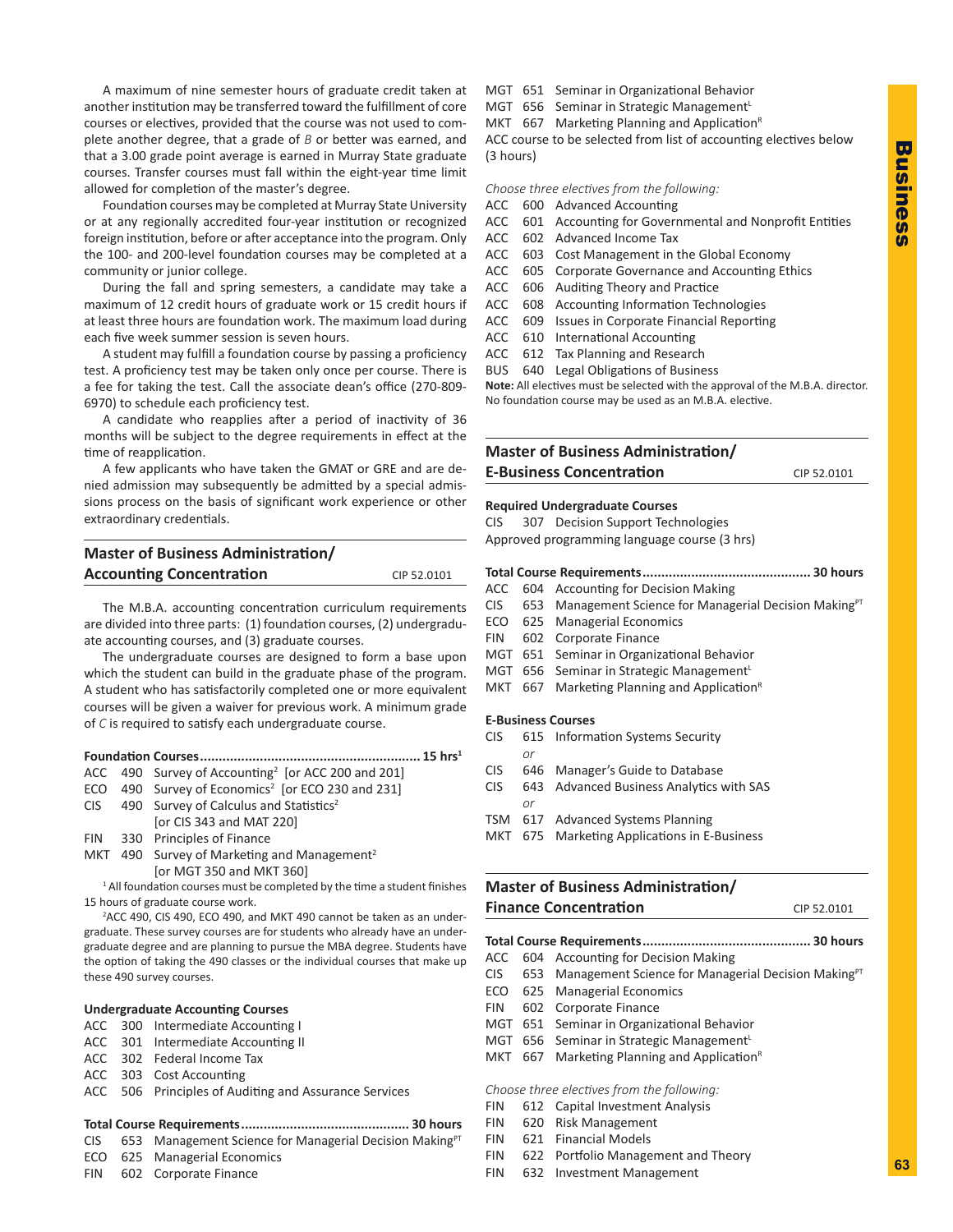A maximum of nine semester hours of graduate credit taken at another institution may be transferred toward the fulfillment of core courses or electives, provided that the course was not used to complete another degree, that a grade of *B* or better was earned, and that a 3.00 grade point average is earned in Murray State graduate courses. Transfer courses must fall within the eight-year time limit allowed for completion of the master's degree.

Foundation courses may be completed at Murray State University or at any regionally accredited four-year institution or recognized foreign institution, before or after acceptance into the program. Only the 100- and 200-level foundation courses may be completed at a community or junior college.

During the fall and spring semesters, a candidate may take a maximum of 12 credit hours of graduate work or 15 credit hours if at least three hours are foundation work. The maximum load during each five week summer session is seven hours.

A student may fulfill a foundation course by passing a proficiency test. A proficiency test may be taken only once per course. There is a fee for taking the test. Call the associate dean's office (270-809- 6970) to schedule each proficiency test.

A candidate who reapplies after a period of inactivity of 36 months will be subject to the degree requirements in effect at the time of reapplication.

A few applicants who have taken the GMAT or GRE and are denied admission may subsequently be admitted by a special admissions process on the basis of significant work experience or other extraordinary credentials.

| <b>Accounting Concentration</b> | CIP 52.0101 |
|---------------------------------|-------------|

The M.B.A. accounting concentration curriculum requirements are divided into three parts: (1) foundation courses, (2) undergraduate accounting courses, and (3) graduate courses.

The undergraduate courses are designed to form a base upon which the student can build in the graduate phase of the program. A student who has satisfactorily completed one or more equivalent courses will be given a waiver for previous work. A minimum grade of *C* is required to satisfy each undergraduate course.

|  |                                                                             | . 15 hrs $^{\rm 1}$ |
|--|-----------------------------------------------------------------------------|---------------------|
|  | $ACC$ 490 Survey of Accounting <sup>2</sup> [or ACC 200 and 201]            |                     |
|  | ECO 490 Survey of Economics <sup>2</sup> [or ECO 230 and 231]               |                     |
|  | $CIS$ 490 Survey of Calculus and Statistics <sup>2</sup>                    |                     |
|  | [or CIS 343 and MAT 220]                                                    |                     |
|  | FIN 330 Principles of Finance                                               |                     |
|  | MKT 490 Survey of Marketing and Management <sup>2</sup>                     |                     |
|  | [or MGT 350 and MKT 360]                                                    |                     |
|  | $1$ All foundation courses must be completed by the time a student finishes |                     |
|  | 15 hours of graduate course work.                                           |                     |

2 ACC 490, CIS 490, ECO 490, and MKT 490 cannot be taken as an undergraduate. These survey courses are for students who already have an undergraduate degree and are planning to pursue the MBA degree. Students have the option of taking the 490 classes or the individual courses that make up these 490 survey courses.

#### **Undergraduate Accounting Courses**

- ACC 300 Intermediate Accounting I
- ACC 301 Intermediate Accounting II
- ACC 302 Federal Income Tax
- ACC 303 Cost Accounting
- ACC 506 Principles of Auditing and Assurance Services

## **Total Course Requirements............................................. 30 hours**

- CIS 653 Management Science for Managerial Decision Making<sup>PT</sup>
- ECO 625 Managerial Economics
- FIN 602 Corporate Finance
- MGT 651 Seminar in Organizational Behavior
- MGT 656 Seminar in Strategic Management<sup>L</sup>
- MKT  $667$  Marketing Planning and Application<sup>R</sup>

ACC course to be selected from list of accounting electives below (3 hours)

*Choose three electives from the following:*

- ACC 600 Advanced Accounting
- ACC 601 Accounting for Governmental and Nonprofit Entities
- ACC 602 Advanced Income Tax
- ACC 603 Cost Management in the Global Economy
- ACC 605 Corporate Governance and Accounting Ethics
- ACC 606 Auditing Theory and Practice
- ACC 608 Accounting Information Technologies
- ACC 609 Issues in Corporate Financial Reporting
- ACC 610 International Accounting
- ACC 612 Tax Planning and Research
- BUS 640 Legal Obligations of Business

**Note:** All electives must be selected with the approval of the M.B.A. director. No foundation course may be used as an M.B.A. elective.

## **Master of Business Administration/ E-Business Concentration** CIP 52.0101

## **Required Undergraduate Courses**

CIS 307 Decision Support Technologies Approved programming language course (3 hrs)

## **Total Course Requirements............................................. 30 hours**

- ACC 604 Accounting for Decision Making
- CIS 653 Management Science for Managerial Decision Making<sup>PT</sup>
- ECO 625 Managerial Economics
- FIN 602 Corporate Finance
- MGT 651 Seminar in Organizational Behavior
- MGT 656 Seminar in Strategic Management<sup>L</sup>
- MKT  $667$  Marketing Planning and Application<sup>R</sup>

## **E-Business Courses**

- CIS 615 Information Systems Security
- *or*
- CIS 646 Manager's Guide to Database
- CIS 643 Advanced Business Analytics with SAS *or*
- TSM 617 Advanced Systems Planning
- MKT 675 Marketing Applications in E-Business

## **Master of Business Administration/ Finance Concentration** CIP 52.0101

**Total Course Requirements............................................. 30 hours**

- ACC 604 Accounting for Decision Making
- CIS 653 Management Science for Managerial Decision Making<sup>PT</sup>
- ECO 625 Managerial Economics
- FIN 602 Corporate Finance
- MGT 651 Seminar in Organizational Behavior
- MGT 656 Seminar in Strategic ManagementL
- MKT  $667$  Marketing Planning and Application<sup>R</sup>

## *Choose three electives from the following:*

- FIN 612 Capital Investment Analysis
- FIN 620 Risk Management
- FIN 621 Financial Models
- FIN 622 Portfolio Management and Theory
- FIN 632 Investment Management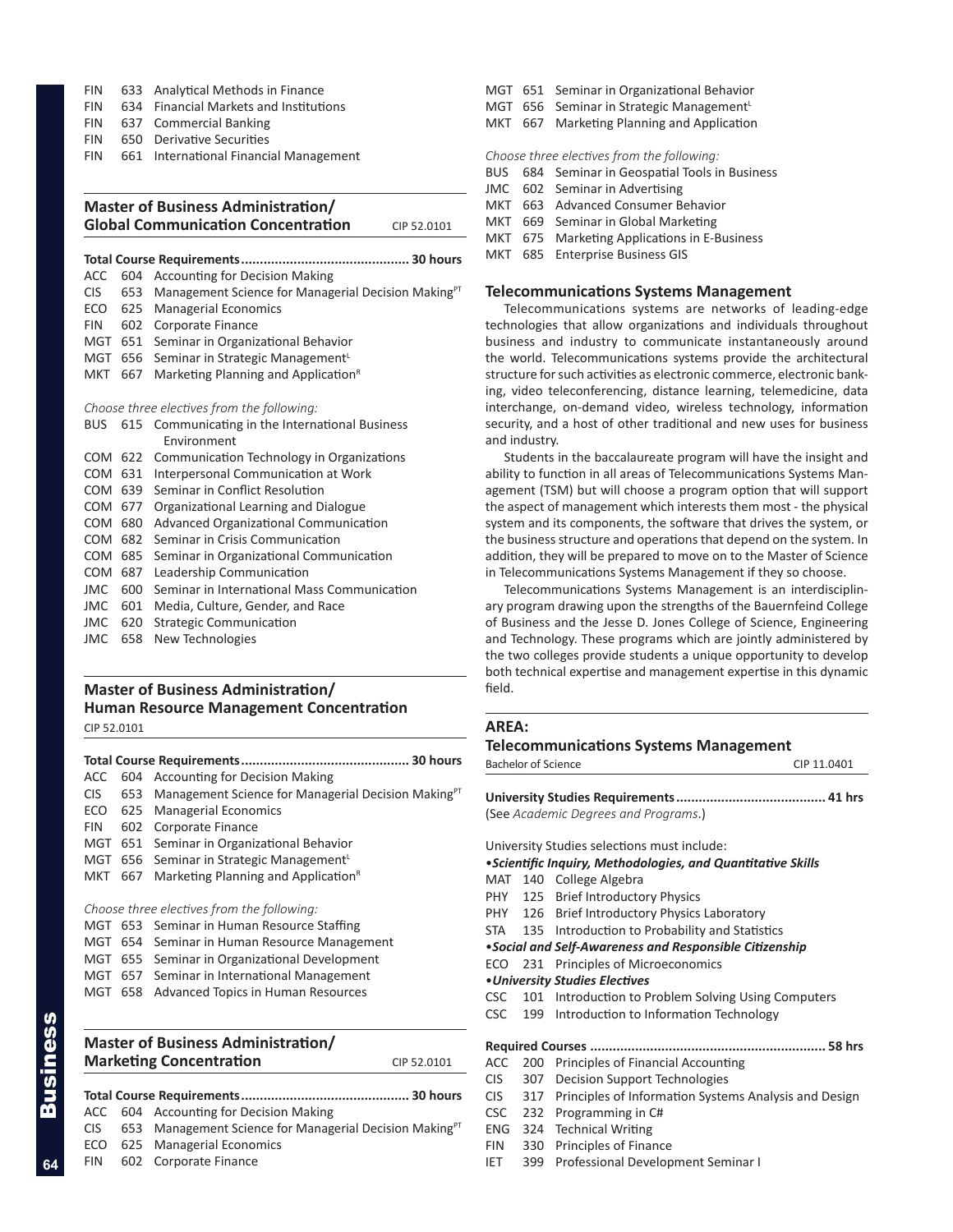- FIN 633 Analytical Methods in Finance
- FIN 634 Financial Markets and Institutions
- FIN 637 Commercial Banking
- FIN 650 Derivative Securities
- FIN 661 International Financial Management

## **Master of Business Administration/ Global Communication Concentration** CIP 52.0101

## **Total Course Requirements............................................. 30 hours**

- ACC 604 Accounting for Decision Making
- CIS 653 Management Science for Managerial Decision Making<sup>PT</sup>
- ECO 625 Managerial Economics
- FIN 602 Corporate Finance
- MGT 651 Seminar in Organizational Behavior
- MGT 656 Seminar in Strategic Management<sup>L</sup> MKT 667 Marketing Planning and Application<sup>R</sup>

## *Choose three electives from the following:*

| <b>BUS</b> |     | 615 Communicating in the International Business |
|------------|-----|-------------------------------------------------|
|            |     | Environment                                     |
| <b>COM</b> |     | 622 Communication Technology in Organizations   |
| COM        | 631 | Interpersonal Communication at Work             |
| COM        | 639 | Seminar in Conflict Resolution                  |
| COM 677    |     | Organizational Learning and Dialogue            |
| COM        | 680 | Advanced Organizational Communication           |
| COM        | 682 | Seminar in Crisis Communication                 |
| COM 685    |     | Seminar in Organizational Communication         |
| <b>COM</b> | 687 | Leadership Communication                        |
| JMC        | 600 | Seminar in International Mass Communication     |
| JMC        | 601 | Media, Culture, Gender, and Race                |
| <b>JMC</b> | 620 | <b>Strategic Communication</b>                  |
| <b>JMC</b> | 658 | New Technologies                                |

## **Master of Business Administration/ Human Resource Management Concentration**

CIP 52.0101

| 604 Accounting for Decision Making                                     |  |
|------------------------------------------------------------------------|--|
| Management Science for Managerial Decision Making <sup>PT</sup><br>653 |  |
| <b>Managerial Economics</b><br>625                                     |  |
| Corporate Finance<br>602                                               |  |
| Seminar in Organizational Behavior<br>651                              |  |
| MGT 656 Seminar in Strategic Management <sup>L</sup>                   |  |
| Marketing Planning and Application <sup>8</sup><br>667                 |  |
|                                                                        |  |
| Choose three electives from the following:                             |  |
| MGT 653 Seminar in Human Resource Staffing                             |  |
| 654 Seminar in Human Resource Management                               |  |
| MGT 655 Seminar in Organizational Development                          |  |
| MGT 657 Seminar in International Management                            |  |
|                                                                        |  |

MGT 658 Advanced Topics in Human Resources

## **Master of Business Administration/ Marketing Concentration** CIP 52.0101

|  | ACC 604 Accounting for Decision Making                                  |
|--|-------------------------------------------------------------------------|
|  | CIS 653 Management Science for Managerial Decision Making <sup>PT</sup> |
|  | ECO 625 Managerial Economics                                            |
|  | FIN 602 Corporate Finance                                               |

- MGT 651 Seminar in Organizational Behavior
- MGT 656 Seminar in Strategic Management<sup>L</sup>
- MKT 667 Marketing Planning and Application

*Choose three electives from the following:*

- BUS 684 Seminar in Geospatial Tools in Business
- JMC 602 Seminar in Advertising
- MKT 663 Advanced Consumer Behavior
- MKT 669 Seminar in Global Marketing
- MKT 675 Marketing Applications in E-Business
- MKT 685 Enterprise Business GIS

## **Telecommunications Systems Management**

Telecommunications systems are networks of leading-edge technologies that allow organizations and individuals throughout business and industry to communicate instantaneously around the world. Telecommunications systems provide the architectural structure for such activities as electronic commerce, electronic banking, video teleconferencing, distance learning, telemedicine, data interchange, on-demand video, wireless technology, information security, and a host of other traditional and new uses for business and industry.

Students in the baccalaureate program will have the insight and ability to function in all areas of Telecommunications Systems Management (TSM) but will choose a program option that will support the aspect of management which interests them most - the physical system and its components, the software that drives the system, or the business structure and operations that depend on the system. In addition, they will be prepared to move on to the Master of Science in Telecommunications Systems Management if they so choose.

Telecommunications Systems Management is an interdisciplinary program drawing upon the strengths of the Bauernfeind College of Business and the Jesse D. Jones College of Science, Engineering and Technology. These programs which are jointly administered by the two colleges provide students a unique opportunity to develop both technical expertise and management expertise in this dynamic field.

## **AREA:**

## **Telecommunications Systems Management** Bachelor of Science CIP 11.0401

**University Studies Requirements........................................ 41 hrs** (See *Academic Degrees and Programs*.)

University Studies selections must include:

- •*Scientific Inquiry, Methodologies, and Quantitative Skills*
- MAT 140 College Algebra
- PHY 125 Brief Introductory Physics
- PHY 126 Brief Introductory Physics Laboratory
- STA 135 Introduction to Probability and Statistics
- •*Social and Self-Awareness and Responsible Citizenship*
- ECO 231 Principles of Microeconomics
- •*University Studies Electives*
- CSC 101 Introduction to Problem Solving Using Computers
- CSC 199 Introduction to Information Technology
- **Required Courses ............................................................... 58 hrs**
- ACC 200 Principles of Financial Accounting
- CIS 307 Decision Support Technologies
- CIS 317 Principles of Information Systems Analysis and Design
- CSC 232 Programming in C#
- ENG 324 Technical Writing
- FIN 330 Principles of Finance
- IET 399 Professional Development Seminar I

Business

**Siness**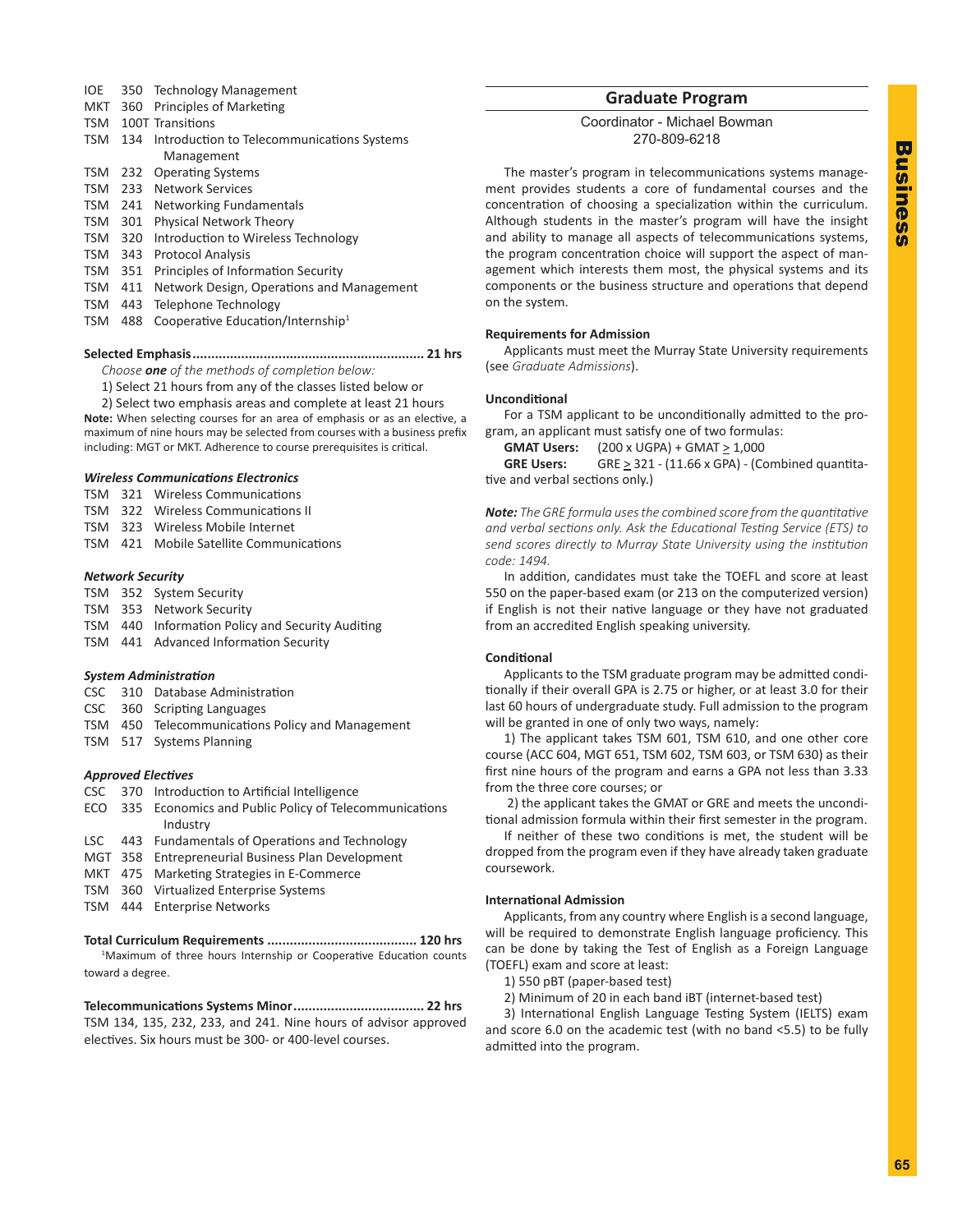- IOE 350 Technology Management
- MKT 360 Principles of Marketing
- TSM 100T Transitions
- TSM 134 Introduction to Telecommunications Systems Management
- TSM 232 Operating Systems
- TSM 233 Network Services
- TSM 241 Networking Fundamentals
- TSM 301 Physical Network Theory
- TSM 320 Introduction to Wireless Technology
- TSM 343 Protocol Analysis
- TSM 351 Principles of Information Security
- TSM 411 Network Design, Operations and Management
- TSM 443 Telephone Technology
- TSM 488 Cooperative Education/Internship<sup>1</sup>

**Selected Emphasis.............................................................. 21 hrs**

*Choose one of the methods of completion below:*

1) Select 21 hours from any of the classes listed below or

2) Select two emphasis areas and complete at least 21 hours **Note:** When selecting courses for an area of emphasis or as an elective, a maximum of nine hours may be selected from courses with a business prefix including: MGT or MKT. Adherence to course prerequisites is critical.

## *Wireless Communications Electronics*

- TSM 321 Wireless Communications
- TSM 322 Wireless Communications II
- TSM 323 Wireless Mobile Internet
- TSM 421 Mobile Satellite Communications

## *Network Security*

- TSM 352 System Security
- TSM 353 Network Security
- TSM 440 Information Policy and Security Auditing
- TSM 441 Advanced Information Security

## *System Administration*

- CSC 310 Database Administration
- CSC 360 Scripting Languages
- TSM 450 Telecommunications Policy and Management
- TSM 517 Systems Planning

## *Approved Electives*

- CSC 370 Introduction to Artificial Intelligence
- ECO 335 Economics and Public Policy of Telecommunications Industry
- LSC 443 Fundamentals of Operations and Technology
- MGT 358 Entrepreneurial Business Plan Development
- MKT 475 Marketing Strategies in E-Commerce
- TSM 360 Virtualized Enterprise Systems
- TSM 444 Enterprise Networks

## **Total Curriculum Requirements ........................................ 120 hrs**

<sup>1</sup>Maximum of three hours Internship or Cooperative Education counts toward a degree.

**Telecommunications Systems Minor................................... 22 hrs** TSM 134, 135, 232, 233, and 241. Nine hours of advisor approved electives. Six hours must be 300- or 400-level courses.

## **Graduate Program**

Coordinator - Michael Bowman 270-809-6218

The master's program in telecommunications systems management provides students a core of fundamental courses and the concentration of choosing a specialization within the curriculum. Although students in the master's program will have the insight and ability to manage all aspects of telecommunications systems, the program concentration choice will support the aspect of management which interests them most, the physical systems and its components or the business structure and operations that depend on the system.

## **Requirements for Admission**

Applicants must meet the Murray State University requirements (see *Graduate Admissions*).

## **Unconditional**

For a TSM applicant to be unconditionally admitted to the program, an applicant must satisfy one of two formulas:

**GMAT Users:** (200 x UGPA) + GMAT > 1,000

**GRE Users:** GRE  $\geq$  321 - (11.66 x GPA) - (Combined quantitative and verbal sections only.)

*Note: The GRE formula uses the combined score from the quantitative and verbal sections only. Ask the Educational Testing Service (ETS) to send scores directly to Murray State University using the institution code: 1494.*

In addition, candidates must take the TOEFL and score at least 550 on the paper-based exam (or 213 on the computerized version) if English is not their native language or they have not graduated from an accredited English speaking university.

## **Conditional**

Applicants to the TSM graduate program may be admitted conditionally if their overall GPA is 2.75 or higher, or at least 3.0 for their last 60 hours of undergraduate study. Full admission to the program will be granted in one of only two ways, namely:

1) The applicant takes TSM 601, TSM 610, and one other core course (ACC 604, MGT 651, TSM 602, TSM 603, or TSM 630) as their first nine hours of the program and earns a GPA not less than 3.33 from the three core courses; or

 2) the applicant takes the GMAT or GRE and meets the unconditional admission formula within their first semester in the program.

If neither of these two conditions is met, the student will be dropped from the program even if they have already taken graduate coursework.

## **International Admission**

Applicants, from any country where English is a second language, will be required to demonstrate English language proficiency. This can be done by taking the Test of English as a Foreign Language (TOEFL) exam and score at least:

1) 550 pBT (paper-based test)

2) Minimum of 20 in each band iBT (internet-based test)

3) International English Language Testing System (IELTS) exam and score 6.0 on the academic test (with no band <5.5) to be fully admitted into the program.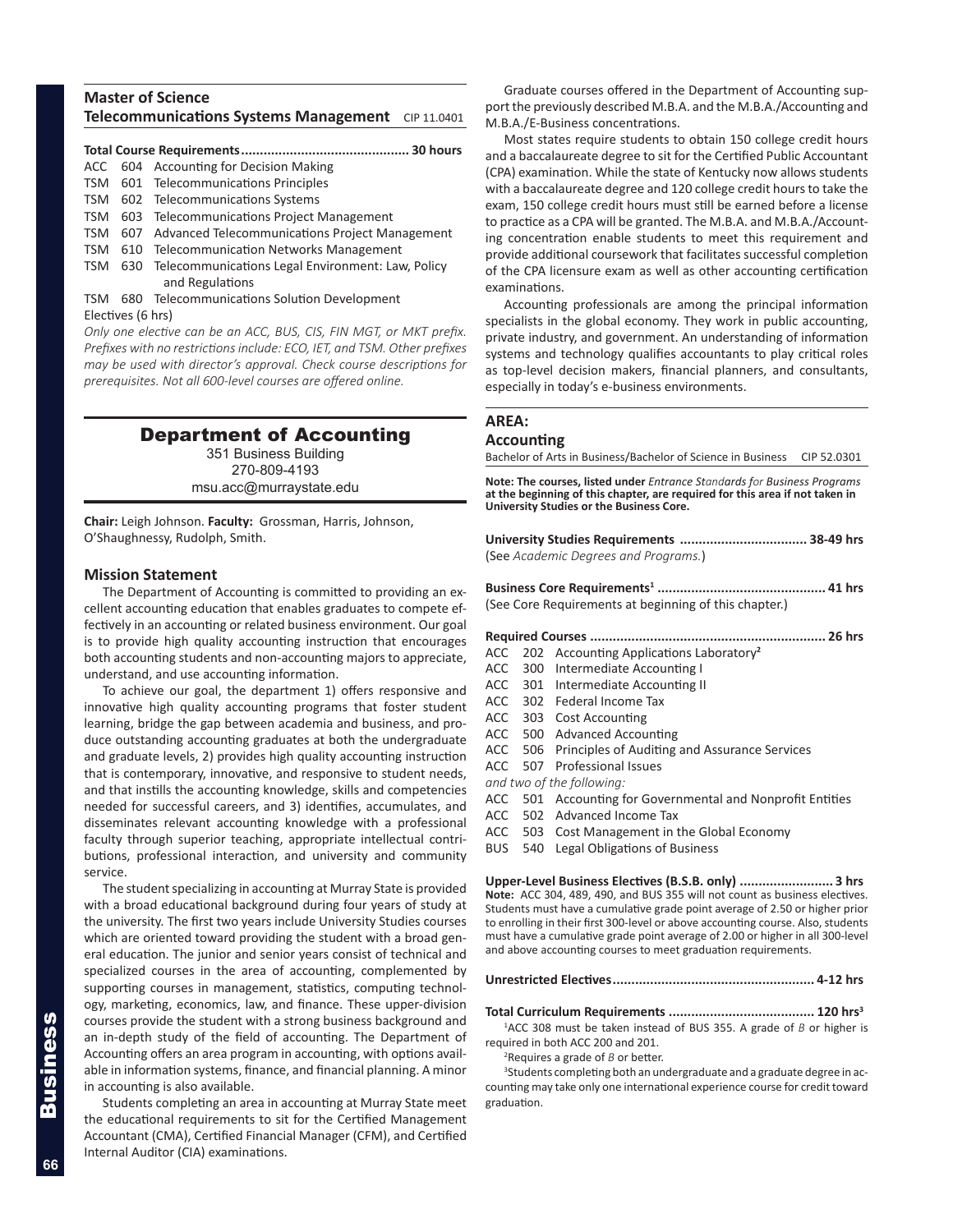## **Master of Science Telecommunications Systems Management** CIP 11.0401

## **Total Course Requirements............................................. 30 hours**

- ACC 604 Accounting for Decision Making
- TSM 601 Telecommunications Principles
- TSM 602 Telecommunications Systems
- TSM 603 Telecommunications Project Management
- TSM 607 Advanced Telecommunications Project Management
- TSM 610 Telecommunication Networks Management TSM 630 Telecommunications Legal Environment: Law, Policy
- and Regulations TSM 680 Telecommunications Solution Development Electives (6 hrs)

*Only one elective can be an ACC, BUS, CIS, FIN MGT, or MKT prefix. Prefixes with no restrictions include: ECO, IET, and TSM. Other prefixes may be used with director's approval. Check course descriptions for prerequisites. Not all 600-level courses are offered online.*

## Department of Accounting

351 Business Building 270-809-4193 msu.acc@murraystate.edu

**Chair:** Leigh Johnson. **Faculty:** Grossman, Harris, Johnson, O'Shaughnessy, Rudolph, Smith.

## **Mission Statement**

The Department of Accounting is committed to providing an excellent accounting education that enables graduates to compete effectively in an accounting or related business environment. Our goal is to provide high quality accounting instruction that encourages both accounting students and non-accounting majors to appreciate, understand, and use accounting information.

To achieve our goal, the department 1) offers responsive and innovative high quality accounting programs that foster student learning, bridge the gap between academia and business, and produce outstanding accounting graduates at both the undergraduate and graduate levels, 2) provides high quality accounting instruction that is contemporary, innovative, and responsive to student needs, and that instills the accounting knowledge, skills and competencies needed for successful careers, and 3) identifies, accumulates, and disseminates relevant accounting knowledge with a professional faculty through superior teaching, appropriate intellectual contributions, professional interaction, and university and community service.

The student specializing in accounting at Murray State is provided with a broad educational background during four years of study at the university. The first two years include University Studies courses which are oriented toward providing the student with a broad general education. The junior and senior years consist of technical and specialized courses in the area of accounting, complemented by supporting courses in management, statistics, computing technology, marketing, economics, law, and finance. These upper-division courses provide the student with a strong business background and an in-depth study of the field of accounting. The Department of Accounting offers an area program in accounting, with options available in information systems, finance, and financial planning. A minor in accounting is also available.

Students completing an area in accounting at Murray State meet the educational requirements to sit for the Certified Management Accountant (CMA), Certified Financial Manager (CFM), and Certified Internal Auditor (CIA) examinations.

Graduate courses offered in the Department of Accounting support the previously described M.B.A. and the M.B.A./Accounting and M.B.A./E-Business concentrations.

Most states require students to obtain 150 college credit hours and a baccalaureate degree to sit for the Certified Public Accountant (CPA) examination. While the state of Kentucky now allows students with a baccalaureate degree and 120 college credit hours to take the exam, 150 college credit hours must still be earned before a license to practice as a CPA will be granted. The M.B.A. and M.B.A./Accounting concentration enable students to meet this requirement and provide additional coursework that facilitates successful completion of the CPA licensure exam as well as other accounting certification examinations.

Accounting professionals are among the principal information specialists in the global economy. They work in public accounting, private industry, and government. An understanding of information systems and technology qualifies accountants to play critical roles as top-level decision makers, financial planners, and consultants, especially in today's e-business environments.

## **AREA:**

## **Accounting**

Bachelor of Arts in Business/Bachelor of Science in Business CIP 52.0301

**Note: The courses, listed under** *Entrance Standards for Business Programs* **at the beginning of this chapter, are required for this area if not taken in University Studies or the Business Core.** 

**University Studies Requirements .................................. 38-49 hrs** (See *Academic Degrees and Programs.*)

**Business Core Requirements<sup>1</sup> ............................................. 41 hrs** (See Core Requirements at beginning of this chapter.)

#### **Required Courses ............................................................... 26 hrs**

- ACC 202 Accounting Applications Laboratory**<sup>2</sup>**
- ACC 300 Intermediate Accounting I
- ACC 301 Intermediate Accounting II
- ACC 302 Federal Income Tax
- ACC 303 Cost Accounting
- ACC 500 Advanced Accounting
- ACC 506 Principles of Auditing and Assurance Services
- ACC 507 Professional Issues

*and two of the following:*

- ACC 501 Accounting for Governmental and Nonprofit Entities
- ACC 502 Advanced Income Tax
- ACC 503 Cost Management in the Global Economy
- BUS 540 Legal Obligations of Business

**Upper-Level Business Electives (B.S.B. only) ......................... 3 hrs Note:** ACC 304, 489, 490, and BUS 355 will not count as business electives. Students must have a cumulative grade point average of 2.50 or higher prior to enrolling in their first 300-level or above accounting course. Also, students must have a cumulative grade point average of 2.00 or higher in all 300-level and above accounting courses to meet graduation requirements.

## **Unrestricted Electives...................................................... 4-12 hrs**

**Total Curriculum Requirements ....................................... 120 hrs3**

1 ACC 308 must be taken instead of BUS 355. A grade of *B* or higher is required in both ACC 200 and 201.

2 Requires a grade of *B* or better.

<sup>3</sup>Students completing both an undergraduate and a graduate degree in accounting may take only one international experience course for credit toward graduation.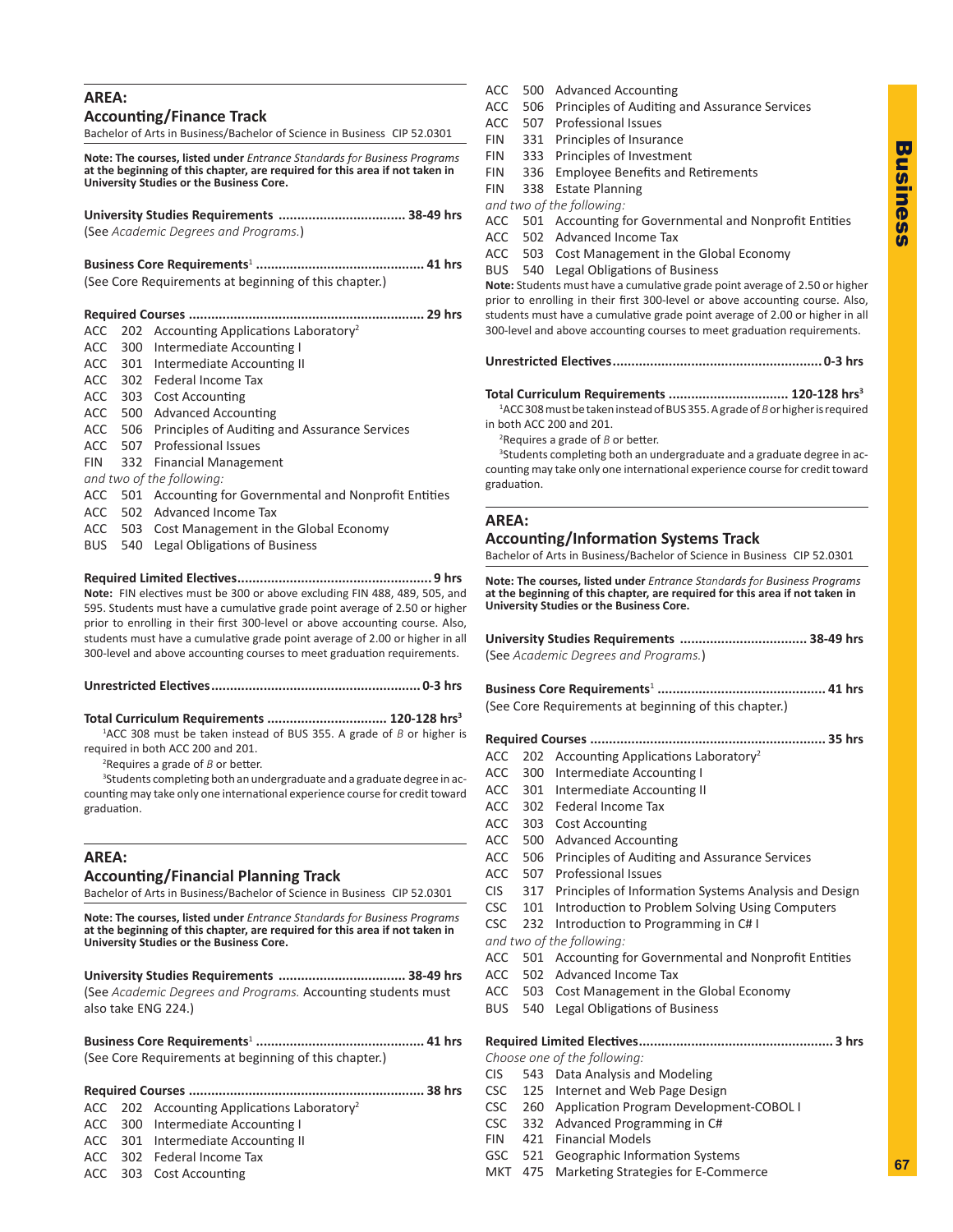## **AREA:**

**Accounting/Finance Track**

Bachelor of Arts in Business/Bachelor of Science in Business CIP 52.0301

**Note: The courses, listed under** *Entrance Standards for Business Programs* **at the beginning of this chapter, are required for this area if not taken in University Studies or the Business Core.** 

**University Studies Requirements .................................. 38-49 hrs** (See *Academic Degrees and Programs.*)

**Business Core Requirements**<sup>1</sup> **............................................. 41 hrs** (See Core Requirements at beginning of this chapter.)

|  | ACC 202 Accounting Applications Laboratory <sup>2</sup>    |
|--|------------------------------------------------------------|
|  | ACC 300 Intermediate Accounting I                          |
|  | ACC 301 Intermediate Accounting II                         |
|  | ACC 302 Federal Income Tax                                 |
|  | ACC 303 Cost Accounting                                    |
|  | ACC 500 Advanced Accounting                                |
|  | ACC 506 Principles of Auditing and Assurance Services      |
|  | ACC 507 Professional Issues                                |
|  | FIN 332 Financial Management                               |
|  | and two of the following:                                  |
|  | ACC 501 Accounting for Governmental and Nonprofit Entities |
|  | ACC 502 Advanced Income Tax                                |
|  | ACC 503 Cost Management in the Global Economy              |
|  |                                                            |

BUS 540 Legal Obligations of Business

**Required Limited Electives.................................................... 9 hrs Note:** FIN electives must be 300 or above excluding FIN 488, 489, 505, and 595. Students must have a cumulative grade point average of 2.50 or higher prior to enrolling in their first 300-level or above accounting course. Also, students must have a cumulative grade point average of 2.00 or higher in all 300-level and above accounting courses to meet graduation requirements.

**Unrestricted Electives........................................................ 0-3 hrs**

**Total Curriculum Requirements ................................ 120-128 hrs3**

1 ACC 308 must be taken instead of BUS 355. A grade of *B* or higher is required in both ACC 200 and 201.

2 Requires a grade of *B* or better.

<sup>3</sup>Students completing both an undergraduate and a graduate degree in accounting may take only one international experience course for credit toward graduation.

## **AREA:**

## **Accounting/Financial Planning Track**

Bachelor of Arts in Business/Bachelor of Science in Business CIP 52.0301

**Note: The courses, listed under** *Entrance Standards for Business Programs* **at the beginning of this chapter, are required for this area if not taken in University Studies or the Business Core.** 

**University Studies Requirements .................................. 38-49 hrs** (See *Academic Degrees and Programs.* Accounting students must also take ENG 224.)

**Business Core Requirements**<sup>1</sup> **............................................. 41 hrs** (See Core Requirements at beginning of this chapter.)

## **Required Courses ............................................................... 38 hrs**

- ACC 202 Accounting Applications Laboratory<sup>2</sup>
- ACC 300 Intermediate Accounting I
- ACC 301 Intermediate Accounting II
- ACC 302 Federal Income Tax
- ACC 303 Cost Accounting
- ACC 500 Advanced Accounting
- ACC 506 Principles of Auditing and Assurance Services
- ACC 507 Professional Issues
- FIN 331 Principles of Insurance
- FIN 333 Principles of Investment
- FIN 336 Employee Benefits and Retirements
- FIN 338 Estate Planning

*and two of the following:*

- ACC 501 Accounting for Governmental and Nonprofit Entities
- ACC 502 Advanced Income Tax
- ACC 503 Cost Management in the Global Economy BUS 540 Legal Obligations of Business

**Note:** Students must have a cumulative grade point average of 2.50 or higher prior to enrolling in their first 300-level or above accounting course. Also, students must have a cumulative grade point average of 2.00 or higher in all 300-level and above accounting courses to meet graduation requirements.

|--|--|--|

**Total Curriculum Requirements ................................ 120-128 hrs3**

1 ACC 308 must be taken instead of BUS 355. A grade of *B* or higher is required in both ACC 200 and 201.

2 Requires a grade of *B* or better.

<sup>3</sup>Students completing both an undergraduate and a graduate degree in accounting may take only one international experience course for credit toward graduation.

## **AREA:**

**Accounting/Information Systems Track**

Bachelor of Arts in Business/Bachelor of Science in Business CIP 52.0301

**Note: The courses, listed under** *Entrance Standards for Business Programs* **at the beginning of this chapter, are required for this area if not taken in University Studies or the Business Core.**

**University Studies Requirements .................................. 38-49 hrs** (See *Academic Degrees and Programs.*)

**Business Core Requirements**<sup>1</sup> **............................................. 41 hrs** (See Core Requirements at beginning of this chapter.)

**Required Courses ............................................................... 35 hrs**

- ACC 202 Accounting Applications Laboratory<sup>2</sup>
- ACC 300 Intermediate Accounting I
- ACC 301 Intermediate Accounting II
- ACC 302 Federal Income Tax
- ACC 303 Cost Accounting
- ACC 500 Advanced Accounting
- ACC 506 Principles of Auditing and Assurance Services
- ACC 507 Professional Issues
- CIS 317 Principles of Information Systems Analysis and Design
- CSC 101 Introduction to Problem Solving Using Computers
- CSC 232 Introduction to Programming in C# I
- *and two of the following:*
- ACC 501 Accounting for Governmental and Nonprofit Entities
- ACC 502 Advanced Income Tax
- ACC 503 Cost Management in the Global Economy
- BUS 540 Legal Obligations of Business

## **Required Limited Electives.................................................... 3 hrs**

*Choose one of the following:*

- CIS 543 Data Analysis and Modeling
- CSC 125 Internet and Web Page Design
- CSC 260 Application Program Development-COBOL I
- CSC 332 Advanced Programming in C#
- FIN 421 Financial Models
- GSC 521 Geographic Information Systems
- MKT 475 Marketing Strategies for E-Commerce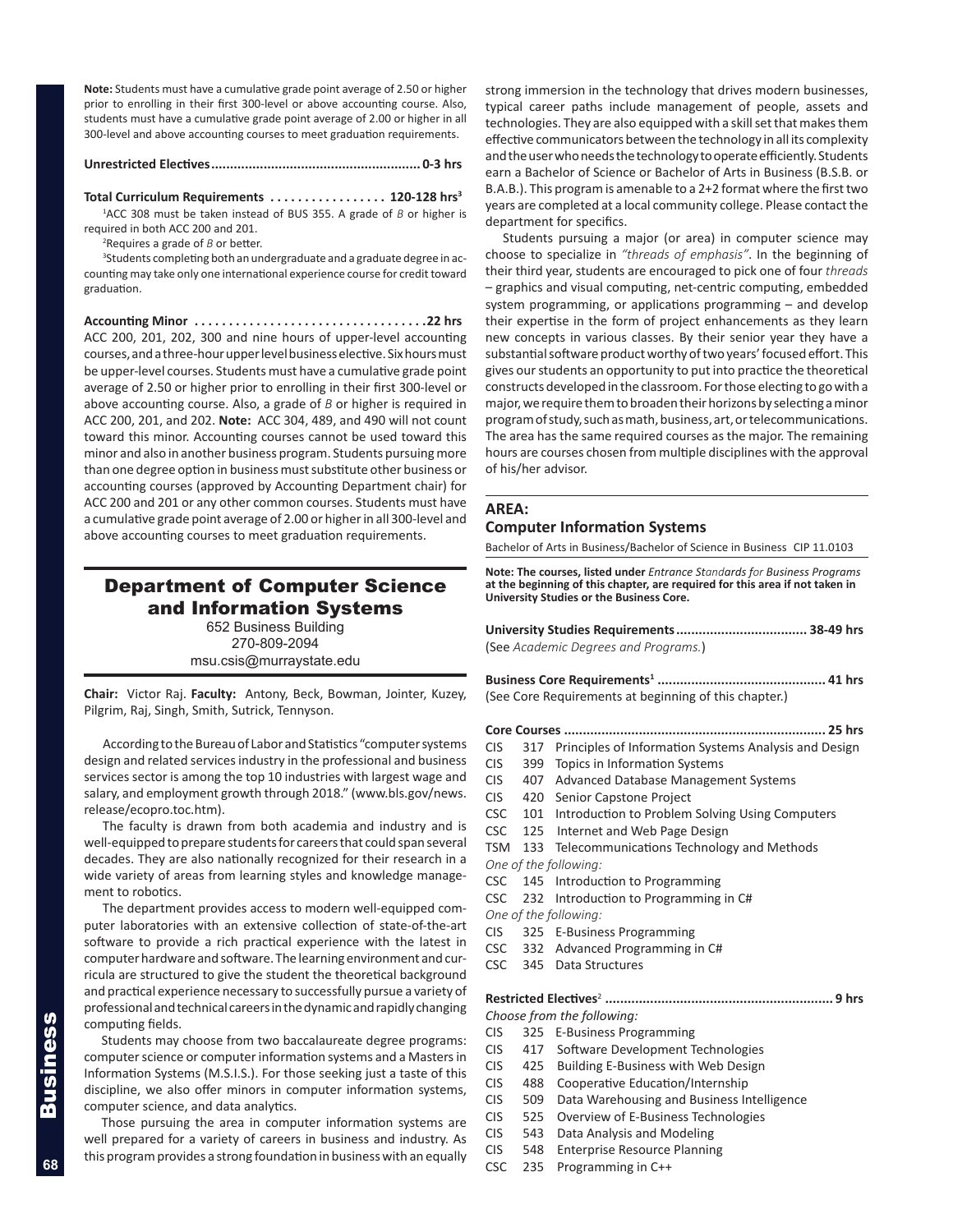**Note:** Students must have a cumulative grade point average of 2.50 or higher prior to enrolling in their first 300-level or above accounting course. Also, students must have a cumulative grade point average of 2.00 or higher in all 300-level and above accounting courses to meet graduation requirements.

## **Unrestricted Electives........................................................ 0-3 hrs**

**Total Curriculum Requirements. . 120-128 hrs3**

1 ACC 308 must be taken instead of BUS 355. A grade of *B* or higher is required in both ACC 200 and 201.

2 Requires a grade of *B* or better.

<sup>3</sup>Students completing both an undergraduate and a graduate degree in accounting may take only one international experience course for credit toward graduation.

**Accounting Minor. 22 hrs** ACC 200, 201, 202, 300 and nine hours of upper-level accounting courses, and a three-hour upper level business elective. Six hours must be upper-level courses. Students must have a cumulative grade point average of 2.50 or higher prior to enrolling in their first 300-level or above accounting course. Also, a grade of *B* or higher is required in ACC 200, 201, and 202. **Note:** ACC 304, 489, and 490 will not count toward this minor. Accounting courses cannot be used toward this minor and also in another business program. Students pursuing more than one degree option in business must substitute other business or accounting courses (approved by Accounting Department chair) for ACC 200 and 201 or any other common courses. Students must have a cumulative grade point average of 2.00 or higher in all 300-level and above accounting courses to meet graduation requirements.

## Department of Computer Science and Information Systems

652 Business Building 270-809-2094 msu.csis@murraystate.edu

**Chair:** Victor Raj. **Faculty:** Antony, Beck, Bowman, Jointer, Kuzey, Pilgrim, Raj, Singh, Smith, Sutrick, Tennyson.

According to the Bureau of Labor and Statistics "computer systems design and related services industry in the professional and business services sector is among the top 10 industries with largest wage and salary, and employment growth through 2018." (www.bls.gov/news. release/ecopro.toc.htm).

The faculty is drawn from both academia and industry and is well-equipped to prepare students for careers that could span several decades. They are also nationally recognized for their research in a wide variety of areas from learning styles and knowledge management to robotics.

The department provides access to modern well-equipped computer laboratories with an extensive collection of state-of-the-art software to provide a rich practical experience with the latest in computer hardware and software. The learning environment and curricula are structured to give the student the theoretical background and practical experience necessary to successfully pursue a variety of professional and technical careers in the dynamic and rapidly changing computing fields.

Students may choose from two baccalaureate degree programs: computer science or computer information systems and a Masters in Information Systems (M.S.I.S.). For those seeking just a taste of this discipline, we also offer minors in computer information systems, computer science, and data analytics.

Those pursuing the area in computer information systems are well prepared for a variety of careers in business and industry. As this program provides a strong foundation in business with an equally strong immersion in the technology that drives modern businesses, typical career paths include management of people, assets and technologies. They are also equipped with a skill set that makes them effective communicators between the technology in all its complexity and the user who needs the technology to operate efficiently. Students earn a Bachelor of Science or Bachelor of Arts in Business (B.S.B. or B.A.B.). This program is amenable to a 2+2 format where the first two years are completed at a local community college. Please contact the department for specifics.

Students pursuing a major (or area) in computer science may choose to specialize in *"threads of emphasis"*. In the beginning of their third year, students are encouraged to pick one of four *threads* – graphics and visual computing, net-centric computing, embedded system programming, or applications programming – and develop their expertise in the form of project enhancements as they learn new concepts in various classes. By their senior year they have a substantial software product worthy of two years' focused effort. This gives our students an opportunity to put into practice the theoretical constructs developed in the classroom. For those electing to go with a major, we require them to broaden their horizons by selecting a minor program of study, such as math, business, art, or telecommunications. The area has the same required courses as the major. The remaining hours are courses chosen from multiple disciplines with the approval of his/her advisor.

## **AREA:**

## **Computer Information Systems**

Bachelor of Arts in Business/Bachelor of Science in Business CIP 11.0103

**Note: The courses, listed under** *Entrance Standards for Business Programs* **at the beginning of this chapter, are required for this area if not taken in University Studies or the Business Core.**

**University Studies Requirements................................... 38-49 hrs** (See *Academic Degrees and Programs.*)

**Business Core Requirements<sup>1</sup> ............................................. 41 hrs** (See Core Requirements at beginning of this chapter.)

- **Core Courses ...................................................................... 25 hrs**
- CIS 317 Principles of Information Systems Analysis and Design
- CIS 399 Topics in Information Systems
- CIS 407 Advanced Database Management Systems
- CIS 420 Senior Capstone Project
- CSC 101 Introduction to Problem Solving Using Computers
- CSC 125 Internet and Web Page Design
- TSM 133 Telecommunications Technology and Methods *One of the following:*
- CSC 145 Introduction to Programming
- CSC 232 Introduction to Programming in C#
- *One of the following:*
- CIS 325 E-Business Programming
- CSC 332 Advanced Programming in C#
- CSC 345 Data Structures

## **Restricted Electives**<sup>2</sup> **............................................................. 9 hrs**

- *Choose from the following:* CIS 325 E-Business Programming
- 
- CIS 417 Software Development Technologies
- CIS 425 Building E-Business with Web Design
- CIS 488 Cooperative Education/Internship
- CIS 509 Data Warehousing and Business Intelligence
- CIS 525 Overview of E-Business Technologies
- CIS 543 Data Analysis and Modeling
- CIS 548 Enterprise Resource Planning
- CSC 235 Programming in C++

**68**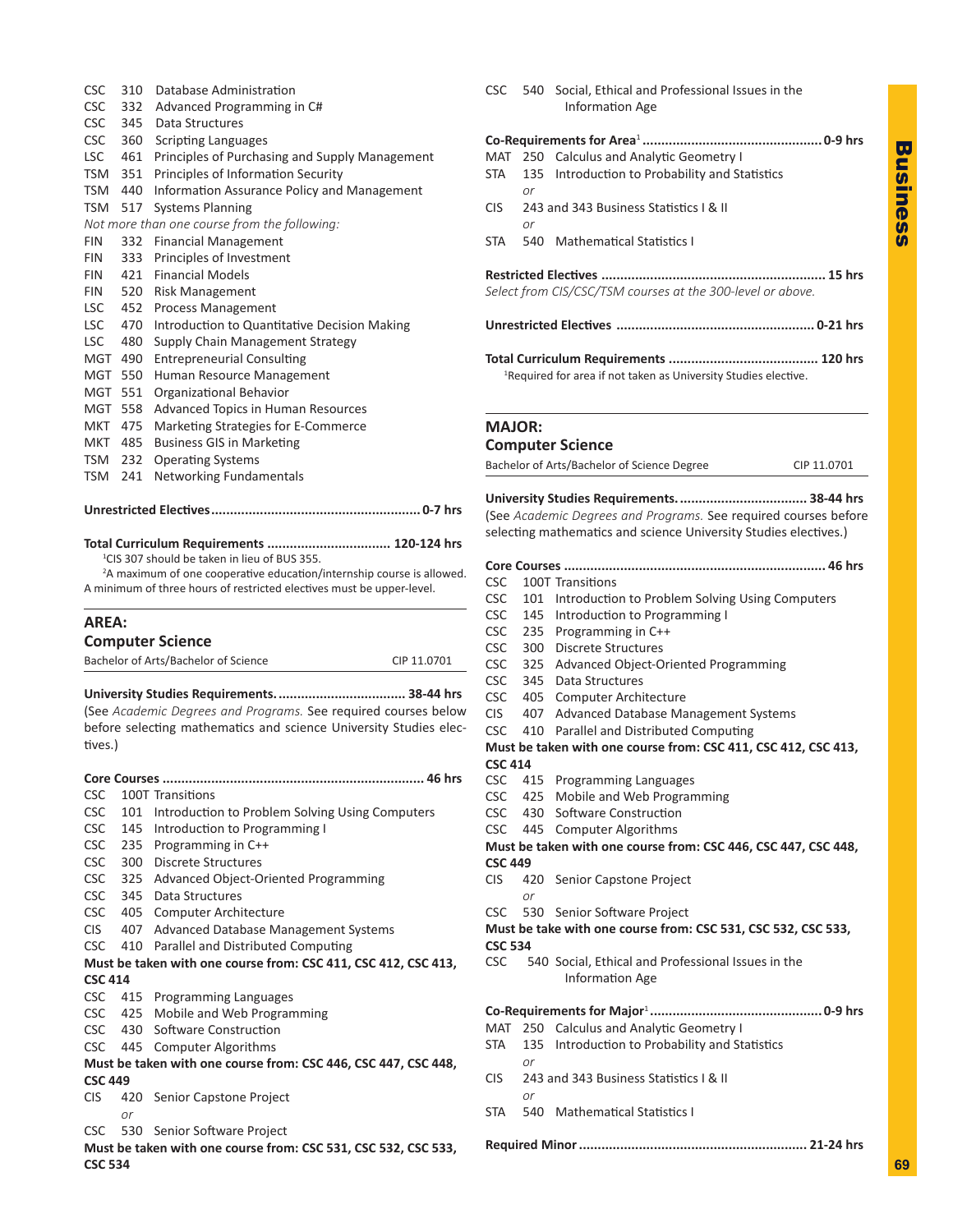| <b>CSC</b> | 310 | Database Administration                        |
|------------|-----|------------------------------------------------|
| <b>CSC</b> | 332 | Advanced Programming in C#                     |
| <b>CSC</b> | 345 | Data Structures                                |
| <b>CSC</b> | 360 | <b>Scripting Languages</b>                     |
| LSC -      | 461 | Principles of Purchasing and Supply Management |
| TSM        | 351 | Principles of Information Security             |
| TSM        | 440 | Information Assurance Policy and Management    |
| TSM 517    |     | <b>Systems Planning</b>                        |
|            |     | Not more than one course from the following:   |
| <b>FIN</b> | 332 | <b>Financial Management</b>                    |
| <b>FIN</b> | 333 | Principles of Investment                       |
| <b>FIN</b> | 421 | <b>Financial Models</b>                        |
| <b>FIN</b> | 520 | Risk Management                                |
| LSC        | 452 | Process Management                             |
| LSC        | 470 | Introduction to Quantitative Decision Making   |
| <b>LSC</b> | 480 | Supply Chain Management Strategy               |
| MGT        | 490 | <b>Entrepreneurial Consulting</b>              |
| MGT        | 550 | Human Resource Management                      |
| MGT        | 551 | Organizational Behavior                        |
| MGT        | 558 | Advanced Topics in Human Resources             |
| MKT        | 475 | Marketing Strategies for E-Commerce            |
| MKT        | 485 | <b>Business GIS in Marketing</b>               |
| TSM        | 232 | <b>Operating Systems</b>                       |
| TSM        | 241 | Networking Fundamentals                        |
|            |     |                                                |

**Unrestricted Electives........................................................ 0-7 hrs**

#### **Total Curriculum Requirements ................................. 120-124 hrs** 1 CIS 307 should be taken in lieu of BUS 355.

<sup>2</sup>A maximum of one cooperative education/internship course is allowed. A minimum of three hours of restricted electives must be upper-level.

## **AREA:**

| <b>Computer Science</b>              |             |
|--------------------------------------|-------------|
| Bachelor of Arts/Bachelor of Science | CIP 11.0701 |

**University Studies Requirements................................... 38-44 hrs** (See *Academic Degrees and Programs.* See required courses below before selecting mathematics and science University Studies electives.)

| CSC.                                                                             |    | 100T Transitions                                               |  |
|----------------------------------------------------------------------------------|----|----------------------------------------------------------------|--|
| <b>CSC</b>                                                                       |    | 101 Introduction to Problem Solving Using Computers            |  |
| <b>CSC</b>                                                                       |    | 145 Introduction to Programming I                              |  |
| <b>CSC</b>                                                                       |    | 235 Programming in C++                                         |  |
| CSC.                                                                             |    | 300 Discrete Structures                                        |  |
|                                                                                  |    | CSC 325 Advanced Object-Oriented Programming                   |  |
|                                                                                  |    | CSC 345 Data Structures                                        |  |
|                                                                                  |    | CSC 405 Computer Architecture                                  |  |
| <b>CIS</b>                                                                       |    | 407 Advanced Database Management Systems                       |  |
|                                                                                  |    | CSC 410 Parallel and Distributed Computing                     |  |
|                                                                                  |    | Must be taken with one course from: CSC 411, CSC 412, CSC 413, |  |
| <b>CSC 414</b>                                                                   |    |                                                                |  |
|                                                                                  |    | CSC 415 Programming Languages                                  |  |
|                                                                                  |    | CSC 425 Mobile and Web Programming                             |  |
|                                                                                  |    | CSC 430 Software Construction                                  |  |
|                                                                                  |    | CSC 445 Computer Algorithms                                    |  |
|                                                                                  |    | Must be taken with one course from: CSC 446, CSC 447, CSC 448, |  |
| <b>CSC 449</b>                                                                   |    |                                                                |  |
| <b>CIS</b>                                                                       |    | 420 Senior Capstone Project                                    |  |
|                                                                                  | or |                                                                |  |
|                                                                                  |    | CSC 530 Senior Software Project                                |  |
| Must be taken with one course from: CSC 531, CSC 532, CSC 533,<br><b>CSC 534</b> |    |                                                                |  |

|               |    | Information Age                                                             |
|---------------|----|-----------------------------------------------------------------------------|
|               |    |                                                                             |
|               |    | MAT 250 Calculus and Analytic Geometry I                                    |
|               | or | STA 135 Introduction to Probability and Statistics                          |
|               | or | CIS 243 and 343 Business Statistics I & II                                  |
|               |    | STA 540 Mathematical Statistics I                                           |
|               |    | Select from CIS/CSC/TSM courses at the 300-level or above.                  |
|               |    |                                                                             |
|               |    | <sup>1</sup> Required for area if not taken as University Studies elective. |
| <b>MAJOR:</b> |    |                                                                             |

CSC 540 Social, Ethical and Professional Issues in the

## **Computer Science**

Bachelor of Arts/Bachelor of Science Degree CIP 11.0701

**University Studies Requirements................................... 38-44 hrs** (See *Academic Degrees and Programs.* See required courses before selecting mathematics and science University Studies electives.)

| <b>CSC</b>     |     | 100T Transitions                                               |  |
|----------------|-----|----------------------------------------------------------------|--|
| <b>CSC</b>     | 101 | Introduction to Problem Solving Using Computers                |  |
| <b>CSC</b>     |     | 145 Introduction to Programming I                              |  |
| <b>CSC</b>     |     | 235 Programming in C++                                         |  |
| <b>CSC</b>     | 300 | <b>Discrete Structures</b>                                     |  |
| <b>CSC</b>     |     | 325 Advanced Object-Oriented Programming                       |  |
| <b>CSC</b>     |     | 345 Data Structures                                            |  |
| <b>CSC</b>     | 405 | <b>Computer Architecture</b>                                   |  |
| <b>CIS</b>     |     | 407 Advanced Database Management Systems                       |  |
| <b>CSC</b>     | 410 | Parallel and Distributed Computing                             |  |
|                |     | Must be taken with one course from: CSC 411, CSC 412, CSC 413, |  |
| <b>CSC 414</b> |     |                                                                |  |
|                |     | CSC 415 Programming Languages                                  |  |
|                |     | CSC 425 Mobile and Web Programming                             |  |
|                |     | CSC 430 Software Construction                                  |  |
|                |     | CSC 445 Computer Algorithms                                    |  |
|                |     | Must be taken with one course from: CSC 446, CSC 447, CSC 448, |  |
| <b>CSC 449</b> |     |                                                                |  |
| <b>CIS</b>     |     | 420 Senior Capstone Project                                    |  |
|                | or  |                                                                |  |
|                |     | CSC 530 Senior Software Project                                |  |
|                |     | Must be take with one course from: CSC 531, CSC 532, CSC 533,  |  |
| <b>CSC 534</b> |     |                                                                |  |
|                |     | CSC 540 Social, Ethical and Professional Issues in the         |  |
|                |     | <b>Information Age</b>                                         |  |
|                |     |                                                                |  |
| MAT            |     |                                                                |  |
|                |     | 250 Calculus and Analytic Geometry I                           |  |
| STA            |     | 135 Introduction to Probability and Statistics                 |  |
|                | or  |                                                                |  |
| <b>CIS</b>     | or  | 243 and 343 Business Statistics   & II                         |  |
| <b>STA</b>     |     | 540 Mathematical Statistics I                                  |  |
|                |     |                                                                |  |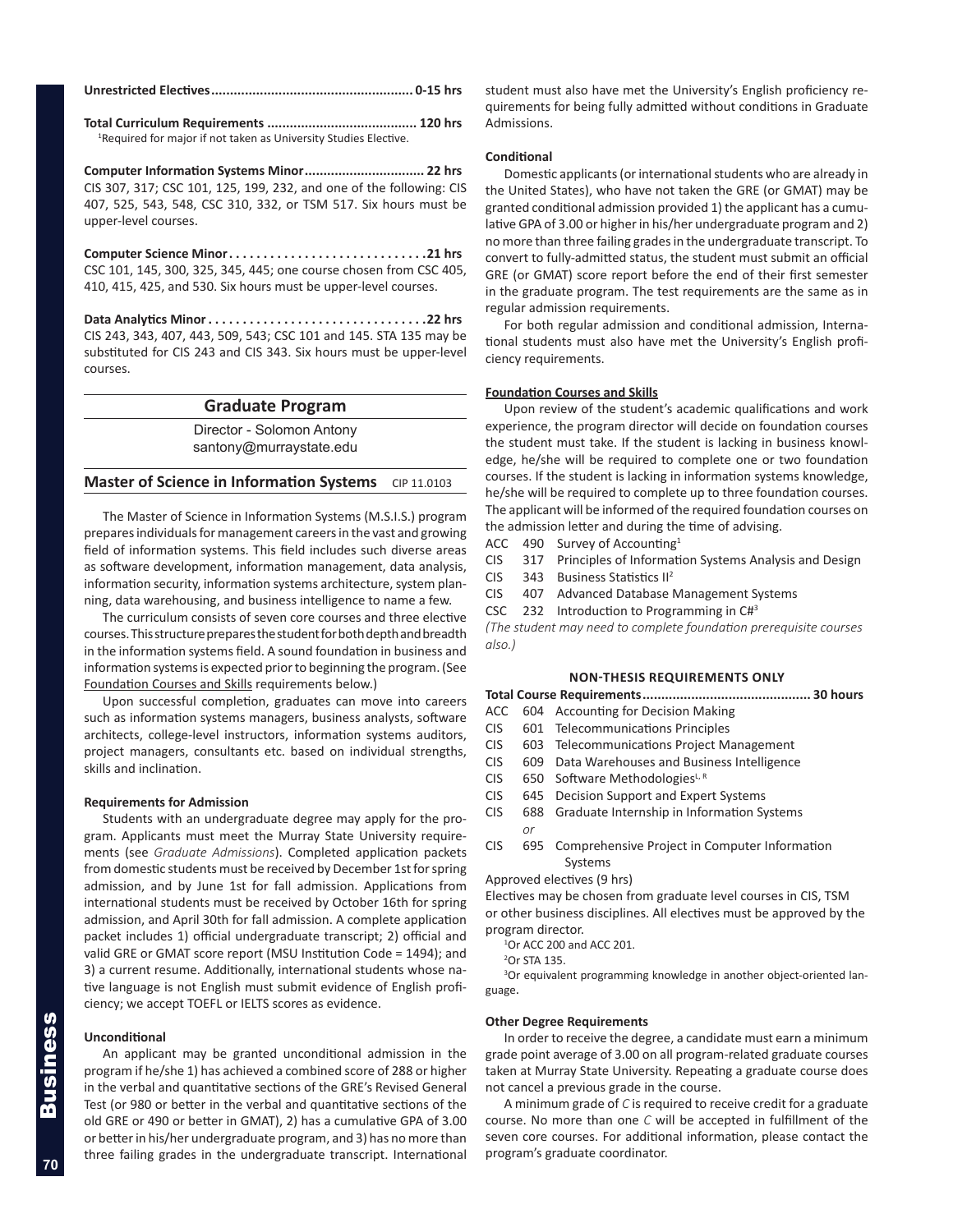**Total Curriculum Requirements ........................................ 120 hrs** <sup>1</sup>Required for major if not taken as University Studies Elective.

**Computer Information Systems Minor................................ 22 hrs** CIS 307, 317; CSC 101, 125, 199, 232, and one of the following: CIS 407, 525, 543, 548, CSC 310, 332, or TSM 517. Six hours must be upper-level courses.

**Computer Science Minor. 21 hrs** CSC 101, 145, 300, 325, 345, 445; one course chosen from CSC 405, 410, 415, 425, and 530. Six hours must be upper-level courses.

**Data Analytics Minor. 22 hrs** CIS 243, 343, 407, 443, 509, 543; CSC 101 and 145. STA 135 may be substituted for CIS 243 and CIS 343. Six hours must be upper-level courses.

## **Graduate Program**

Director - Solomon Antony santony@murraystate.edu

## **Master of Science in Information Systems** CIP 11.0103

The Master of Science in Information Systems (M.S.I.S.) program prepares individuals for management careers in the vast and growing field of information systems. This field includes such diverse areas as software development, information management, data analysis, information security, information systems architecture, system planning, data warehousing, and business intelligence to name a few.

The curriculum consists of seven core courses and three elective courses. This structure prepares the student for both depth and breadth in the information systems field. A sound foundation in business and information systems is expected prior to beginning the program. (See Foundation Courses and Skills requirements below.)

Upon successful completion, graduates can move into careers such as information systems managers, business analysts, software architects, college-level instructors, information systems auditors, project managers, consultants etc. based on individual strengths, skills and inclination.

## **Requirements for Admission**

Students with an undergraduate degree may apply for the program. Applicants must meet the Murray State University requirements (see *Graduate Admissions*). Completed application packets from domestic students must be received by December 1st for spring admission, and by June 1st for fall admission. Applications from international students must be received by October 16th for spring admission, and April 30th for fall admission. A complete application packet includes 1) official undergraduate transcript; 2) official and valid GRE or GMAT score report (MSU Institution Code = 1494); and 3) a current resume. Additionally, international students whose native language is not English must submit evidence of English proficiency; we accept TOEFL or IELTS scores as evidence.

#### **Unconditional**

An applicant may be granted unconditional admission in the program if he/she 1) has achieved a combined score of 288 or higher in the verbal and quantitative sections of the GRE's Revised General Test (or 980 or better in the verbal and quantitative sections of the old GRE or 490 or better in GMAT), 2) has a cumulative GPA of 3.00 or better in his/her undergraduate program, and 3) has no more than three failing grades in the undergraduate transcript. International

student must also have met the University's English proficiency requirements for being fully admitted without conditions in Graduate Admissions.

#### **Conditional**

Domestic applicants (or international students who are already in the United States), who have not taken the GRE (or GMAT) may be granted conditional admission provided 1) the applicant has a cumulative GPA of 3.00 or higher in his/her undergraduate program and 2) no more than three failing grades in the undergraduate transcript. To convert to fully-admitted status, the student must submit an official GRE (or GMAT) score report before the end of their first semester in the graduate program. The test requirements are the same as in regular admission requirements.

For both regular admission and conditional admission, International students must also have met the University's English proficiency requirements.

#### **Foundation Courses and Skills**

Upon review of the student's academic qualifications and work experience, the program director will decide on foundation courses the student must take. If the student is lacking in business knowledge, he/she will be required to complete one or two foundation courses. If the student is lacking in information systems knowledge, he/she will be required to complete up to three foundation courses. The applicant will be informed of the required foundation courses on the admission letter and during the time of advising.

- ACC 490 Survey of Accounting<sup>1</sup>
- CIS 317 Principles of Information Systems Analysis and Design
- CIS 343 Business Statistics II2
- CIS 407 Advanced Database Management Systems
- CSC 232 Introduction to Programming in  $CH<sup>3</sup>$

*(The student may need to complete foundation prerequisite courses also.)*

#### **NON-THESIS REQUIREMENTS ONLY**

**Total Course Requirements............................................. 30 hours**

- ACC 604 Accounting for Decision Making
- CIS 601 Telecommunications Principles
- CIS 603 Telecommunications Project Management
- CIS 609 Data Warehouses and Business Intelligence
- CIS 650 Software MethodologiesL, R
- CIS 645 Decision Support and Expert Systems
- CIS 688 Graduate Internship in Information Systems

CIS 695 Comprehensive Project in Computer Information Systems

Approved electives (9 hrs)

Electives may be chosen from graduate level courses in CIS, TSM or other business disciplines. All electives must be approved by the program director.

<sup>1</sup>Or ACC 200 and ACC 201.

2 Or STA 135.

<sup>3</sup>Or equivalent programming knowledge in another object-oriented language.

#### **Other Degree Requirements**

In order to receive the degree, a candidate must earn a minimum grade point average of 3.00 on all program-related graduate courses taken at Murray State University. Repeating a graduate course does not cancel a previous grade in the course.

A minimum grade of *C* is required to receive credit for a graduate course. No more than one *C* will be accepted in fulfillment of the seven core courses. For additional information, please contact the program's graduate coordinator.

**70**

*or*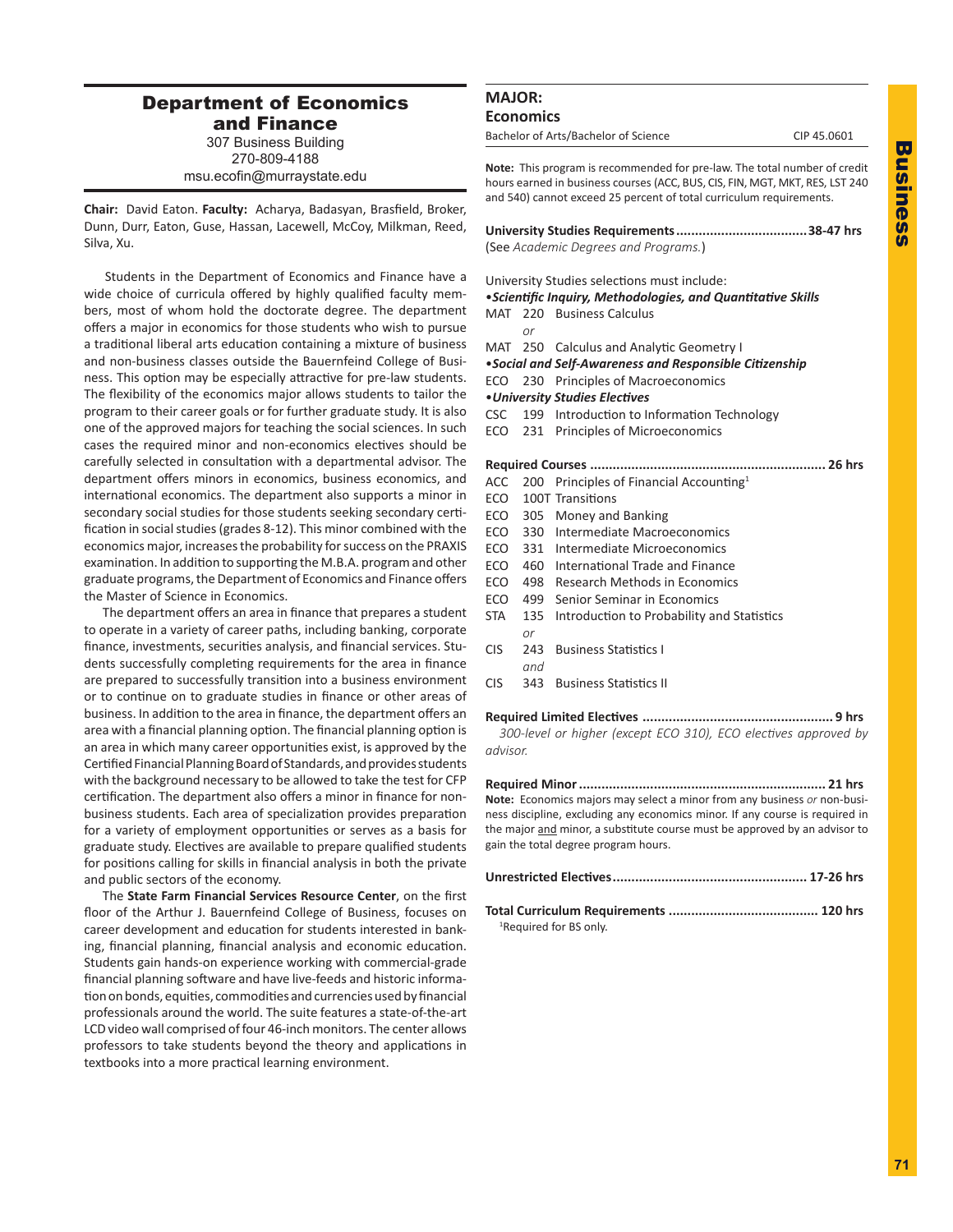## Department of Economics and Finance

307 Business Building 270-809-4188

msu.ecofin@murraystate.edu

**Chair:** David Eaton. **Faculty:** Acharya, Badasyan, Brasfield, Broker, Dunn, Durr, Eaton, Guse, Hassan, Lacewell, McCoy, Milkman, Reed, Silva, Xu.

Students in the Department of Economics and Finance have a wide choice of curricula offered by highly qualified faculty members, most of whom hold the doctorate degree. The department offers a major in economics for those students who wish to pursue a traditional liberal arts education containing a mixture of business and non-business classes outside the Bauernfeind College of Business. This option may be especially attractive for pre-law students. The flexibility of the economics major allows students to tailor the program to their career goals or for further graduate study. It is also one of the approved majors for teaching the social sciences. In such cases the required minor and non-economics electives should be carefully selected in consultation with a departmental advisor. The department offers minors in economics, business economics, and international economics. The department also supports a minor in secondary social studies for those students seeking secondary certification in social studies (grades 8-12). This minor combined with the economics major, increases the probability for success on the PRAXIS examination. In addition to supporting the M.B.A. program and other graduate programs, the Department of Economics and Finance offers the Master of Science in Economics.

The department offers an area in finance that prepares a student to operate in a variety of career paths, including banking, corporate finance, investments, securities analysis, and financial services. Students successfully completing requirements for the area in finance are prepared to successfully transition into a business environment or to continue on to graduate studies in finance or other areas of business. In addition to the area in finance, the department offers an area with a financial planning option. The financial planning option is an area in which many career opportunities exist, is approved by the Certified Financial Planning Board of Standards, and provides students with the background necessary to be allowed to take the test for CFP certification. The department also offers a minor in finance for nonbusiness students. Each area of specialization provides preparation for a variety of employment opportunities or serves as a basis for graduate study. Electives are available to prepare qualified students for positions calling for skills in financial analysis in both the private and public sectors of the economy.

 The **State Farm Financial Services Resource Center**, on the first floor of the Arthur J. Bauernfeind College of Business, focuses on career development and education for students interested in banking, financial planning, financial analysis and economic education. Students gain hands-on experience working with commercial-grade financial planning software and have live-feeds and historic information on bonds, equities, commodities and currencies used by financial professionals around the world. The suite features a state-of-the-art LCD video wall comprised of four 46-inch monitors. The center allows professors to take students beyond the theory and applications in textbooks into a more practical learning environment.

## **MAJOR: Economics**

Bachelor of Arts/Bachelor of Science CIP 45.0601

**Note:** This program is recommended for pre-law. The total number of credit

hours earned in business courses (ACC, BUS, CIS, FIN, MGT, MKT, RES, LST 240 and 540) cannot exceed 25 percent of total curriculum requirements.

**University Studies Requirements...................................38-47 hrs** (See *Academic Degrees and Programs.*)

University Studies selections must include:

- •*Scientific Inquiry, Methodologies, and Quantitative Skills*
- MAT 220 Business Calculus *or*
- MAT 250 Calculus and Analytic Geometry I
- •*Social and Self-Awareness and Responsible Citizenship*
- ECO 230 Principles of Macroeconomics
- •*University Studies Electives*
- CSC 199 Introduction to Information Technology
- ECO 231 Principles of Microeconomics

**Required Courses ............................................................... 26 hrs** ACC 200 Principles of Financial Accounting<sup>1</sup>

- ECO 100T Transitions
- ECO 305 Money and Banking
- ECO 330 Intermediate Macroeconomics
- ECO 331 Intermediate Microeconomics
- ECO 460 International Trade and Finance
- ECO 498 Research Methods in Economics
- ECO 499 Senior Seminar in Economics
- STA 135 Introduction to Probability and Statistics *or*
- CIS 243 Business Statistics I

*and*

CIS 343 Business Statistics II

## **Required Limited Electives ................................................... 9 hrs**

*300-level or higher (except ECO 310), ECO electives approved by advisor.* 

**Required Minor.................................................................. 21 hrs Note:** Economics majors may select a minor from any business *or* non-business discipline, excluding any economics minor. If any course is required in the major and minor, a substitute course must be approved by an advisor to gain the total degree program hours.

**Total Curriculum Requirements ........................................ 120 hrs** <sup>1</sup>Required for BS only.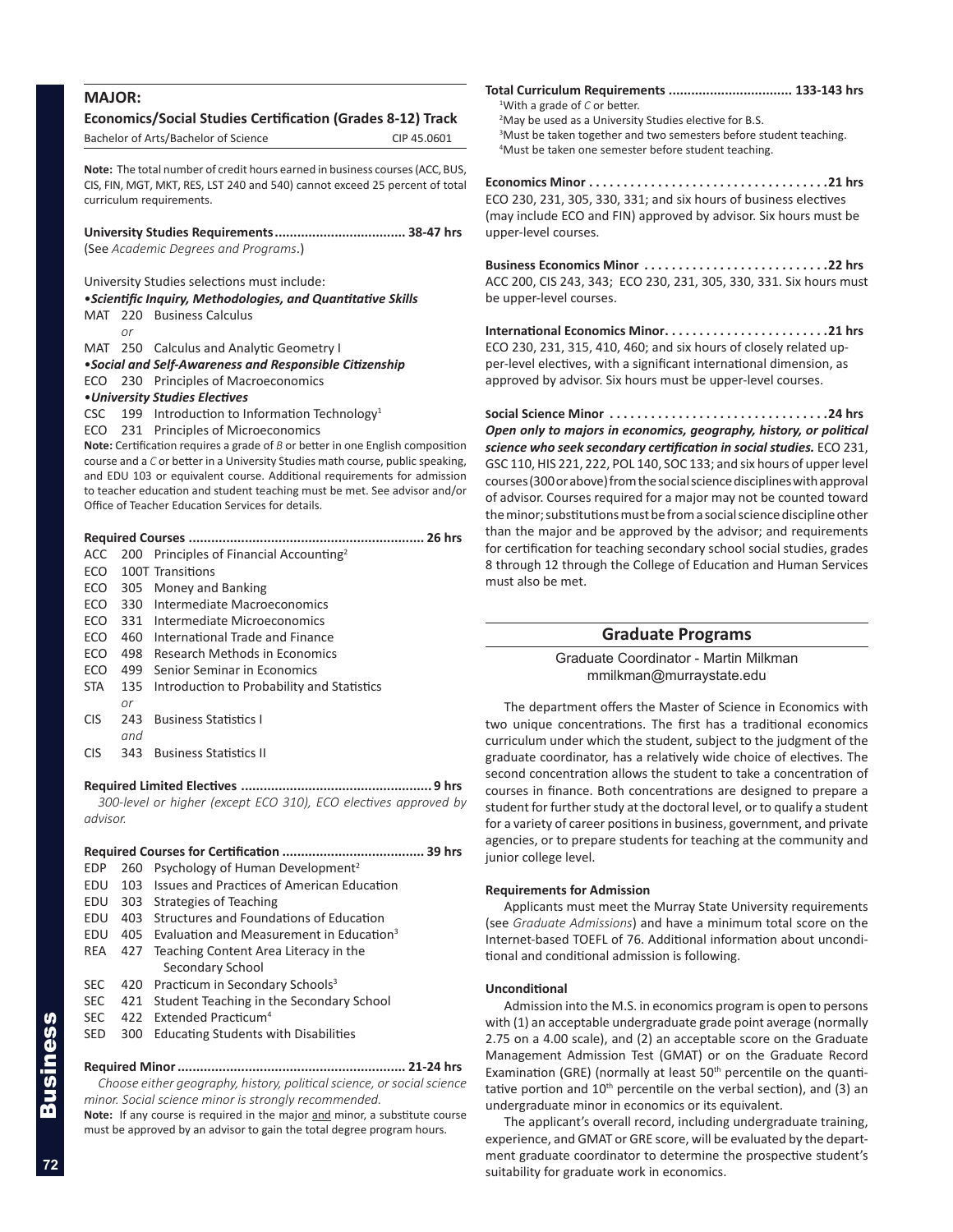| <b>MAJOR:</b> |     |                                                                                                                                                                    |             |
|---------------|-----|--------------------------------------------------------------------------------------------------------------------------------------------------------------------|-------------|
|               |     |                                                                                                                                                                    |             |
|               |     | <b>Economics/Social Studies Certification (Grades 8-12) Track</b>                                                                                                  |             |
|               |     | Bachelor of Arts/Bachelor of Science                                                                                                                               | CIP 45.0601 |
|               |     | Note: The total number of credit hours earned in business courses (ACC, BUS,                                                                                       |             |
|               |     | CIS, FIN, MGT, MKT, RES, LST 240 and 540) cannot exceed 25 percent of total                                                                                        |             |
|               |     | curriculum requirements.                                                                                                                                           |             |
|               |     |                                                                                                                                                                    |             |
|               |     | University Studies Requirements  38-47 hrs                                                                                                                         |             |
|               |     | (See Academic Degrees and Programs.)                                                                                                                               |             |
|               |     | University Studies selections must include:                                                                                                                        |             |
|               |     | • Scientific Inquiry, Methodologies, and Quantitative Skills                                                                                                       |             |
| MAT           |     | 220 Business Calculus                                                                                                                                              |             |
|               | or  |                                                                                                                                                                    |             |
| MAT           |     | 250 Calculus and Analytic Geometry I                                                                                                                               |             |
|               |     | •Social and Self-Awareness and Responsible Citizenship                                                                                                             |             |
| ECO           | 230 | Principles of Macroeconomics                                                                                                                                       |             |
|               |     | • University Studies Electives                                                                                                                                     |             |
| CSC           |     | 199 Introduction to Information Technology <sup>1</sup>                                                                                                            |             |
| ECO           |     | 231 Principles of Microeconomics                                                                                                                                   |             |
|               |     | Note: Certification requires a grade of $B$ or better in one English composition<br>course and a C or better in a University Studies math course, public speaking, |             |
|               |     | and EDU 103 or equivalent course. Additional requirements for admission                                                                                            |             |
|               |     | to teacher education and student teaching must be met. See advisor and/or                                                                                          |             |
|               |     | Office of Teacher Education Services for details.                                                                                                                  |             |
|               |     |                                                                                                                                                                    |             |
|               |     | Required Courses                                                                                                                                                   | 26 hrs      |
| ACC<br>ECO    | 200 | Principles of Financial Accounting <sup>2</sup><br>100T Transitions                                                                                                |             |
| ECO           | 305 | Money and Banking                                                                                                                                                  |             |
| ECO           | 330 | Intermediate Macroeconomics                                                                                                                                        |             |
| ECO           | 331 | Intermediate Microeconomics                                                                                                                                        |             |
| ECO           | 460 | International Trade and Finance                                                                                                                                    |             |
| ECO           | 498 | Research Methods in Economics                                                                                                                                      |             |
| ECO           | 499 | Senior Seminar in Economics                                                                                                                                        |             |
| STA.          | 135 | Introduction to Probability and Statistics                                                                                                                         |             |
|               | or  |                                                                                                                                                                    |             |
| CIS           | 243 | <b>Business Statistics I</b>                                                                                                                                       |             |
|               | and |                                                                                                                                                                    |             |
| CIS           | 343 | <b>Business Statistics II</b>                                                                                                                                      |             |
|               |     |                                                                                                                                                                    |             |
|               |     | 300-level or higher (except ECO 310), ECO electives approved by                                                                                                    |             |
| advisor.      |     |                                                                                                                                                                    |             |
|               |     |                                                                                                                                                                    |             |
|               |     |                                                                                                                                                                    |             |
| <b>EDP</b>    | 260 | Psychology of Human Development <sup>2</sup>                                                                                                                       |             |
| EDU           | 103 | <b>Issues and Practices of American Education</b>                                                                                                                  |             |
| EDU           | 303 | <b>Strategies of Teaching</b>                                                                                                                                      |             |
| EDU           | 403 | Structures and Foundations of Education                                                                                                                            |             |
| EDU           | 405 | Evaluation and Measurement in Education <sup>3</sup>                                                                                                               |             |
| REA           | 427 | Teaching Content Area Literacy in the                                                                                                                              |             |

- Secondary School SEC 420 Practicum in Secondary Schools<sup>3</sup> SEC 421 Student Teaching in the Secondary School
- 
- SEC 422 Extended Practicum<sup>4</sup>
- SED 300 Educating Students with Disabilities

## **Required Minor............................................................. 21-24 hrs** *Choose either geography, history, political science, or social science*

*minor. Social science minor is strongly recommended.*

Note: If any course is required in the major and minor, a substitute course must be approved by an advisor to gain the total degree program hours.

**Total Curriculum Requirements ................................. 133-143 hrs** 1 With a grade of *C* or better. <sup>2</sup>May be used as a University Studies elective for B.S.

<sup>3</sup>Must be taken together and two semesters before student teaching. 4 Must be taken one semester before student teaching.

**Economics Minor . 21 hrs** ECO 230, 231, 305, 330, 331; and six hours of business electives (may include ECO and FIN) approved by advisor. Six hours must be upper-level courses.

**Business Economics Minor . 22 hrs** ACC 200, CIS 243, 343; ECO 230, 231, 305, 330, 331. Six hours must be upper-level courses.

**International Economics Minor. 21 hrs** ECO 230, 231, 315, 410, 460; and six hours of closely related upper-level electives, with a significant international dimension, as approved by advisor. Six hours must be upper-level courses.

**Social Science Minor. 24 hrs** *Open only to majors in economics, geography, history, or political science who seek secondary certification in social studies.* ECO 231, GSC 110, HIS 221, 222, POL 140, SOC 133; and six hours of upper level courses (300 or above) from the social science disciplines with approval of advisor. Courses required for a major may not be counted toward the minor; substitutions must be from a social science discipline other than the major and be approved by the advisor; and requirements for certification for teaching secondary school social studies, grades 8 through 12 through the College of Education and Human Services must also be met.

## **Graduate Programs**

Graduate Coordinator - Martin Milkman mmilkman@murraystate.edu

The department offers the Master of Science in Economics with two unique concentrations. The first has a traditional economics curriculum under which the student, subject to the judgment of the graduate coordinator, has a relatively wide choice of electives. The second concentration allows the student to take a concentration of courses in finance. Both concentrations are designed to prepare a student for further study at the doctoral level, or to qualify a student for a variety of career positions in business, government, and private agencies, or to prepare students for teaching at the community and junior college level.

## **Requirements for Admission**

Applicants must meet the Murray State University requirements (see *Graduate Admissions*) and have a minimum total score on the Internet-based TOEFL of 76. Additional information about unconditional and conditional admission is following.

## **Unconditional**

Admission into the M.S. in economics program is open to persons with (1) an acceptable undergraduate grade point average (normally 2.75 on a 4.00 scale), and (2) an acceptable score on the Graduate Management Admission Test (GMAT) or on the Graduate Record Examination (GRE) (normally at least  $50<sup>th</sup>$  percentile on the quantitative portion and  $10<sup>th</sup>$  percentile on the verbal section), and (3) an undergraduate minor in economics or its equivalent.

The applicant's overall record, including undergraduate training, experience, and GMAT or GRE score, will be evaluated by the department graduate coordinator to determine the prospective student's suitability for graduate work in economics.

**72**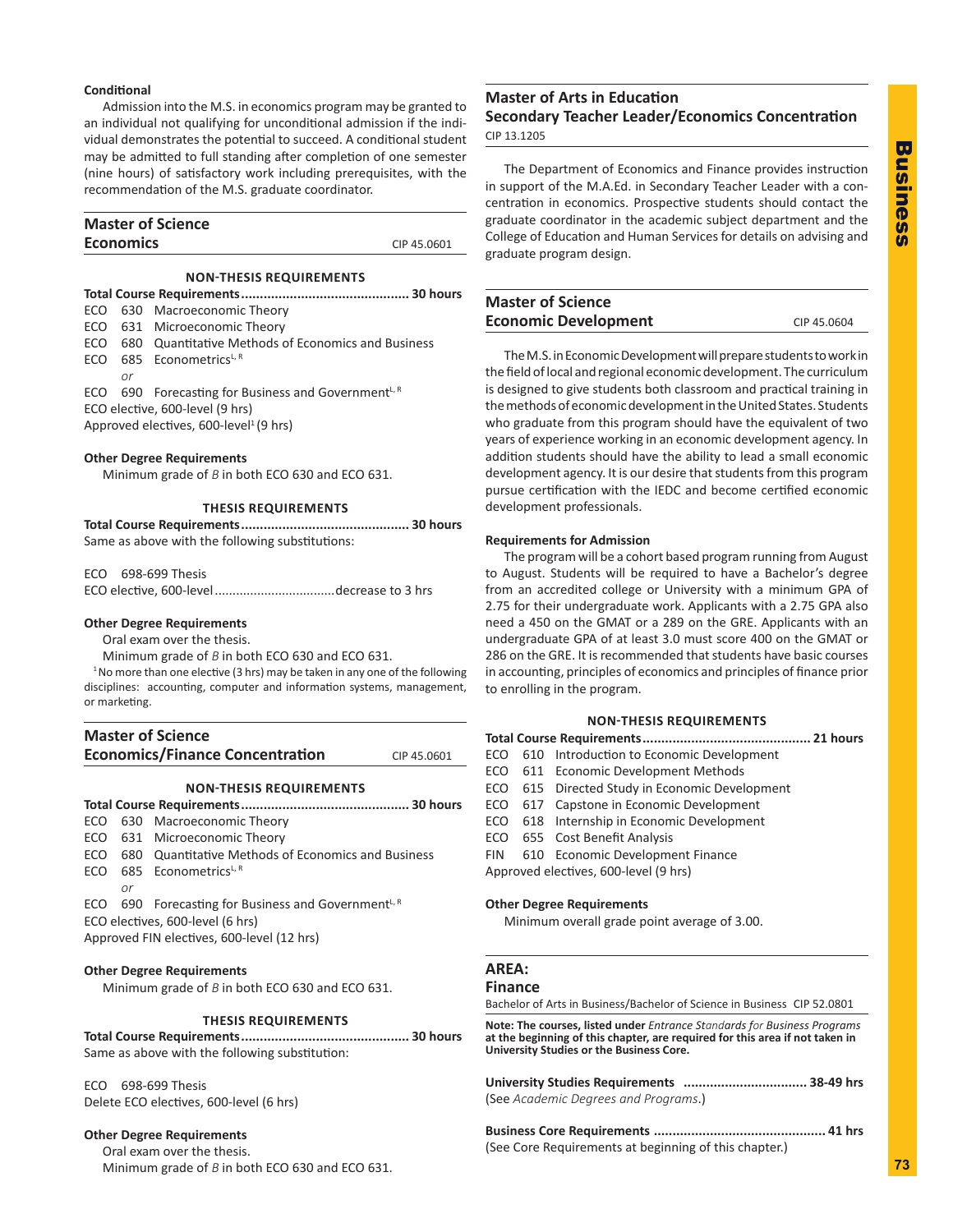# **Business** Business

## **Conditional**

Admission into the M.S. in economics program may be granted to an individual not qualifying for unconditional admission if the individual demonstrates the potential to succeed. A conditional student may be admitted to full standing after completion of one semester (nine hours) of satisfactory work including prerequisites, with the recommendation of the M.S. graduate coordinator.

## **Master of Science Economics** CIP 45.0601

## **NON-THESIS REQUIREMENTS**

- **Total Course Requirements............................................. 30 hours** ECO 630 Macroeconomic Theory
- ECO 631 Microeconomic Theory
- ECO 680 Quantitative Methods of Economics and Business
- ECO 685 Econometrics<sup>L, R</sup>

*or*

ECO 690 Forecasting for Business and Government $L, R$ ECO elective, 600-level (9 hrs)

Approved electives, 600-level<sup>1</sup> (9 hrs)

## **Other Degree Requirements**

Minimum grade of *B* in both ECO 630 and ECO 631.

## **THESIS REQUIREMENTS**

| Same as above with the following substitutions: |  |
|-------------------------------------------------|--|

ECO 698-699 Thesis

ECO elective, 600-level..................................decrease to 3 hrs

## **Other Degree Requirements**

Oral exam over the thesis.

Minimum grade of *B* in both ECO 630 and ECO 631.

<sup>1</sup> No more than one elective (3 hrs) may be taken in any one of the following disciplines: accounting, computer and information systems, management, or marketing.

| <b>Master of Science</b>               |             |
|----------------------------------------|-------------|
| <b>Economics/Finance Concentration</b> | CIP 45.0601 |

## **NON-THESIS REQUIREMENTS**

|                                                   |                                            | ECO 630 Macroeconomic Theory                                    |  |  |
|---------------------------------------------------|--------------------------------------------|-----------------------------------------------------------------|--|--|
|                                                   |                                            | ECO 631 Microeconomic Theory                                    |  |  |
|                                                   |                                            | ECO 680 Quantitative Methods of Economics and Business          |  |  |
|                                                   |                                            | ECO 685 Econometrics <sup>L, R</sup>                            |  |  |
|                                                   | or                                         |                                                                 |  |  |
|                                                   |                                            | ECO 690 Forecasting for Business and Government <sup>L, R</sup> |  |  |
|                                                   |                                            | ECO electives, 600-level (6 hrs)                                |  |  |
|                                                   | Approved FIN electives, 600-level (12 hrs) |                                                                 |  |  |
|                                                   |                                            |                                                                 |  |  |
| <b>Other Degree Requirements</b>                  |                                            |                                                                 |  |  |
| Minimum grade of $B$ in both ECO 630 and ECO 631. |                                            |                                                                 |  |  |
|                                                   |                                            |                                                                 |  |  |
|                                                   | <b>THESIS REQUIREMENTS</b>                 |                                                                 |  |  |

**Total Course Requirements............................................. 30 hours** Same as above with the following substitution:

ECO 698-699 Thesis Delete ECO electives, 600-level (6 hrs)

## **Other Degree Requirements**

Oral exam over the thesis. Minimum grade of *B* in both ECO 630 and ECO 631.

## **Master of Arts in Education Secondary Teacher Leader/Economics Concentration**

CIP 13.1205

The Department of Economics and Finance provides instruction in support of the M.A.Ed. in Secondary Teacher Leader with a concentration in economics. Prospective students should contact the graduate coordinator in the academic subject department and the College of Education and Human Services for details on advising and graduate program design.

## **Master of Science Economic Development** CIP 45.0604

The M.S. in Economic Development will prepare students to work in the field of local and regional economic development. The curriculum is designed to give students both classroom and practical training in the methods of economic development in the United States. Students who graduate from this program should have the equivalent of two years of experience working in an economic development agency. In addition students should have the ability to lead a small economic development agency. It is our desire that students from this program pursue certification with the IEDC and become certified economic development professionals.

## **Requirements for Admission**

The program will be a cohort based program running from August to August. Students will be required to have a Bachelor's degree from an accredited college or University with a minimum GPA of 2.75 for their undergraduate work. Applicants with a 2.75 GPA also need a 450 on the GMAT or a 289 on the GRE. Applicants with an undergraduate GPA of at least 3.0 must score 400 on the GMAT or 286 on the GRE. It is recommended that students have basic courses in accounting, principles of economics and principles of finance prior to enrolling in the program.

## **NON-THESIS REQUIREMENTS**

|                                       |  | 21 hours                                       |  |
|---------------------------------------|--|------------------------------------------------|--|
| ECO                                   |  | 610 Introduction to Economic Development       |  |
|                                       |  | ECO 611 Economic Development Methods           |  |
|                                       |  | ECO 615 Directed Study in Economic Development |  |
|                                       |  | ECO 617 Capstone in Economic Development       |  |
|                                       |  | ECO 618 Internship in Economic Development     |  |
|                                       |  | ECO 655 Cost Benefit Analysis                  |  |
| <b>FIN</b>                            |  | 610 Economic Development Finance               |  |
| Approved electives, 600-level (9 hrs) |  |                                                |  |
|                                       |  |                                                |  |

## **Other Degree Requirements**

Minimum overall grade point average of 3.00.

## **AREA:**

## **Finance**

Bachelor of Arts in Business/Bachelor of Science in Business CIP 52.0801

**Note: The courses, listed under** *Entrance Standards for Business Programs* **at the beginning of this chapter, are required for this area if not taken in University Studies or the Business Core.**

| (See Academic Degrees and Programs.) |                 |
|--------------------------------------|-----------------|
| Dusiasee Care Deputramente           | $11 \text{ km}$ |

**Business Core Requirements .............................................. 41 hrs** (See Core Requirements at beginning of this chapter.)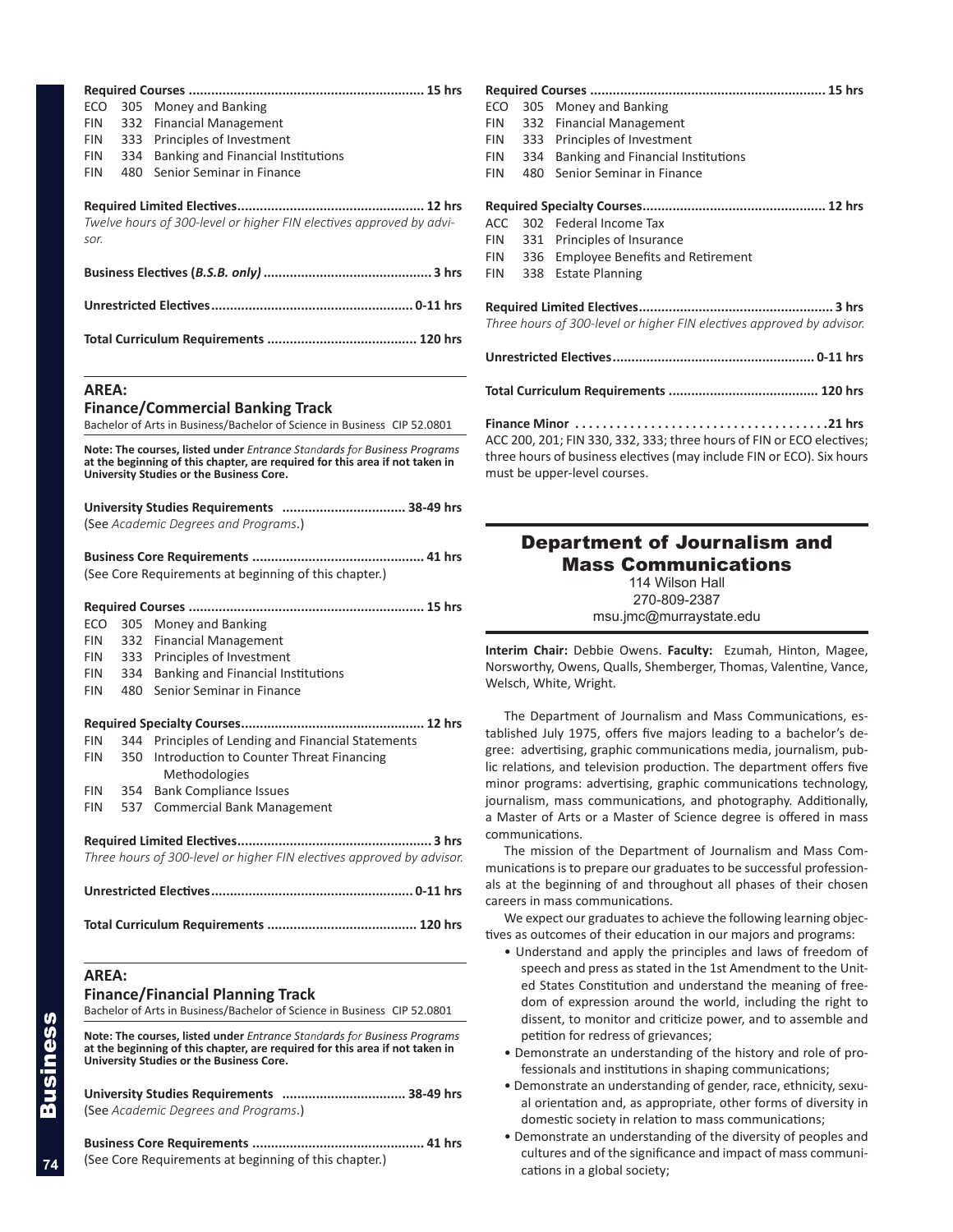| ECO               | 305        | Money and Banking                                                                                                                                                                                    | Requ<br>ECO       |
|-------------------|------------|------------------------------------------------------------------------------------------------------------------------------------------------------------------------------------------------------|-------------------|
| <b>FIN</b>        | 332        | <b>Financial Management</b>                                                                                                                                                                          | <b>FIN</b>        |
| <b>FIN</b>        | 333        | Principles of Investment                                                                                                                                                                             | <b>FIN</b>        |
| <b>FIN</b>        | 334        | <b>Banking and Financial Institutions</b>                                                                                                                                                            | <b>FIN</b>        |
| <b>FIN</b>        | 480        | Senior Seminar in Finance                                                                                                                                                                            | <b>FIN</b>        |
|                   |            |                                                                                                                                                                                                      | Requ              |
| sor.              |            | Twelve hours of 300-level or higher FIN electives approved by advi-                                                                                                                                  | ACC<br><b>FIN</b> |
|                   |            |                                                                                                                                                                                                      | <b>FIN</b>        |
|                   |            |                                                                                                                                                                                                      | <b>FIN</b>        |
|                   |            |                                                                                                                                                                                                      | Requ<br>Three     |
|                   |            |                                                                                                                                                                                                      | Unre              |
| <b>AREA:</b>      |            |                                                                                                                                                                                                      | Total             |
|                   |            | <b>Finance/Commercial Banking Track</b>                                                                                                                                                              |                   |
|                   |            | Bachelor of Arts in Business/Bachelor of Science in Business CIP 52.0801                                                                                                                             | Finar<br>ACC:     |
|                   |            | Note: The courses, listed under Entrance Standards for Business Programs<br>at the beginning of this chapter, are required for this area if not taken in<br>University Studies or the Business Core. | three<br>must     |
|                   |            |                                                                                                                                                                                                      |                   |
|                   |            | (See Academic Degrees and Programs.)                                                                                                                                                                 |                   |
|                   |            | Business Core Requirements<br>41 hrs                                                                                                                                                                 |                   |
|                   |            | (See Core Requirements at beginning of this chapter.)                                                                                                                                                |                   |
|                   |            |                                                                                                                                                                                                      |                   |
|                   |            |                                                                                                                                                                                                      |                   |
| ECO<br><b>FIN</b> | 305<br>332 | Money and Banking<br><b>Financial Management</b>                                                                                                                                                     |                   |
| FIN               | 333        | Principles of Investment                                                                                                                                                                             | Inter             |
| <b>FIN</b>        | 334        | Banking and Financial Institutions                                                                                                                                                                   | Nors <sup>®</sup> |
| <b>FIN</b>        | 480        | Senior Seminar in Finance                                                                                                                                                                            | Wels              |
|                   |            |                                                                                                                                                                                                      | Τł                |
|                   |            |                                                                                                                                                                                                      | tablis            |
| <b>FIN</b>        |            | 344 Principles of Lending and Financial Statements                                                                                                                                                   | gree:             |
| <b>FIN</b>        |            | 350 Introduction to Counter Threat Financing<br>Methodologies                                                                                                                                        | lic re            |
| <b>FIN</b>        | 354        | <b>Bank Compliance Issues</b>                                                                                                                                                                        | mino              |
| <b>FIN</b>        | 537        | <b>Commercial Bank Management</b>                                                                                                                                                                    | jourr             |
|                   |            |                                                                                                                                                                                                      | a Ma<br>comr      |
|                   |            |                                                                                                                                                                                                      | Τł                |
|                   |            | Three hours of 300-level or higher FIN electives approved by advisor.                                                                                                                                | muni<br>als a     |
|                   |            |                                                                                                                                                                                                      | caree             |
|                   |            |                                                                                                                                                                                                      | W<br>tives        |
| <b>AREA:</b>      |            | <b>Finance/Financial Planning Track</b><br>Bachelor of Arts in Business/Bachelor of Science in Business CIP 52.0801                                                                                  |                   |
|                   |            | Note: The courses, listed under Entrance Standards for Business Programs<br>at the beginning of this chapter, are required for this area if not taken in<br>University Studies or the Business Core. |                   |
|                   |            | (See Academic Degrees and Programs.)                                                                                                                                                                 |                   |

**Business Core Requirements .............................................. 41 hrs** (See Core Requirements at beginning of this chapter.)

| ECO                                                                                                                                                                                                                                                                                     |     | 305 Money and Banking                                                 |
|-----------------------------------------------------------------------------------------------------------------------------------------------------------------------------------------------------------------------------------------------------------------------------------------|-----|-----------------------------------------------------------------------|
| FIN                                                                                                                                                                                                                                                                                     |     | 332 Financial Management                                              |
| FIN                                                                                                                                                                                                                                                                                     |     | 333 Principles of Investment                                          |
| FIN                                                                                                                                                                                                                                                                                     | 334 | Banking and Financial Institutions                                    |
| FIN                                                                                                                                                                                                                                                                                     | 480 | Senior Seminar in Finance                                             |
|                                                                                                                                                                                                                                                                                         |     |                                                                       |
| ACC                                                                                                                                                                                                                                                                                     |     | 302 Federal Income Tax                                                |
| FIN                                                                                                                                                                                                                                                                                     |     | 331 Principles of Insurance                                           |
| FIN                                                                                                                                                                                                                                                                                     |     | 336 Employee Benefits and Retirement                                  |
| FIN                                                                                                                                                                                                                                                                                     |     | 338 Estate Planning                                                   |
|                                                                                                                                                                                                                                                                                         |     |                                                                       |
|                                                                                                                                                                                                                                                                                         |     | Three hours of 300-level or higher FIN electives approved by advisor. |
|                                                                                                                                                                                                                                                                                         |     |                                                                       |
|                                                                                                                                                                                                                                                                                         |     |                                                                       |
| Finance Minor $\ldots \ldots \ldots \ldots \ldots \ldots \ldots \ldots \ldots \ldots \ldots$ . 21 hrs<br>ACC 200, 201; FIN 330, 332, 333; three hours of FIN or ECO electives;<br>three hours of business electives (may include FIN or ECO). Six hours<br>must be upper-level courses. |     |                                                                       |

| <b>Department of Journalism and</b><br><b>Mass Communications</b><br>114 Wilson Hall<br>270-809-2387<br>msu.jmc@murraystate.edu                            |
|------------------------------------------------------------------------------------------------------------------------------------------------------------|
| Interim Chair: Debbie Owens. Faculty: Ezumah, Hinton, Magee,<br>Norsworthy, Owens, Qualls, Shemberger, Thomas, Valentine, Vance,<br>Welsch, White, Wright. |

he Department of Journalism and Mass Communications, esshed July 1975, offers five majors leading to a bachelor's deadvertising, graphic communications media, journalism, publations, and television production. The department offers five or programs: advertising, graphic communications technology, ralism, mass communications, and photography. Additionally, aster of Arts or a Master of Science degree is offered in mass munications.

he mission of the Department of Journalism and Mass Comications is to prepare our graduates to be successful professiont the beginning of and throughout all phases of their chosen ers in mass communications.

We expect our graduates to achieve the following learning objecas outcomes of their education in our majors and programs:

- Understand and apply the principles and laws of freedom of speech and press as stated in the 1st Amendment to the United States Constitution and understand the meaning of freedom of expression around the world, including the right to dissent, to monitor and criticize power, and to assemble and petition for redress of grievances;
- Demonstrate an understanding of the history and role of professionals and institutions in shaping communications;
- Demonstrate an understanding of gender, race, ethnicity, sexual orientation and, as appropriate, other forms of diversity in domestic society in relation to mass communications;
- Demonstrate an understanding of the diversity of peoples and cultures and of the significance and impact of mass communications in a global society;

**74**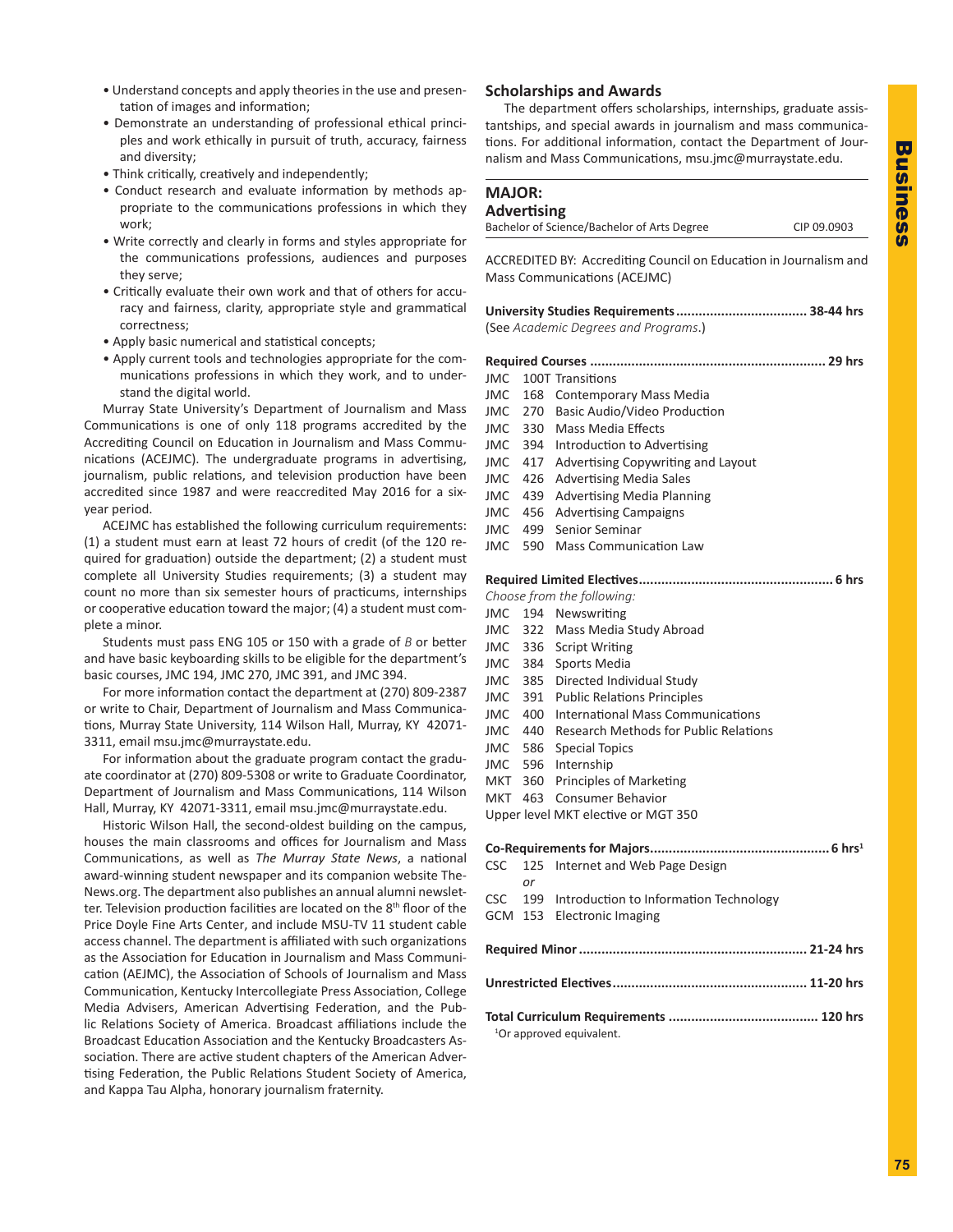- Understand concepts and apply theories in the use and presentation of images and information;
- Demonstrate an understanding of professional ethical principles and work ethically in pursuit of truth, accuracy, fairness and diversity;
- Think critically, creatively and independently;
- Conduct research and evaluate information by methods appropriate to the communications professions in which they work;
- Write correctly and clearly in forms and styles appropriate for the communications professions, audiences and purposes they serve;
- Critically evaluate their own work and that of others for accuracy and fairness, clarity, appropriate style and grammatical correctness;
- Apply basic numerical and statistical concepts;
- Apply current tools and technologies appropriate for the communications professions in which they work, and to understand the digital world.

Murray State University's Department of Journalism and Mass Communications is one of only 118 programs accredited by the Accrediting Council on Education in Journalism and Mass Communications (ACEJMC). The undergraduate programs in advertising, journalism, public relations, and television production have been accredited since 1987 and were reaccredited May 2016 for a sixyear period.

ACEJMC has established the following curriculum requirements: (1) a student must earn at least 72 hours of credit (of the 120 required for graduation) outside the department; (2) a student must complete all University Studies requirements; (3) a student may count no more than six semester hours of practicums, internships or cooperative education toward the major; (4) a student must complete a minor.

Students must pass ENG 105 or 150 with a grade of *B* or better and have basic keyboarding skills to be eligible for the department's basic courses, JMC 194, JMC 270, JMC 391, and JMC 394.

For more information contact the department at (270) 809-2387 or write to Chair, Department of Journalism and Mass Communications, Murray State University, 114 Wilson Hall, Murray, KY 42071- 3311, email msu.jmc@murraystate.edu.

For information about the graduate program contact the graduate coordinator at (270) 809-5308 or write to Graduate Coordinator, Department of Journalism and Mass Communications, 114 Wilson Hall, Murray, KY 42071-3311, email msu.jmc@murraystate.edu.

Historic Wilson Hall, the second-oldest building on the campus, houses the main classrooms and offices for Journalism and Mass Communications, as well as *The Murray State News*, a national award-winning student newspaper and its companion website The-News.org. The department also publishes an annual alumni newsletter. Television production facilities are located on the 8<sup>th</sup> floor of the Price Doyle Fine Arts Center, and include MSU-TV 11 student cable access channel. The department is affiliated with such organizations as the Association for Education in Journalism and Mass Communication (AEJMC), the Association of Schools of Journalism and Mass Communication, Kentucky Intercollegiate Press Association, College Media Advisers, American Advertising Federation, and the Public Relations Society of America. Broadcast affiliations include the Broadcast Education Association and the Kentucky Broadcasters Association. There are active student chapters of the American Advertising Federation, the Public Relations Student Society of America, and Kappa Tau Alpha, honorary journalism fraternity.

## **Scholarships and Awards**

The department offers scholarships, internships, graduate assistantships, and special awards in journalism and mass communications. For additional information, contact the Department of Journalism and Mass Communications, msu.jmc@murraystate.edu.

## **MAJOR: Advertising**

| Bachelor of Science/Bachelor of Arts Degree                                                       | CIP 09.0903 |
|---------------------------------------------------------------------------------------------------|-------------|
| ACCREDITED BY: Accrediting Council on Education in Journalism and<br>Mass Communications (ACEJMC) |             |
| (See Academic Degrees and Programs.)                                                              |             |

| 29 hrs |  |                                            |
|--------|--|--------------------------------------------|
|        |  | JMC 100T Transitions                       |
|        |  | JMC 168 Contemporary Mass Media            |
|        |  | JMC 270 Basic Audio/Video Production       |
|        |  | JMC 330 Mass Media Effects                 |
|        |  | JMC 394 Introduction to Advertising        |
|        |  | JMC 417 Advertising Copywriting and Layout |
|        |  | JMC 426 Advertising Media Sales            |
|        |  | JMC 439 Advertising Media Planning         |
|        |  | JMC 456 Advertising Campaigns              |
|        |  | JMC 499 Senior Seminar                     |
|        |  | JMC 590 Mass Communication Law             |
|        |  |                                            |

## **Required Limited Electives.................................................... 6 hrs**

|         |                                      | Choose from the following:                     |  |  |
|---------|--------------------------------------|------------------------------------------------|--|--|
|         |                                      | JMC 194 Newswriting                            |  |  |
|         |                                      | JMC 322 Mass Media Study Abroad                |  |  |
|         |                                      | JMC 336 Script Writing                         |  |  |
|         |                                      | JMC 384 Sports Media                           |  |  |
| JMC.    |                                      | 385 Directed Individual Study                  |  |  |
|         |                                      | <b>JMC</b> 391 Public Relations Principles     |  |  |
| JMC 400 |                                      | International Mass Communications              |  |  |
| JMC.    |                                      | 440 Research Methods for Public Relations      |  |  |
|         |                                      | JMC 586 Special Topics                         |  |  |
| JMC.    |                                      | 596 Internship                                 |  |  |
|         |                                      | MKT 360 Principles of Marketing                |  |  |
|         |                                      | MKT 463 Consumer Behavior                      |  |  |
|         |                                      | Upper level MKT elective or MGT 350            |  |  |
|         |                                      |                                                |  |  |
|         |                                      |                                                |  |  |
| CSC     | 125                                  | Internet and Web Page Design                   |  |  |
|         | or                                   |                                                |  |  |
|         |                                      | CSC 199 Introduction to Information Technology |  |  |
|         |                                      | GCM 153 Electronic Imaging                     |  |  |
|         |                                      |                                                |  |  |
|         |                                      |                                                |  |  |
|         |                                      |                                                |  |  |
|         |                                      |                                                |  |  |
|         | <sup>1</sup> Or approved equivalent. |                                                |  |  |
|         |                                      |                                                |  |  |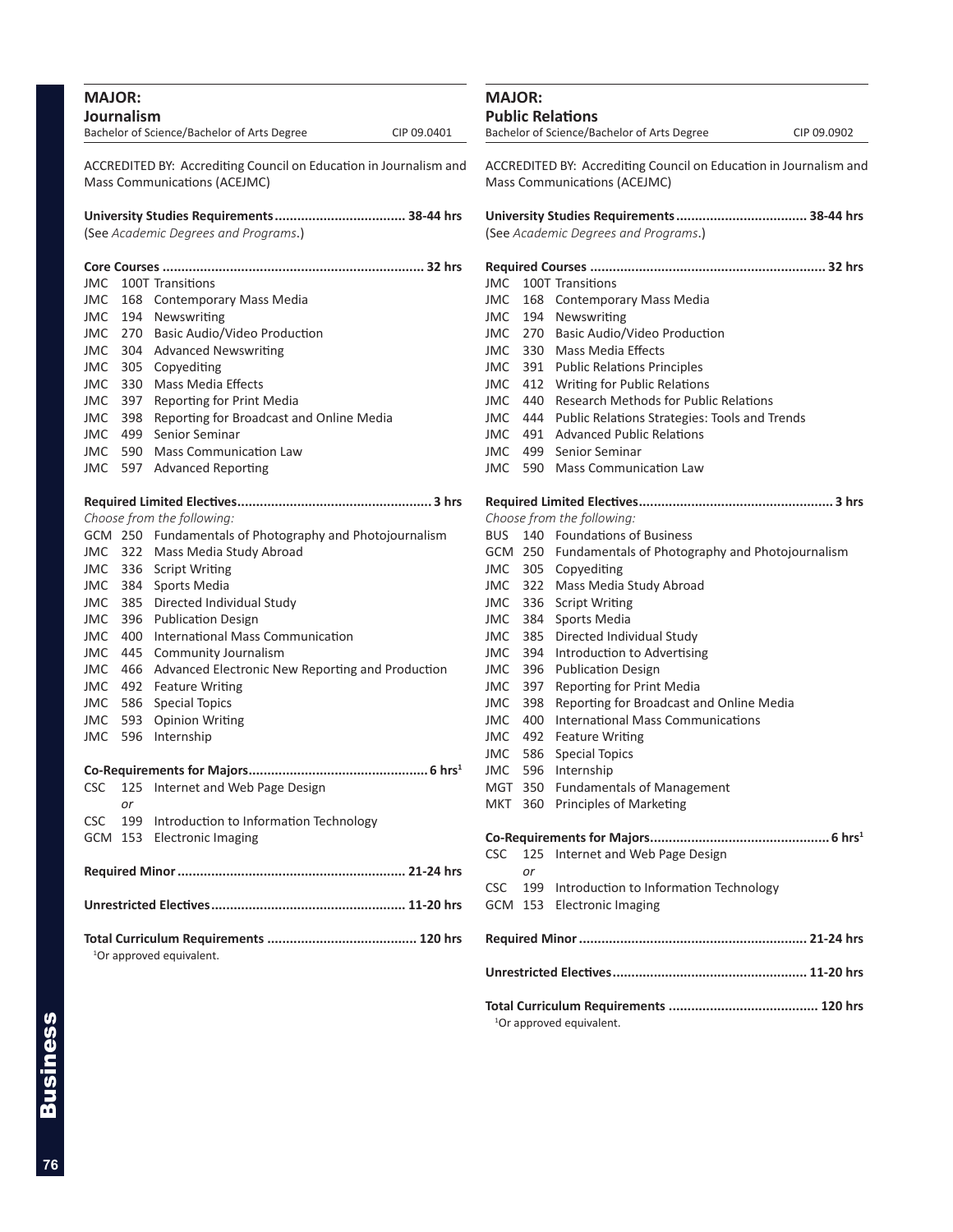| <b>MAJOR:</b> | Journalism                                                                                        |                                                         |             |  |  |
|---------------|---------------------------------------------------------------------------------------------------|---------------------------------------------------------|-------------|--|--|
|               |                                                                                                   | Bachelor of Science/Bachelor of Arts Degree             | CIP 09.0401 |  |  |
|               | ACCREDITED BY: Accrediting Council on Education in Journalism and<br>Mass Communications (ACEJMC) |                                                         |             |  |  |
|               |                                                                                                   | (See Academic Degrees and Programs.)                    |             |  |  |
|               |                                                                                                   |                                                         |             |  |  |
| JMC.          |                                                                                                   | 100T Transitions                                        |             |  |  |
| JMC.          |                                                                                                   | 168 Contemporary Mass Media                             |             |  |  |
| JMC           |                                                                                                   | 194 Newswriting                                         |             |  |  |
| JMC.          |                                                                                                   | 270 Basic Audio/Video Production                        |             |  |  |
| JMC.          |                                                                                                   | 304 Advanced Newswriting                                |             |  |  |
| JMC           |                                                                                                   | 305 Copyediting                                         |             |  |  |
| JMC           |                                                                                                   | 330 Mass Media Effects                                  |             |  |  |
| JMC           | 397                                                                                               | Reporting for Print Media                               |             |  |  |
| JMC           | 398                                                                                               | Reporting for Broadcast and Online Media                |             |  |  |
| JMC.          | 499                                                                                               | Senior Seminar                                          |             |  |  |
| JMC.          | 590                                                                                               | <b>Mass Communication Law</b>                           |             |  |  |
| JMC.          | 597                                                                                               | <b>Advanced Reporting</b>                               |             |  |  |
|               |                                                                                                   |                                                         |             |  |  |
|               |                                                                                                   | Choose from the following:                              |             |  |  |
|               |                                                                                                   | GCM 250 Fundamentals of Photography and Photojournalism |             |  |  |
|               |                                                                                                   | JMC 322 Mass Media Study Abroad                         |             |  |  |
|               |                                                                                                   | JMC 336 Script Writing                                  |             |  |  |
|               | JMC 384                                                                                           | Sports Media                                            |             |  |  |
| JMC.          | 385                                                                                               | Directed Individual Study                               |             |  |  |
| JMC           | 396                                                                                               | <b>Publication Design</b>                               |             |  |  |
| JMC           | 400                                                                                               | International Mass Communication                        |             |  |  |
| JMC           | 445                                                                                               | Community Journalism                                    |             |  |  |
| JMC           | 466                                                                                               | Advanced Electronic New Reporting and Production        |             |  |  |
| JMC           | 492                                                                                               | <b>Feature Writing</b>                                  |             |  |  |
| JMC           | 586                                                                                               | <b>Special Topics</b>                                   |             |  |  |
| JMC.          | 593                                                                                               | <b>Opinion Writing</b>                                  |             |  |  |
| JMC           | 596                                                                                               | Internship                                              |             |  |  |
|               |                                                                                                   |                                                         |             |  |  |
| CSC           | 125                                                                                               | Internet and Web Page Design                            |             |  |  |
|               | or                                                                                                |                                                         |             |  |  |
| <b>CSC</b>    | 199                                                                                               | Introduction to Information Technology                  |             |  |  |
| GCM           | 153                                                                                               | <b>Electronic Imaging</b>                               |             |  |  |
|               |                                                                                                   |                                                         |             |  |  |
|               |                                                                                                   |                                                         |             |  |  |
|               |                                                                                                   |                                                         |             |  |  |
|               |                                                                                                   | <sup>1</sup> Or approved equivalent.                    |             |  |  |
|               |                                                                                                   |                                                         |             |  |  |

| <b>MAJOR:</b><br><b>Public Relations</b>                   |                                                                                                          |                                                         |  |  |
|------------------------------------------------------------|----------------------------------------------------------------------------------------------------------|---------------------------------------------------------|--|--|
| Bachelor of Science/Bachelor of Arts Degree<br>CIP 09.0902 |                                                                                                          |                                                         |  |  |
|                                                            | ACCREDITED BY: Accrediting Council on Education in Journalism and<br><b>Mass Communications (ACEJMC)</b> |                                                         |  |  |
|                                                            |                                                                                                          | University Studies Requirements 38-44 hrs               |  |  |
|                                                            |                                                                                                          | (See Academic Degrees and Programs.)                    |  |  |
|                                                            |                                                                                                          |                                                         |  |  |
| <b>JMC</b>                                                 |                                                                                                          | 100T Transitions                                        |  |  |
| JMC                                                        | 168                                                                                                      | <b>Contemporary Mass Media</b>                          |  |  |
| JMC                                                        | 194                                                                                                      | Newswriting                                             |  |  |
| <b>JMC</b>                                                 |                                                                                                          | 270 Basic Audio/Video Production                        |  |  |
| JMC                                                        |                                                                                                          | 330 Mass Media Effects                                  |  |  |
| <b>JMC</b>                                                 |                                                                                                          | 391 Public Relations Principles                         |  |  |
| JMC                                                        | 412                                                                                                      | <b>Writing for Public Relations</b>                     |  |  |
| JMC                                                        | 440                                                                                                      | <b>Research Methods for Public Relations</b>            |  |  |
| <b>JMC</b>                                                 | 444                                                                                                      | Public Relations Strategies: Tools and Trends           |  |  |
| JMC                                                        | 491                                                                                                      | <b>Advanced Public Relations</b>                        |  |  |
| JMC                                                        | 499                                                                                                      | Senior Seminar                                          |  |  |
| JMC                                                        | 590                                                                                                      | <b>Mass Communication Law</b>                           |  |  |
|                                                            |                                                                                                          |                                                         |  |  |
|                                                            |                                                                                                          |                                                         |  |  |
|                                                            |                                                                                                          | Choose from the following:                              |  |  |
| BUS.                                                       |                                                                                                          | 140 Foundations of Business                             |  |  |
|                                                            |                                                                                                          | GCM 250 Fundamentals of Photography and Photojournalism |  |  |
| JMC                                                        |                                                                                                          | 305 Copyediting                                         |  |  |
| <b>JMC</b>                                                 | 322                                                                                                      | Mass Media Study Abroad                                 |  |  |
| JMC                                                        | 336                                                                                                      | <b>Script Writing</b>                                   |  |  |
| JMC                                                        | 384                                                                                                      | Sports Media                                            |  |  |
| JMC                                                        | 385                                                                                                      | Directed Individual Study                               |  |  |
| JMC                                                        | 394                                                                                                      | Introduction to Advertising                             |  |  |
| JMC                                                        | 396                                                                                                      | <b>Publication Design</b>                               |  |  |
| JMC                                                        | 397                                                                                                      | Reporting for Print Media                               |  |  |
| <b>JMC</b>                                                 | 398                                                                                                      | Reporting for Broadcast and Online Media                |  |  |
| JMC                                                        | 400                                                                                                      | <b>International Mass Communications</b>                |  |  |
| JMC                                                        | 492                                                                                                      | <b>Feature Writing</b>                                  |  |  |
| JMC                                                        | 586                                                                                                      | <b>Special Topics</b>                                   |  |  |
| JMC                                                        | 596                                                                                                      | Internship                                              |  |  |
|                                                            |                                                                                                          | MGT 350 Fundamentals of Management                      |  |  |
| MKT                                                        | 360                                                                                                      | Principles of Marketing                                 |  |  |
|                                                            |                                                                                                          |                                                         |  |  |
| <b>CSC</b>                                                 | 125                                                                                                      | Internet and Web Page Design                            |  |  |
|                                                            | or                                                                                                       |                                                         |  |  |
| <b>CSC</b>                                                 | 199                                                                                                      | Introduction to Information Technology                  |  |  |
|                                                            | GCM 153                                                                                                  | <b>Electronic Imaging</b>                               |  |  |
|                                                            |                                                                                                          |                                                         |  |  |
|                                                            |                                                                                                          |                                                         |  |  |
|                                                            |                                                                                                          |                                                         |  |  |
|                                                            |                                                                                                          |                                                         |  |  |

<sup>1</sup>Or approved equivalent.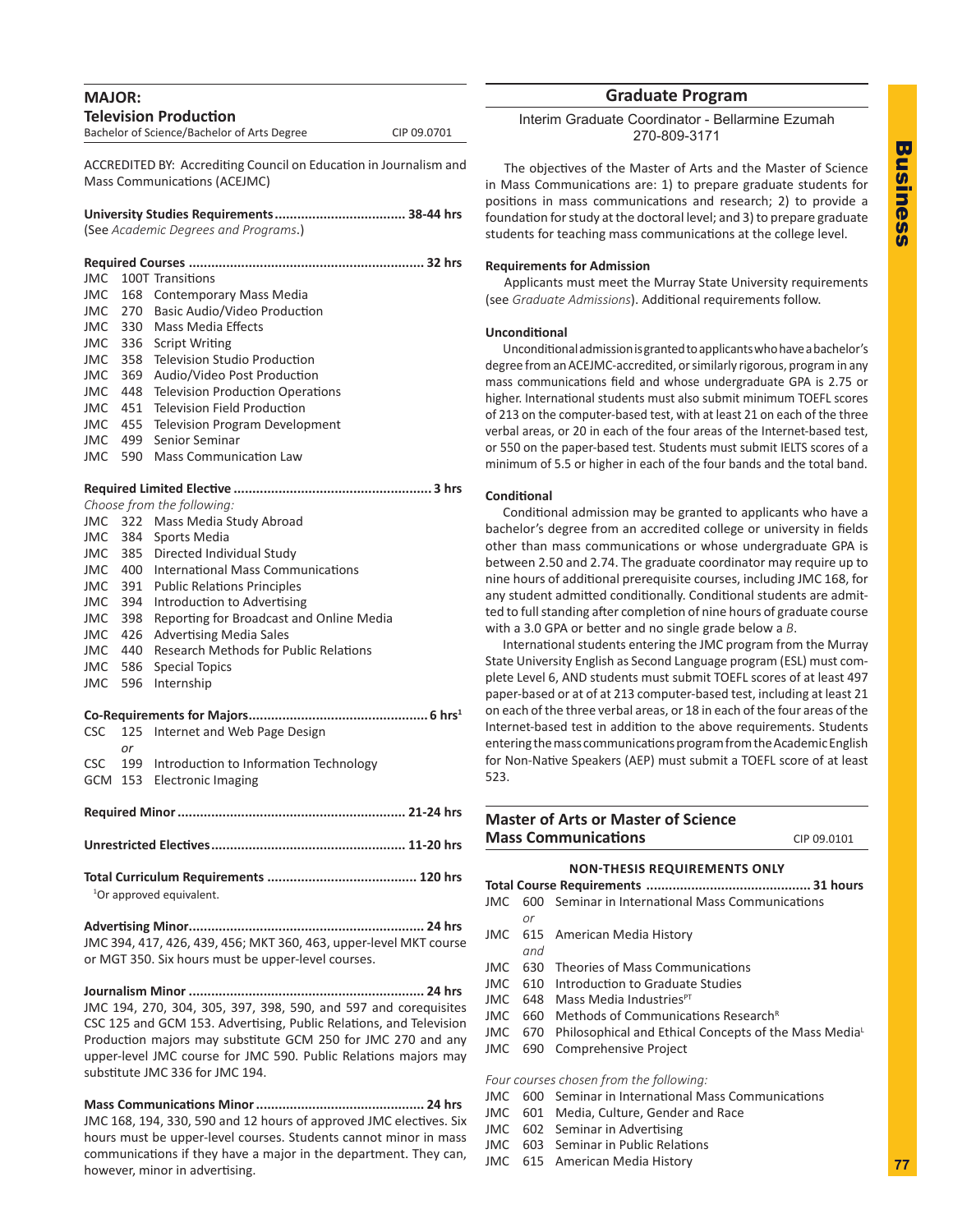| <b>MAJOR:</b> |                |                                                                                                          |             |
|---------------|----------------|----------------------------------------------------------------------------------------------------------|-------------|
|               |                | <b>Television Production</b>                                                                             |             |
|               |                | Bachelor of Science/Bachelor of Arts Degree                                                              | CIP 09.0701 |
|               |                | ACCREDITED BY: Accrediting Council on Education in Journalism and<br><b>Mass Communications (ACEJMC)</b> |             |
|               |                | (See Academic Degrees and Programs.)                                                                     |             |
|               |                |                                                                                                          |             |
|               |                |                                                                                                          |             |
| JMC.<br>JMC   |                | 100T Transitions<br>168 Contemporary Mass Media                                                          |             |
| <b>JMC</b>    |                | 270 Basic Audio/Video Production                                                                         |             |
| JMC           |                | 330 Mass Media Effects                                                                                   |             |
|               |                | JMC 336 Script Writing                                                                                   |             |
|               |                | JMC 358 Television Studio Production                                                                     |             |
| JMC           |                | 369 Audio/Video Post Production                                                                          |             |
| JMC           |                | 448 Television Production Operations                                                                     |             |
|               |                | JMC 451 Television Field Production                                                                      |             |
|               |                | JMC 455 Television Program Development                                                                   |             |
|               |                | JMC 499 Senior Seminar                                                                                   |             |
| <b>JMC</b>    |                | 590 Mass Communication Law                                                                               |             |
|               |                |                                                                                                          |             |
|               |                | Choose from the following:                                                                               |             |
|               |                | JMC 322 Mass Media Study Abroad                                                                          |             |
|               |                | JMC 384 Sports Media                                                                                     |             |
|               |                | JMC 385 Directed Individual Study                                                                        |             |
|               |                | <b>JMC</b> 400 International Mass Communications                                                         |             |
|               |                | JMC 391 Public Relations Principles                                                                      |             |
|               |                | JMC 394 Introduction to Advertising                                                                      |             |
| JMC           | 398            | Reporting for Broadcast and Online Media                                                                 |             |
| JMC           | 426            | <b>Advertising Media Sales</b>                                                                           |             |
|               | JMC 440        | <b>Research Methods for Public Relations</b>                                                             |             |
| JMC           | JMC 586<br>596 | <b>Special Topics</b><br>Internship                                                                      |             |
|               |                |                                                                                                          |             |
|               |                |                                                                                                          |             |
| <b>CSC</b>    |                | 125 Internet and Web Page Design                                                                         |             |
|               | or             |                                                                                                          |             |
| <b>CSC</b>    | 199            | Introduction to Information Technology<br>GCM 153 Electronic Imaging                                     |             |
|               |                |                                                                                                          |             |
|               |                |                                                                                                          |             |
|               |                |                                                                                                          |             |
|               |                |                                                                                                          |             |
|               |                | <sup>1</sup> Or approved equivalent.                                                                     |             |
|               |                |                                                                                                          |             |
|               |                | JMC 394, 417, 426, 439, 456; MKT 360, 463, upper-level MKT course                                        |             |
|               |                | or MGT 350. Six hours must be upper-level courses.                                                       |             |
|               |                |                                                                                                          |             |
|               |                | JMC 194, 270, 304, 305, 397, 398, 590, and 597 and corequisites                                          |             |
|               |                | CSC 125 and GCM 153. Advertising, Public Relations, and Television                                       |             |
|               |                | Production majors may substitute GCM 250 for JMC 270 and any                                             |             |
|               |                | upper-level JMC course for JMC 590. Public Relations majors may                                          |             |

**Mass Communications Minor............................................. 24 hrs** JMC 168, 194, 330, 590 and 12 hours of approved JMC electives. Six hours must be upper-level courses. Students cannot minor in mass communications if they have a major in the department. They can, however, minor in advertising.

substitute JMC 336 for JMC 194.

## **Graduate Program**

Interim Graduate Coordinator - Bellarmine Ezumah 270-809-3171

The objectives of the Master of Arts and the Master of Science in Mass Communications are: 1) to prepare graduate students for positions in mass communications and research; 2) to provide a foundation for study at the doctoral level; and 3) to prepare graduate students for teaching mass communications at the college level.

## **Requirements for Admission**

Applicants must meet the Murray State University requirements (see *Graduate Admissions*). Additional requirements follow.

## **Unconditional**

Unconditional admission is granted to applicants who have a bachelor's degree from an ACEJMC-accredited, or similarly rigorous, program in any mass communications field and whose undergraduate GPA is 2.75 or higher. International students must also submit minimum TOEFL scores of 213 on the computer-based test, with at least 21 on each of the three verbal areas, or 20 in each of the four areas of the Internet-based test, or 550 on the paper-based test. Students must submit IELTS scores of a minimum of 5.5 or higher in each of the four bands and the total band.

#### **Conditional**

Conditional admission may be granted to applicants who have a bachelor's degree from an accredited college or university in fields other than mass communications or whose undergraduate GPA is between 2.50 and 2.74. The graduate coordinator may require up to nine hours of additional prerequisite courses, including JMC 168, for any student admitted conditionally. Conditional students are admitted to full standing after completion of nine hours of graduate course with a 3.0 GPA or better and no single grade below a *B*.

International students entering the JMC program from the Murray State University English as Second Language program (ESL) must complete Level 6, AND students must submit TOEFL scores of at least 497 paper-based or at of at 213 computer-based test, including at least 21 on each of the three verbal areas, or 18 in each of the four areas of the Internet-based test in addition to the above requirements. Students entering the mass communications program from the Academic English for Non-Native Speakers (AEP) must submit a TOEFL score of at least 523.

## **Master of Arts or Master of Science Mass Communications** CIP 09.0101

## **NON-THESIS REQUIREMENTS ONLY**

|     | JMC 600 Seminar in International Mass Communications         |  |
|-----|--------------------------------------------------------------|--|
| or  |                                                              |  |
|     | JMC 615 American Media History                               |  |
| and |                                                              |  |
|     | JMC 630 Theories of Mass Communications                      |  |
|     | JMC 610 Introduction to Graduate Studies                     |  |
|     | JMC 648 Mass Media Industries <sup>PT</sup>                  |  |
|     | JMC 660 Methods of Communications Research <sup>R</sup>      |  |
|     | JMC 670 Philosophical and Ethical Concepts of the Mass Media |  |
|     | JMC 690 Comprehensive Project                                |  |
|     |                                                              |  |
|     | Four courses chosen from the following:                      |  |
|     | JMC 600 Seminar in International Mass Communications         |  |

- JMC 601 Media, Culture, Gender and Race
- JMC 602 Seminar in Advertising
- JMC 603 Seminar in Public Relations
- JMC 615 American Media History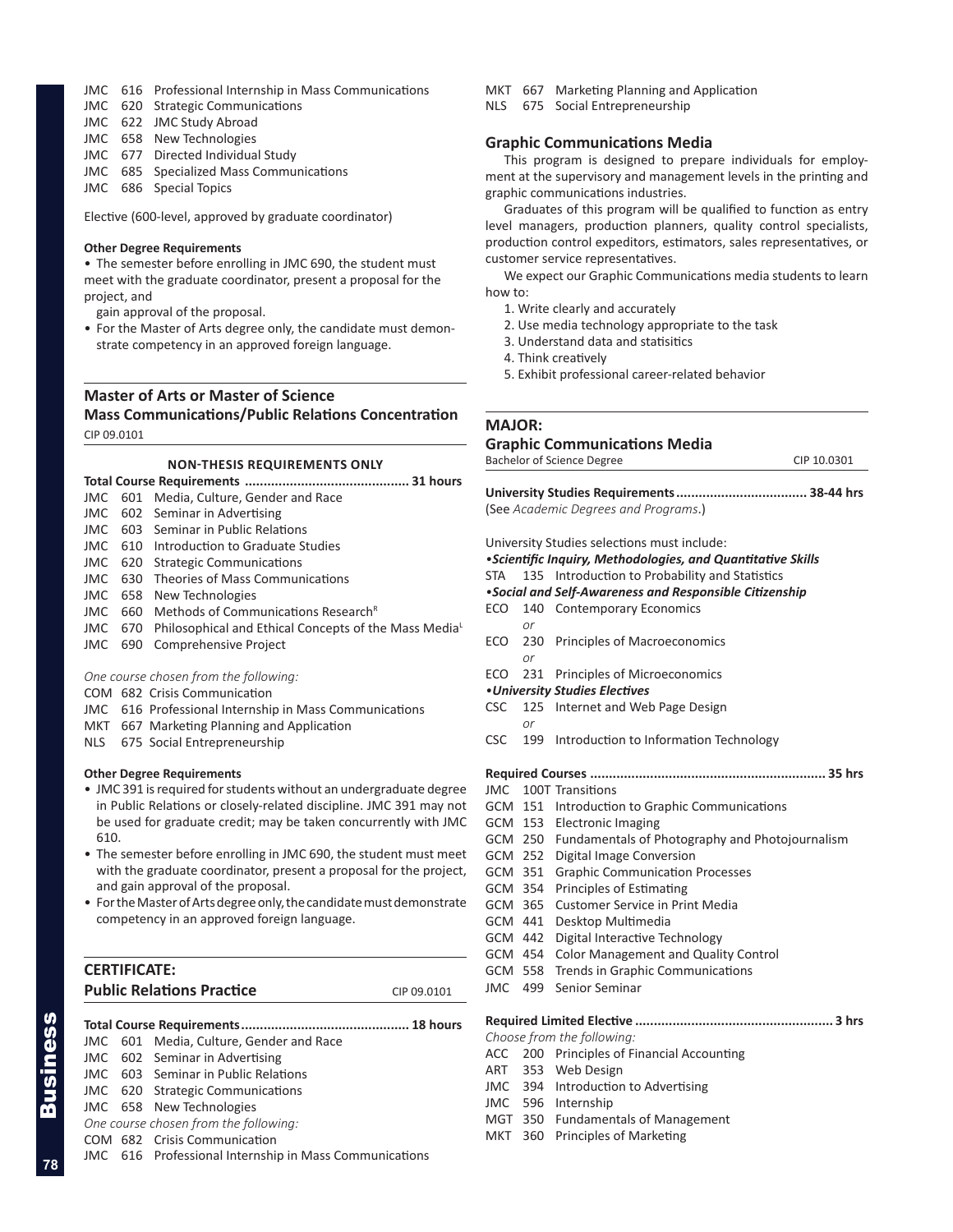## JMC 616 Professional Internship in Mass Communications

- JMC 620 Strategic Communications
- JMC 622 JMC Study Abroad
- JMC 658 New Technologies
- JMC 677 Directed Individual Study
- JMC 685 Specialized Mass Communications
- JMC 686 Special Topics

Elective (600-level, approved by graduate coordinator)

#### **Other Degree Requirements**

• The semester before enrolling in JMC 690, the student must meet with the graduate coordinator, present a proposal for the project, and

gain approval of the proposal.

• For the Master of Arts degree only, the candidate must demonstrate competency in an approved foreign language.

## **Master of Arts or Master of Science Mass Communications/Public Relations Concentration** CIP 09.0101

#### **NON-THESIS REQUIREMENTS ONLY**

| JMC   | 601 | Media, Culture, Gender and Race                                   |  |
|-------|-----|-------------------------------------------------------------------|--|
| JMC   |     | 602 Seminar in Advertising                                        |  |
| JMC.  |     | 603 Seminar in Public Relations                                   |  |
| JMC.  | 610 | Introduction to Graduate Studies                                  |  |
| JMC   | 620 | <b>Strategic Communications</b>                                   |  |
| JMC   | 630 | Theories of Mass Communications                                   |  |
| JMC   |     | 658 New Technologies                                              |  |
| JMC   | 660 | Methods of Communications Research <sup>R</sup>                   |  |
| JMC   | 670 | Philosophical and Ethical Concepts of the Mass Media <sup>L</sup> |  |
| JMC   | 690 | Comprehensive Project                                             |  |
|       |     |                                                                   |  |
|       |     | One course chosen from the following:                             |  |
| COM   |     | 682 Crisis Communication                                          |  |
|       |     | JMC 616 Professional Internship in Mass Communications            |  |
|       |     | MKT 667 Marketing Planning and Application                        |  |
| NLS - |     | 675 Social Entrepreneurship                                       |  |
|       |     |                                                                   |  |

#### **Other Degree Requirements**

- JMC 391 is required for students without an undergraduate degree in Public Relations or closely-related discipline. JMC 391 may not be used for graduate credit; may be taken concurrently with JMC 610.
- The semester before enrolling in JMC 690, the student must meet with the graduate coordinator, present a proposal for the project, and gain approval of the proposal.
- For the Master of Arts degree only, the candidate must demonstrate competency in an approved foreign language.

| <b>CERTIFICATE:</b>              |             |
|----------------------------------|-------------|
| <b>Public Relations Practice</b> | CIP 09.0101 |

|                                       |  | JMC 601 Media, Culture, Gender and Race                |  |
|---------------------------------------|--|--------------------------------------------------------|--|
|                                       |  | JMC 602 Seminar in Advertising                         |  |
|                                       |  | JMC 603 Seminar in Public Relations                    |  |
|                                       |  | JMC 620 Strategic Communications                       |  |
|                                       |  | JMC 658 New Technologies                               |  |
| One course chosen from the following: |  |                                                        |  |
|                                       |  | COM 682 Crisis Communication                           |  |
|                                       |  | JMC 616 Professional Internship in Mass Communications |  |

- MKT 667 Marketing Planning and Application
- NLS 675 Social Entrepreneurship

## **Graphic Communications Media**

This program is designed to prepare individuals for employment at the supervisory and management levels in the printing and graphic communications industries.

Graduates of this program will be qualified to function as entry level managers, production planners, quality control specialists, production control expeditors, estimators, sales representatives, or customer service representatives.

We expect our Graphic Communications media students to learn how to:

- 1. Write clearly and accurately
- 2. Use media technology appropriate to the task
- 3. Understand data and statisitics
- 4. Think creatively
- 5. Exhibit professional career-related behavior

### **MAJOR:**

## **Graphic Communications Media**

| Bachelor of Science Degree | CIP 10.0301 |
|----------------------------|-------------|
|----------------------------|-------------|

**University Studies Requirements................................... 38-44 hrs** (See *Academic Degrees and Programs*.)

University Studies selections must include:

*•Scientific Inquiry, Methodologies, and Quantitative Skills*

- STA 135 Introduction to Probability and Statistics
- *•Social and Self-Awareness and Responsible Citizenship*
- ECO 140 Contemporary Economics
	- *or*
- ECO 230 Principles of Macroeconomics *or*
- ECO 231 Principles of Microeconomics
- *•University Studies Electives*
- CSC 125 Internet and Web Page Design *or*
- CSC 199 Introduction to Information Technology

## **Required Courses ............................................................... 35 hrs**

JMC 100T Transitions

- GCM 151 Introduction to Graphic Communications
- GCM 153 Electronic Imaging
- GCM 250 Fundamentals of Photography and Photojournalism
- GCM 252 Digital Image Conversion
- GCM 351 Graphic Communication Processes
- GCM 354 Principles of Estimating
- GCM 365 Customer Service in Print Media
- GCM 441 Desktop Multimedia
- GCM 442 Digital Interactive Technology
- GCM 454 Color Management and Quality Control
- GCM 558 Trends in Graphic Communications
- JMC 499 Senior Seminar

#### **Required Limited Elective ..................................................... 3 hrs**

*Choose from the following:*

- ACC 200 Principles of Financial Accounting
- ART 353 Web Design
- JMC 394 Introduction to Advertising
- JMC 596 Internship
- MGT 350 Fundamentals of Management
- MKT 360 Principles of Marketing

**78**

Business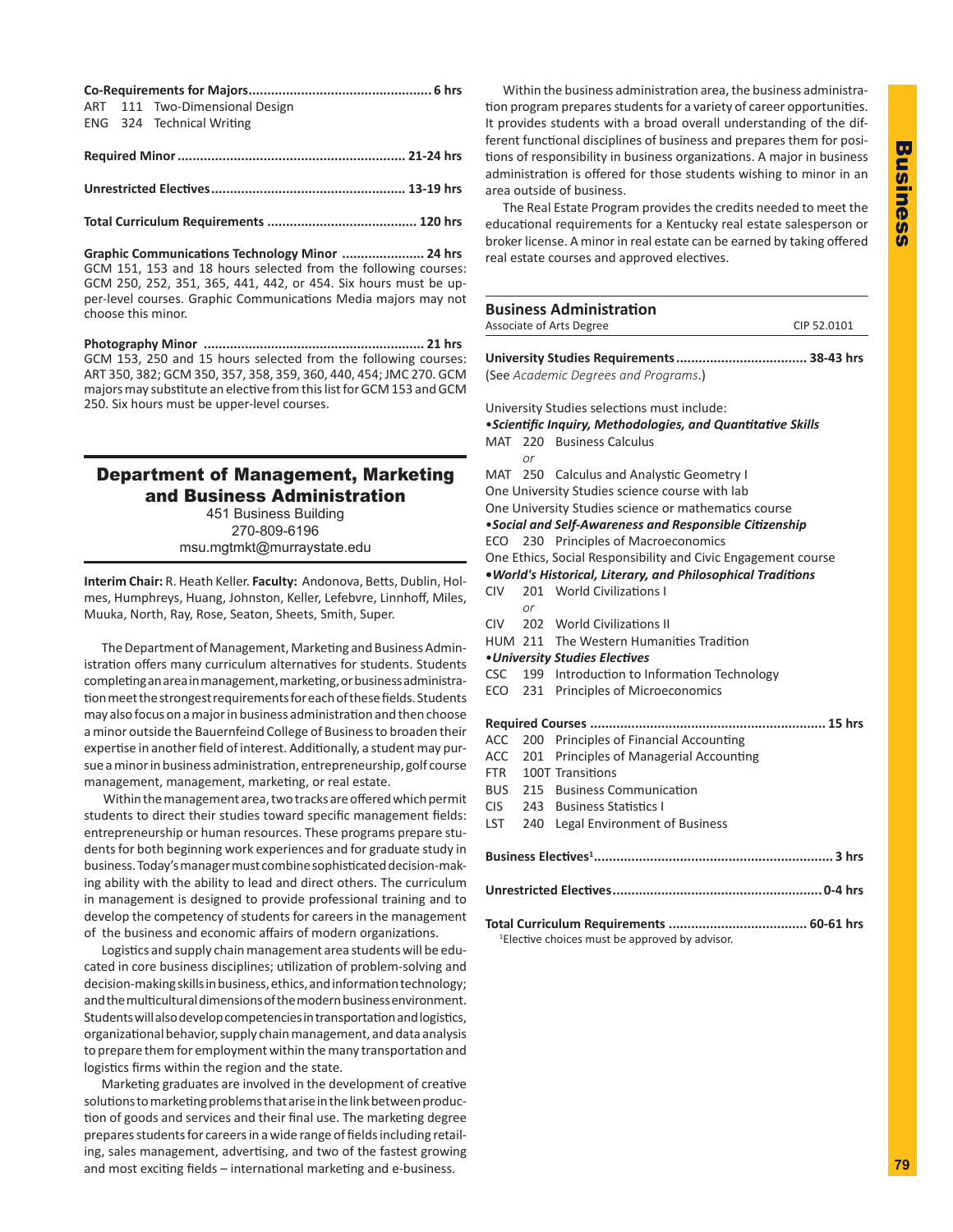|  | ART 111 Two-Dimensional Design |
|--|--------------------------------|
|  | ENG 324 Technical Writing      |

| כ ווו <del>ד</del> ∠ד בווויסט וווועד המינוסות המינוסות המינוסות המינוסות המינוסות המינוסות ה |  |
|----------------------------------------------------------------------------------------------|--|
|                                                                                              |  |
|                                                                                              |  |

**Required Minor............................................................. 21-24 hrs**

**Total Curriculum Requirements ........................................ 120 hrs**

**Graphic Communications Technology Minor ...................... 24 hrs** GCM 151, 153 and 18 hours selected from the following courses: GCM 250, 252, 351, 365, 441, 442, or 454. Six hours must be upper-level courses. Graphic Communications Media majors may not choose this minor.

**Photography Minor ........................................................... 21 hrs** GCM 153, 250 and 15 hours selected from the following courses: ART 350, 382; GCM 350, 357, 358, 359, 360, 440, 454; JMC 270. GCM majors may substitute an elective from this list for GCM 153 and GCM 250. Six hours must be upper-level courses.

## Department of Management, Marketing and Business Administration

451 Business Building 270-809-6196 msu.mgtmkt@murraystate.edu

**Interim Chair:** R. Heath Keller. **Faculty:** Andonova, Betts, Dublin, Holmes, Humphreys, Huang, Johnston, Keller, Lefebvre, Linnhoff, Miles, Muuka, North, Ray, Rose, Seaton, Sheets, Smith, Super.

The Department of Management, Marketing and Business Administration offers many curriculum alternatives for students. Students completing an area in management, marketing, or business administration meet the strongest requirements for each of these fields. Students may also focus on a major in business administration and then choose a minor outside the Bauernfeind College of Business to broaden their expertise in another field of interest. Additionally, a student may pursue a minor in business administration, entrepreneurship, golf course management, management, marketing, or real estate.

 Within the management area, two tracks are offered which permit students to direct their studies toward specific management fields: entrepreneurship or human resources. These programs prepare students for both beginning work experiences and for graduate study in business. Today's manager must combine sophisticated decision-making ability with the ability to lead and direct others. The curriculum in management is designed to provide professional training and to develop the competency of students for careers in the management of the business and economic affairs of modern organizations.

Logistics and supply chain management area students will be educated in core business disciplines; utilization of problem-solving and decision-making skills in business, ethics, and information technology; and the multicultural dimensions of the modern business environment. Students will also develop competencies in transportation and logistics, organizational behavior, supply chain management, and data analysis to prepare them for employment within the many transportation and logistics firms within the region and the state.

Marketing graduates are involved in the development of creative solutions to marketing problems that arise in the link between production of goods and services and their final use. The marketing degree prepares students for careers in a wide range of fields including retailing, sales management, advertising, and two of the fastest growing and most exciting fields – international marketing and e-business.

Within the business administration area, the business administration program prepares students for a variety of career opportunities. It provides students with a broad overall understanding of the different functional disciplines of business and prepares them for positions of responsibility in business organizations. A major in business administration is offered for those students wishing to minor in an area outside of business.

The Real Estate Program provides the credits needed to meet the educational requirements for a Kentucky real estate salesperson or broker license. A minor in real estate can be earned by taking offered real estate courses and approved electives.

|            |     | <b>Business Administration</b>                                |             |
|------------|-----|---------------------------------------------------------------|-------------|
|            |     | Associate of Arts Degree                                      | CIP 52.0101 |
|            |     |                                                               |             |
|            |     | (See Academic Degrees and Programs.)                          |             |
|            |     |                                                               |             |
|            |     | University Studies selections must include:                   |             |
|            |     | • Scientific Inquiry, Methodologies, and Quantitative Skills  |             |
| MAT        | 220 | <b>Business Calculus</b>                                      |             |
|            | or  |                                                               |             |
|            |     | MAT 250 Calculus and Analystic Geometry I                     |             |
|            |     | One University Studies science course with lab                |             |
|            |     | One University Studies science or mathematics course          |             |
|            |     | . Social and Self-Awareness and Responsible Citizenship       |             |
| ECO        |     | 230 Principles of Macroeconomics                              |             |
|            |     | One Ethics, Social Responsibility and Civic Engagement course |             |
|            |     | . World's Historical, Literary, and Philosophical Traditions  |             |
| <b>CIV</b> |     | 201 World Civilizations I                                     |             |
|            | or  |                                                               |             |
|            |     | CIV 202 World Civilizations II                                |             |
|            |     | HUM 211 The Western Humanities Tradition                      |             |
|            |     | <b>.</b> University Studies Electives                         |             |
| <b>CSC</b> | 199 | Introduction to Information Technology                        |             |
| ECO        | 231 | Principles of Microeconomics                                  |             |
|            |     |                                                               |             |
| <b>ACC</b> | 200 | Principles of Financial Accounting                            |             |
| <b>ACC</b> | 201 | Principles of Managerial Accounting                           |             |
| <b>FTR</b> |     | 100T Transitions                                              |             |
| <b>BUS</b> | 215 | <b>Business Communication</b>                                 |             |
| <b>CIS</b> | 243 | <b>Business Statistics I</b>                                  |             |
| LST        | 240 | Legal Environment of Business                                 |             |
|            |     |                                                               |             |
|            |     |                                                               |             |
|            |     |                                                               |             |
|            |     | <sup>1</sup> Elective choices must be approved by advisor.    |             |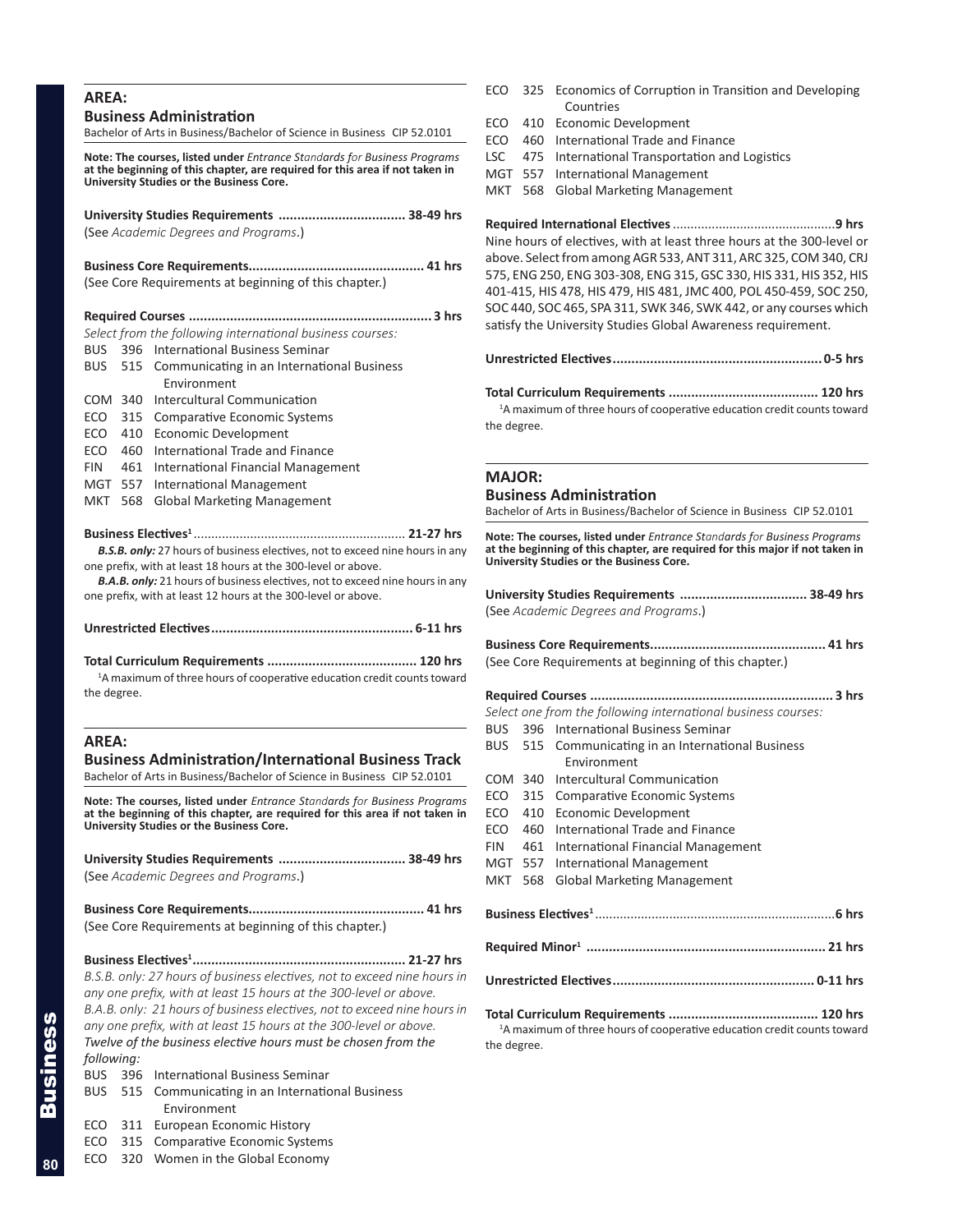## **AREA:**

## **Business Administration**

Bachelor of Arts in Business/Bachelor of Science in Business CIP 52.0101

**Note: The courses, listed under** *Entrance Standards for Business Programs* **at the beginning of this chapter, are required for this area if not taken in University Studies or the Business Core.**

| University Studies Requirements  38-49 hrs |  |
|--------------------------------------------|--|
| (See Academic Degrees and Programs.)       |  |
|                                            |  |

(See Core Requirements at beginning of this chapter.)

|     | 3 hrs                                                     |
|-----|-----------------------------------------------------------|
|     | Select from the following international business courses: |
|     | BUS 396 International Business Seminar                    |
|     | BUS 515 Communicating in an International Business        |
|     | Environment                                               |
|     | COM 340 Intercultural Communication                       |
|     | ECO 315 Comparative Economic Systems                      |
|     | ECO 410 Economic Development                              |
| ECO | 460 International Trade and Finance                       |
| FIN | 461 International Financial Management                    |
|     | MGT 557 International Management                          |
| MKT | 568 Global Marketing Management                           |

#### **Business Electives<sup>1</sup>** ............................................................ **21-27 hrs**

*B.S.B. only:* 27 hours of business electives, not to exceed nine hours in any one prefix, with at least 18 hours at the 300-level or above.

*B.A.B. only:* 21 hours of business electives, not to exceed nine hours in any one prefix, with at least 12 hours at the 300-level or above.

|--|

#### **Total Curriculum Requirements ........................................ 120 hrs**

<sup>1</sup>A maximum of three hours of cooperative education credit counts toward the degree.

## **AREA:**

## **Business Administration/International Business Track**

Bachelor of Arts in Business/Bachelor of Science in Business CIP 52.0101

**Note: The courses, listed under** *Entrance Standards for Business Programs* **at the beginning of this chapter, are required for this area if not taken in University Studies or the Business Core.**

| (See Academic Degrees and Programs.) |  |
|--------------------------------------|--|

| (See Core Requirements at beginning of this chapter.) |  |
|-------------------------------------------------------|--|

**Business Electives1......................................................... 21-27 hrs** *B.S.B. only: 27 hours of business electives, not to exceed nine hours in any one prefix, with at least 15 hours at the 300-level or above. B.A.B. only: 21 hours of business electives, not to exceed nine hours in any one prefix, with at least 15 hours at the 300-level or above. Twelve of the business elective hours must be chosen from the following:*

|  | <b>BUS</b> 396 International Business Seminar |  |  |
|--|-----------------------------------------------|--|--|
|--|-----------------------------------------------|--|--|

- BUS 515 Communicating in an International Business Environment
- ECO 311 European Economic History
- ECO 315 Comparative Economic Systems
- ECO 320 Women in the Global Economy
- ECO 325 Economics of Corruption in Transition and Developing Countries
- ECO 410 Economic Development
- ECO 460 International Trade and Finance
- LSC 475 International Transportation and Logistics
- MGT 557 International Management
- MKT 568 Global Marketing Management

**Required International Electives**..............................................**9 hrs** Nine hours of electives, with at least three hours at the 300-level or above. Select from among AGR 533, ANT 311, ARC 325, COM 340, CRJ 575, ENG 250, ENG 303-308, ENG 315, GSC 330, HIS 331, HIS 352, HIS 401-415, HIS 478, HIS 479, HIS 481, JMC 400, POL 450-459, SOC 250, SOC 440, SOC 465, SPA 311, SWK 346, SWK 442, or any courses which satisfy the University Studies Global Awareness requirement.

**Unrestricted Electives........................................................ 0-5 hrs** 

**Total Curriculum Requirements ........................................ 120 hrs** <sup>1</sup>A maximum of three hours of cooperative education credit counts toward

the degree.

## **MAJOR:**

#### **Business Administration**

Bachelor of Arts in Business/Bachelor of Science in Business CIP 52.0101

**Note: The courses, listed under** *Entrance Standards for Business Programs* **at the beginning of this chapter, are required for this major if not taken in University Studies or the Business Core.**

| University Studies Requirements  38-49 hrs |  |
|--------------------------------------------|--|
| (See Academic Degrees and Programs.)       |  |

| (See Core Requirements at beginning of this chapter.) |  |
|-------------------------------------------------------|--|

| .3 hrs                                                        |     |                                                    |  |  |
|---------------------------------------------------------------|-----|----------------------------------------------------|--|--|
| Select one from the following international business courses: |     |                                                    |  |  |
| BUS                                                           |     | 396 International Business Seminar                 |  |  |
|                                                               |     | BUS 515 Communicating in an International Business |  |  |
|                                                               |     | Environment                                        |  |  |
|                                                               |     | COM 340 Intercultural Communication                |  |  |
|                                                               |     | ECO 315 Comparative Economic Systems               |  |  |
| ECO                                                           | 410 | <b>Economic Development</b>                        |  |  |
| ECO.                                                          | 460 | International Trade and Finance                    |  |  |
| <b>FIN</b>                                                    |     | 461 International Financial Management             |  |  |
|                                                               |     | MGT 557 International Management                   |  |  |
| <b>MKT</b>                                                    | 568 | <b>Global Marketing Management</b>                 |  |  |
|                                                               |     |                                                    |  |  |
| 6 hrs                                                         |     |                                                    |  |  |

- **Required Minor<sup>1</sup> ................................................................ 21 hrs**
- **Unrestricted Electives...................................................... 0-11 hrs**

**Total Curriculum Requirements ........................................ 120 hrs** <sup>1</sup>A maximum of three hours of cooperative education credit counts toward the degree.

Business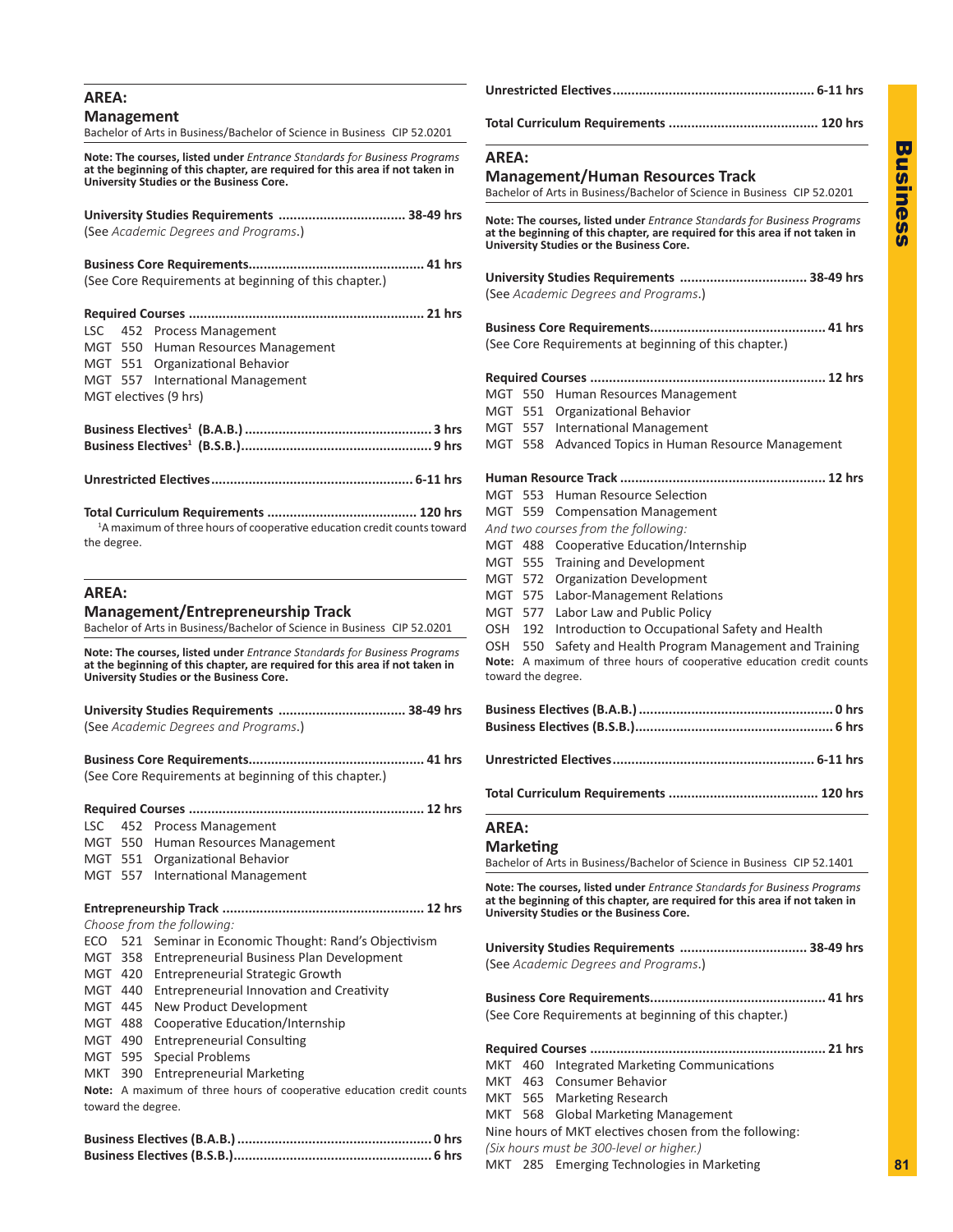| AREA:                                                                                                                                                                                                       |                                                                                                                                                                                                      |  |  |
|-------------------------------------------------------------------------------------------------------------------------------------------------------------------------------------------------------------|------------------------------------------------------------------------------------------------------------------------------------------------------------------------------------------------------|--|--|
| <b>Management</b><br>Bachelor of Arts in Business/Bachelor of Science in Business CIP 52.0201                                                                                                               | <b>AREA:</b><br><b>Management/Human Resources Track</b><br>Bachelor of Arts in Business/Bachelor of Science in Business CIP 52.0201                                                                  |  |  |
| <b>Note: The courses, listed under</b> Entrance Standards for Business Programs<br>at the beginning of this chapter, are required for this area if not taken in<br>University Studies or the Business Core. |                                                                                                                                                                                                      |  |  |
| University Studies Requirements  38-49 hrs<br>(See Academic Degrees and Programs.)                                                                                                                          | Note: The courses, listed under Entrance Standards for Business Programs<br>at the beginning of this chapter, are required for this area if not taken in<br>University Studies or the Business Core. |  |  |
|                                                                                                                                                                                                             |                                                                                                                                                                                                      |  |  |
| (See Core Requirements at beginning of this chapter.)                                                                                                                                                       | University Studies Requirements  38-49 hrs<br>(See Academic Degrees and Programs.)                                                                                                                   |  |  |
|                                                                                                                                                                                                             |                                                                                                                                                                                                      |  |  |
| 452 Process Management<br>LSC<br>MGT 550 Human Resources Management<br>MGT 551 Organizational Behavior                                                                                                      | (See Core Requirements at beginning of this chapter.)                                                                                                                                                |  |  |
| MGT 557 International Management                                                                                                                                                                            |                                                                                                                                                                                                      |  |  |
| MGT electives (9 hrs)                                                                                                                                                                                       | MGT 550 Human Resources Management                                                                                                                                                                   |  |  |
|                                                                                                                                                                                                             | MGT 551 Organizational Behavior                                                                                                                                                                      |  |  |
|                                                                                                                                                                                                             | MGT 557 International Management<br>MGT 558 Advanced Topics in Human Resource Management                                                                                                             |  |  |
|                                                                                                                                                                                                             |                                                                                                                                                                                                      |  |  |
|                                                                                                                                                                                                             |                                                                                                                                                                                                      |  |  |
|                                                                                                                                                                                                             | MGT 553 Human Resource Selection                                                                                                                                                                     |  |  |
|                                                                                                                                                                                                             | MGT 559 Compensation Management                                                                                                                                                                      |  |  |
| <sup>1</sup> A maximum of three hours of cooperative education credit counts toward                                                                                                                         | And two courses from the following:                                                                                                                                                                  |  |  |
| the degree.                                                                                                                                                                                                 | MGT 488 Cooperative Education/Internship                                                                                                                                                             |  |  |
|                                                                                                                                                                                                             | MGT 555 Training and Development                                                                                                                                                                     |  |  |
| AREA:                                                                                                                                                                                                       | MGT 572 Organization Development                                                                                                                                                                     |  |  |
| <b>Management/Entrepreneurship Track</b>                                                                                                                                                                    | MGT 575 Labor-Management Relations<br>MGT 577 Labor Law and Public Policy                                                                                                                            |  |  |
| Bachelor of Arts in Business/Bachelor of Science in Business CIP 52.0201                                                                                                                                    | OSH 192 Introduction to Occupational Safety and Health                                                                                                                                               |  |  |
| Note: The courses, listed under Entrance Standards for Business Programs<br>at the beginning of this chapter, are required for this area if not taken in<br>University Studies or the Business Core.        | OSH 550 Safety and Health Program Management and Training<br>Note: A maximum of three hours of cooperative education credit counts<br>toward the degree.                                             |  |  |
| University Studies Requirements  38-49 hrs                                                                                                                                                                  |                                                                                                                                                                                                      |  |  |
| (See Academic Degrees and Programs.)                                                                                                                                                                        |                                                                                                                                                                                                      |  |  |
|                                                                                                                                                                                                             |                                                                                                                                                                                                      |  |  |
| (See Core Requirements at beginning of this chapter.)                                                                                                                                                       |                                                                                                                                                                                                      |  |  |
|                                                                                                                                                                                                             |                                                                                                                                                                                                      |  |  |
| 452 Process Management<br>LSC<br>MGT 550 Human Resources Management                                                                                                                                         | <b>AREA:</b>                                                                                                                                                                                         |  |  |
| MGT 551 Organizational Behavior                                                                                                                                                                             | <b>Marketing</b><br>Bachelor of Arts in Business/Bachelor of Science in Business CIP 52.1401                                                                                                         |  |  |
| MGT 557 International Management                                                                                                                                                                            |                                                                                                                                                                                                      |  |  |
|                                                                                                                                                                                                             | Note: The courses, listed under Entrance Standards for Business Programs                                                                                                                             |  |  |
|                                                                                                                                                                                                             | at the beginning of this chapter, are required for this area if not taken in<br>University Studies or the Business Core.                                                                             |  |  |
| Choose from the following:                                                                                                                                                                                  |                                                                                                                                                                                                      |  |  |
| ECO 521 Seminar in Economic Thought: Rand's Objectivism                                                                                                                                                     | University Studies Requirements  38-49 hrs                                                                                                                                                           |  |  |
| MGT 358 Entrepreneurial Business Plan Development<br>MGT 420 Entrepreneurial Strategic Growth                                                                                                               | (See Academic Degrees and Programs.)                                                                                                                                                                 |  |  |
| MGT 440 Entrepreneurial Innovation and Creativity                                                                                                                                                           |                                                                                                                                                                                                      |  |  |
| MGT 445 New Product Development                                                                                                                                                                             |                                                                                                                                                                                                      |  |  |
| MGT 488 Cooperative Education/Internship                                                                                                                                                                    | (See Core Requirements at beginning of this chapter.)                                                                                                                                                |  |  |
| MGT 490 Entrepreneurial Consulting                                                                                                                                                                          |                                                                                                                                                                                                      |  |  |
| MGT 595 Special Problems                                                                                                                                                                                    | MKT 460 Integrated Marketing Communications                                                                                                                                                          |  |  |
| MKT 390 Entrepreneurial Marketing                                                                                                                                                                           | MKT 463 Consumer Behavior                                                                                                                                                                            |  |  |
| Note: A maximum of three hours of cooperative education credit counts                                                                                                                                       | MKT 565 Marketing Research                                                                                                                                                                           |  |  |
| toward the degree.                                                                                                                                                                                          | MKT 568 Global Marketing Management                                                                                                                                                                  |  |  |
|                                                                                                                                                                                                             | Nine hours of MKT electives chosen from the following:                                                                                                                                               |  |  |
|                                                                                                                                                                                                             | (Six hours must be 300-level or higher.)                                                                                                                                                             |  |  |
|                                                                                                                                                                                                             | MKT 285 Emerging Technologies in Marketing                                                                                                                                                           |  |  |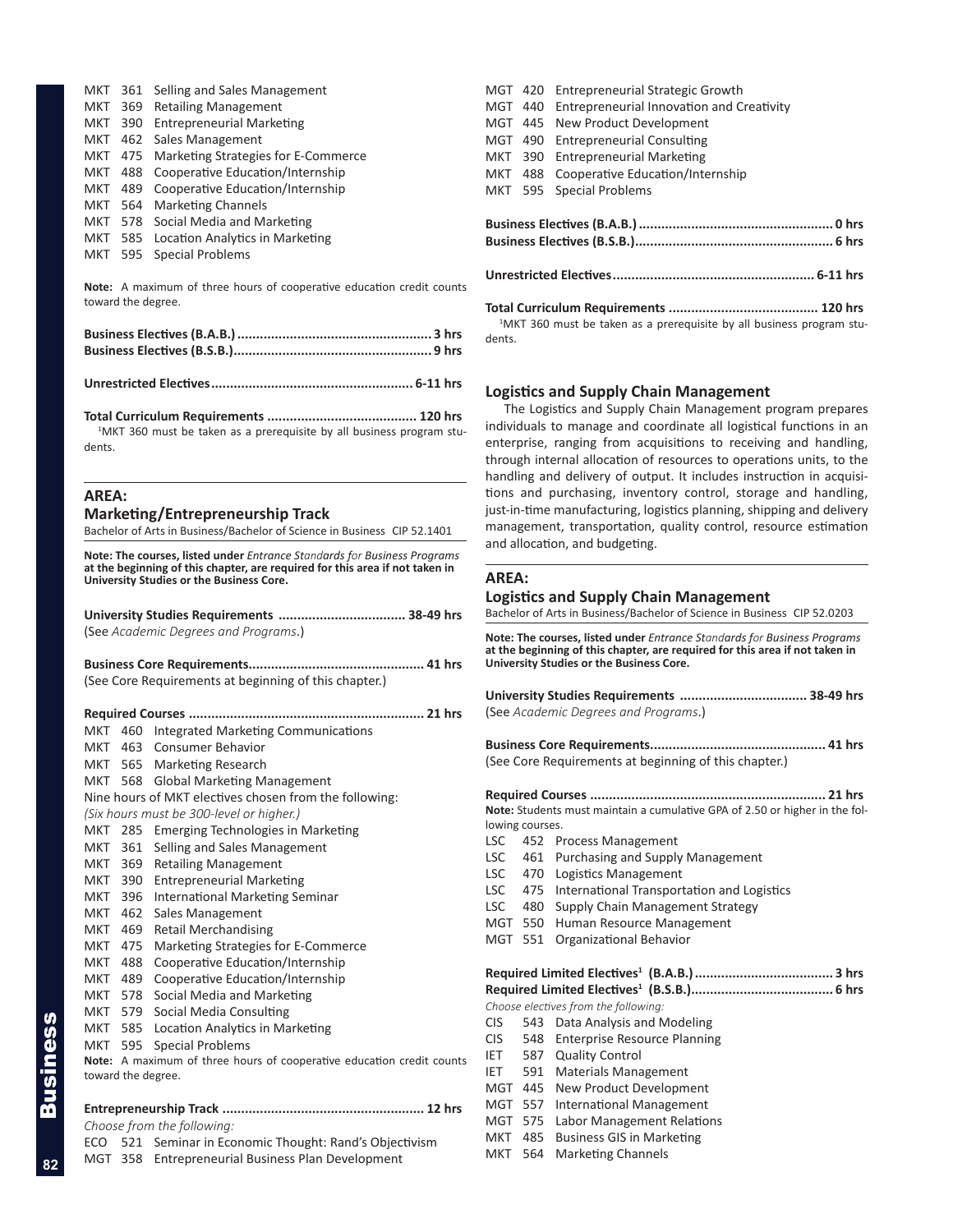| MKT 361    |     | Selling and Sales Management        |
|------------|-----|-------------------------------------|
| <b>MKT</b> | 369 | <b>Retailing Management</b>         |
| <b>MKT</b> | 390 | <b>Entrepreneurial Marketing</b>    |
|            |     | MKT 462 Sales Management            |
| MKT 475    |     | Marketing Strategies for E-Commerce |
| MKT        | 488 | Cooperative Education/Internship    |
| MKT        | 489 | Cooperative Education/Internship    |
| MKT 564    |     | <b>Marketing Channels</b>           |
|            |     | MKT 578 Social Media and Marketing  |
| MKT 585    |     | Location Analytics in Marketing     |
|            |     | MKT 595 Special Problems            |

**Note:** A maximum of three hours of cooperative education credit counts toward the degree.

**Unrestricted Electives...................................................... 6-11 hrs** 

**Total Curriculum Requirements ........................................ 120 hrs** <sup>1</sup>MKT 360 must be taken as a prerequisite by all business program students.

## **AREA:**

**Marketing/Entrepreneurship Track**

Bachelor of Arts in Business/Bachelor of Science in Business CIP 52.1401

**Note: The courses, listed under** *Entrance Standards for Business Programs* **at the beginning of this chapter, are required for this area if not taken in University Studies or the Business Core.**

| (See Academic Degrees and Programs.) |  |
|--------------------------------------|--|

**Business Core Requirements............................................... 41 hrs** (See Core Requirements at beginning of this chapter.)

|                                                                       | MKT                        | 460 | <b>Integrated Marketing Communications</b>             |  |
|-----------------------------------------------------------------------|----------------------------|-----|--------------------------------------------------------|--|
|                                                                       |                            |     | MKT 463 Consumer Behavior                              |  |
|                                                                       |                            |     | MKT 565 Marketing Research                             |  |
|                                                                       |                            |     | MKT 568 Global Marketing Management                    |  |
|                                                                       |                            |     | Nine hours of MKT electives chosen from the following: |  |
|                                                                       |                            |     | (Six hours must be 300-level or higher.)               |  |
|                                                                       | MKT 285                    |     | Emerging Technologies in Marketing                     |  |
|                                                                       | MKT 361                    |     | Selling and Sales Management                           |  |
|                                                                       | MKT 369                    |     | <b>Retailing Management</b>                            |  |
|                                                                       | MKT                        | 390 | <b>Entrepreneurial Marketing</b>                       |  |
|                                                                       | MKT 396                    |     | International Marketing Seminar                        |  |
|                                                                       | MKT                        | 462 | Sales Management                                       |  |
|                                                                       | MKT                        | 469 | <b>Retail Merchandising</b>                            |  |
|                                                                       | MKT                        | 475 | Marketing Strategies for E-Commerce                    |  |
|                                                                       | MKT 488                    |     | Cooperative Education/Internship                       |  |
|                                                                       | MKT                        | 489 | Cooperative Education/Internship                       |  |
|                                                                       | MKT 578                    |     | Social Media and Marketing                             |  |
|                                                                       | MKT 579                    |     | Social Media Consulting                                |  |
|                                                                       |                            |     | MKT 585 Location Analytics in Marketing                |  |
|                                                                       | MKT 595                    |     | <b>Special Problems</b>                                |  |
| Note: A maximum of three hours of cooperative education credit counts |                            |     |                                                        |  |
| toward the degree.                                                    |                            |     |                                                        |  |
|                                                                       |                            |     |                                                        |  |
|                                                                       |                            |     |                                                        |  |
|                                                                       | Choose from the following: |     |                                                        |  |

ECO 521 Seminar in Economic Thought: Rand's Objectivism

MGT 358 Entrepreneurial Business Plan Development

|  |  | MGT 420 Entrepreneurial Strategic Growth          |  |  |
|--|--|---------------------------------------------------|--|--|
|  |  | MGT 440 Entrepreneurial Innovation and Creativity |  |  |
|  |  | MGT 445 New Product Development                   |  |  |
|  |  | MGT 490 Entrepreneurial Consulting                |  |  |
|  |  | MKT 390 Entrepreneurial Marketing                 |  |  |
|  |  | MKT 488 Cooperative Education/Internship          |  |  |
|  |  | MKT 595 Special Problems                          |  |  |
|  |  |                                                   |  |  |
|  |  |                                                   |  |  |

**Total Curriculum Requirements ........................................ 120 hrs** <sup>1</sup>MKT 360 must be taken as a prerequisite by all business program students.

## **Logistics and Supply Chain Management**

The Logistics and Supply Chain Management program prepares individuals to manage and coordinate all logistical functions in an enterprise, ranging from acquisitions to receiving and handling, through internal allocation of resources to operations units, to the handling and delivery of output. It includes instruction in acquisitions and purchasing, inventory control, storage and handling, just-in-time manufacturing, logistics planning, shipping and delivery management, transportation, quality control, resource estimation and allocation, and budgeting.

#### **AREA:**

## **Logistics and Supply Chain Management**

Bachelor of Arts in Business/Bachelor of Science in Business CIP 52.0203

**Note: The courses, listed under** *Entrance Standards for Business Programs* **at the beginning of this chapter, are required for this area if not taken in University Studies or the Business Core.**

| University Studies Requirements  38-49 hrs |  |
|--------------------------------------------|--|
| (See Academic Degrees and Programs.)       |  |

**Business Core Requirements............................................... 41 hrs** (See Core Requirements at beginning of this chapter.)

**Required Courses ............................................................... 21 hrs Note:** Students must maintain a cumulative GPA of 2.50 or higher in the following courses.

- LSC 452 Process Management
- LSC 461 Purchasing and Supply Management
- LSC 470 Logistics Management
- LSC 475 International Transportation and Logistics
- LSC 480 Supply Chain Management Strategy
- MGT 550 Human Resource Management
- MGT 551 Organizational Behavior

**Required Limited Electives<sup>1</sup> (B.A.B.)..................................... 3 hrs Required Limited Electives<sup>1</sup> (B.S.B.)...................................... 6 hrs**

*Choose electives from the following:*

- CIS 543 Data Analysis and Modeling
- CIS 548 Enterprise Resource Planning
- IET 587 Quality Control
- IET 591 Materials Management
- MGT 445 New Product Development
- MGT 557 International Management MGT 575 Labor Management Relations
- MKT 485 Business GIS in Marketing
- MKT 564 Marketing Channels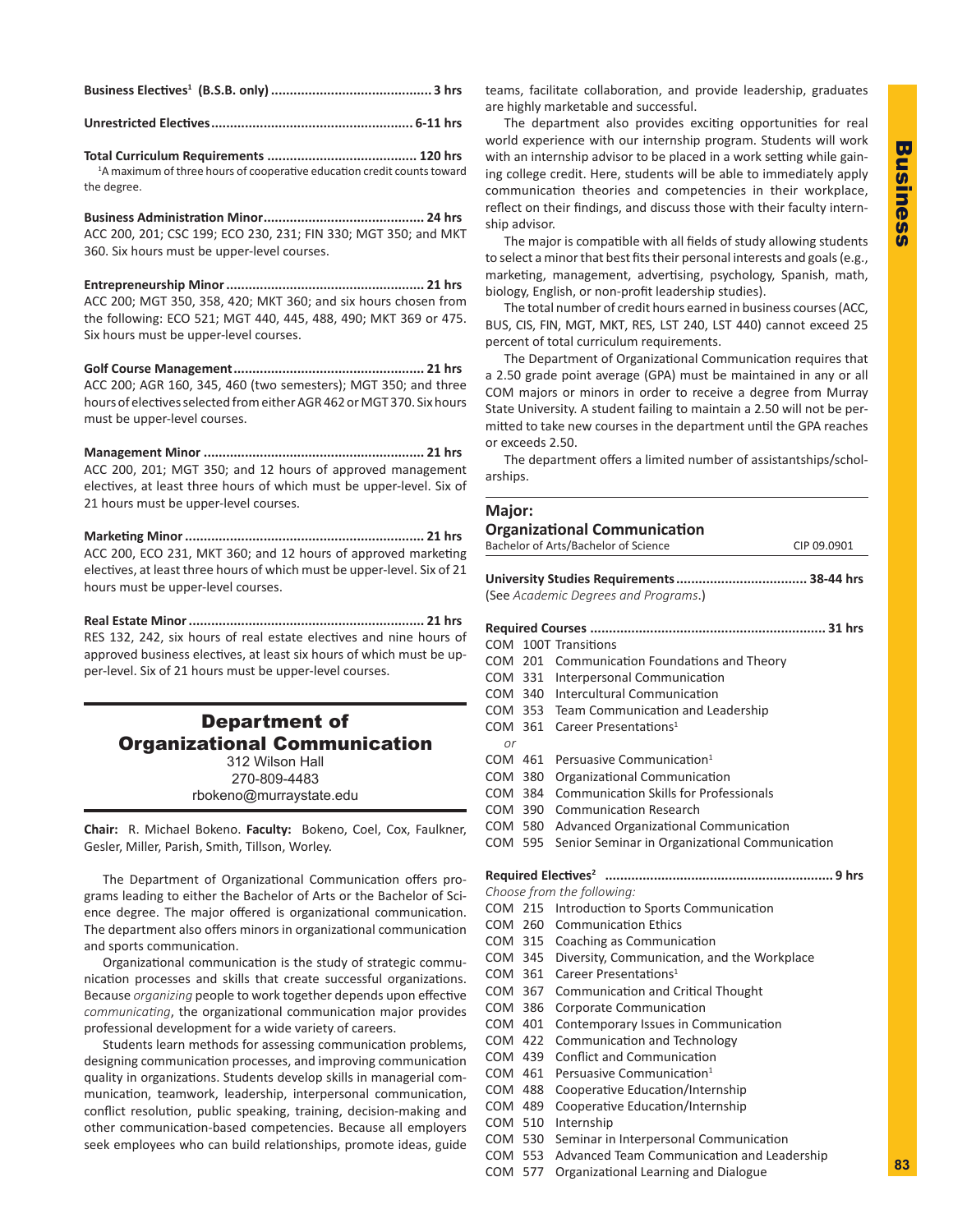**Business Electives<sup>1</sup> (B.S.B. only)........................................... 3 hrs**

**Unrestricted Electives...................................................... 6-11 hrs** 

**Total Curriculum Requirements ........................................ 120 hrs** <sup>1</sup>A maximum of three hours of cooperative education credit counts toward the degree.

**Business Administration Minor........................................... 24 hrs** ACC 200, 201; CSC 199; ECO 230, 231; FIN 330; MGT 350; and MKT 360. Six hours must be upper-level courses.

**Entrepreneurship Minor..................................................... 21 hrs** ACC 200; MGT 350, 358, 420; MKT 360; and six hours chosen from the following: ECO 521; MGT 440, 445, 488, 490; MKT 369 or 475. Six hours must be upper-level courses.

**Golf Course Management................................................... 21 hrs** ACC 200; AGR 160, 345, 460 (two semesters); MGT 350; and three hours of electives selected from either AGR 462 or MGT 370. Six hours must be upper-level courses.

**Management Minor ........................................................... 21 hrs** ACC 200, 201; MGT 350; and 12 hours of approved management electives, at least three hours of which must be upper-level. Six of 21 hours must be upper-level courses.

**Marketing Minor................................................................ 21 hrs** ACC 200, ECO 231, MKT 360; and 12 hours of approved marketing electives, at least three hours of which must be upper-level. Six of hours must be upper-level courses.

**Real Estate Minor............................................................... 21 hrs** RES 132, 242, six hours of real estate electives and nine hours approved business electives, at least six hours of which must be u per-level. Six of 21 hours must be upper-level courses.

## Department of Organizational Communication 312 Wilson Hall 270-809-4483 rbokeno@murraystate.edu

**Chair:** R. Michael Bokeno. **Faculty:** Bokeno, Coel, Cox, Faulkner, Gesler, Miller, Parish, Smith, Tillson, Worley.

The Department of Organizational Communication offers programs leading to either the Bachelor of Arts or the Bachelor of So ence degree. The major offered is organizational communicatio The department also offers minors in organizational communication and sports communication.

Organizational communication is the study of strategic comm nication processes and skills that create successful organization Because *organizing* people to work together depends upon effectiv *communicating*, the organizational communication major provides professional development for a wide variety of careers.

Students learn methods for assessing communication problem designing communication processes, and improving communication quality in organizations. Students develop skills in managerial communication, teamwork, leadership, interpersonal communicatio conflict resolution, public speaking, training, decision-making an other communication-based competencies. Because all employe seek employees who can build relationships, promote ideas, guid

teams, facilitate collaboration, and provide leadership, graduates are highly marketable and successful.

The department also provides exciting opportunities for real world experience with our internship program. Students will work with an internship advisor to be placed in a work setting while gaining college credit. Here, students will be able to immediately apply communication theories and competencies in their workplace, reflect on their findings, and discuss those with their faculty internship advisor.

The major is compatible with all fields of study allowing students to select a minor that best fits their personal interests and goals (e.g., marketing, management, advertising, psychology, Spanish, math, biology, English, or non-profit leadership studies).

The total number of credit hours earned in business courses (ACC, BUS, CIS, FIN, MGT, MKT, RES, LST 240, LST 440) cannot exceed 25 percent of total curriculum requirements.

The Department of Organizational Communication requires that a 2.50 grade point average (GPA) must be maintained in any or all COM majors or minors in order to receive a degree from Murray State University. A student failing to maintain a 2.50 will not be permitted to take new courses in the department until the GPA reaches or exceeds 2.50.

The department offers a limited number of assistantships/scholarships.

|            |         | <b>Organizational Communication</b><br>Bachelor of Arts/Bachelor of Science<br>CIP 09.0901 |
|------------|---------|--------------------------------------------------------------------------------------------|
|            |         | (See Academic Degrees and Programs.)                                                       |
|            |         |                                                                                            |
| COM        |         | 100T Transitions                                                                           |
| COM        | 201     | Communication Foundations and Theory                                                       |
|            | COM 331 | Interpersonal Communication                                                                |
|            |         | COM 340 Intercultural Communication                                                        |
|            |         | COM 353 Team Communication and Leadership                                                  |
|            | COM 361 | Career Presentations <sup>1</sup>                                                          |
| or         | COM 461 | Persuasive Communication <sup>1</sup>                                                      |
| <b>COM</b> | 380     | Organizational Communication                                                               |
| COM        | -384    | <b>Communication Skills for Professionals</b>                                              |
|            | COM 390 | <b>Communication Research</b>                                                              |
|            | COM 580 | Advanced Organizational Communication                                                      |
|            | COM 595 | Senior Seminar in Organizational Communication                                             |
|            |         |                                                                                            |
|            |         | Choose from the following:                                                                 |
|            | COM 215 | Introduction to Sports Communication                                                       |
|            | COM 260 | <b>Communication Ethics</b>                                                                |
|            | COM 315 | Coaching as Communication                                                                  |
|            | COM 345 | Diversity, Communication, and the Workplace                                                |
|            | COM 361 | Career Presentations <sup>1</sup>                                                          |
|            | COM 367 | <b>Communication and Critical Thought</b>                                                  |
|            | COM 386 | Corporate Communication                                                                    |
|            | COM 401 | Contemporary Issues in Communication                                                       |
|            | COM 422 | Communication and Technology                                                               |
|            | COM 439 | <b>Conflict and Communication</b>                                                          |
|            | COM 461 | Persuasive Communication <sup>1</sup>                                                      |
|            | COM 488 | Cooperative Education/Internship                                                           |
|            | COM 489 | Cooperative Education/Internship                                                           |
|            | COM 510 | Internship                                                                                 |
| COM.       | 530     | Seminar in Interpersonal Communication                                                     |

COM 553 Advanced Team Communication and Leadership

COM 577 Organizational Learning and Dialogue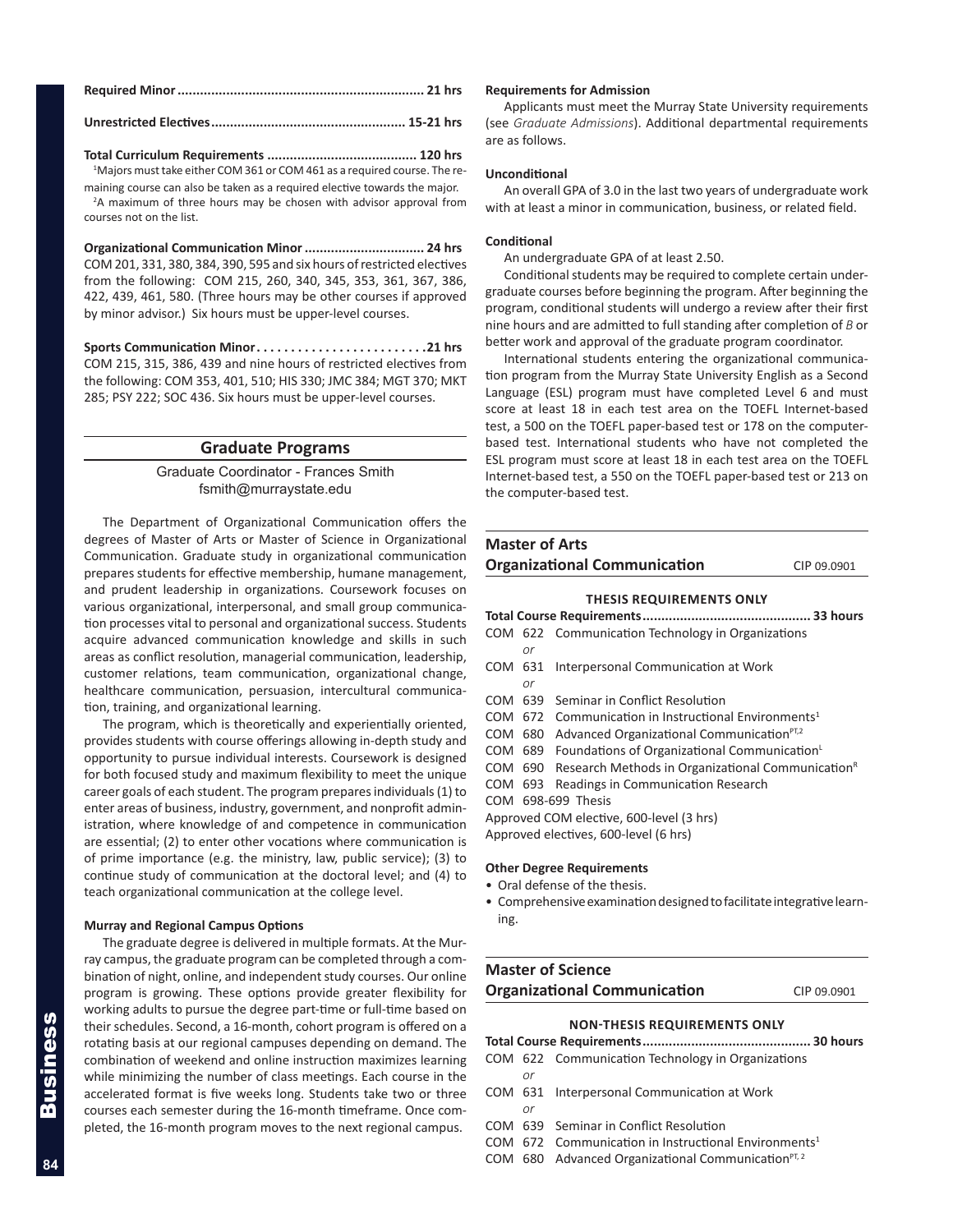**Unrestricted Electives.................................................... 15-21 hrs**

**Total Curriculum Requirements ........................................ 120 hrs** <sup>1</sup>Majors must take either COM 361 or COM 461 as a required course. The remaining course can also be taken as a required elective towards the major.

<sup>2</sup>A maximum of three hours may be chosen with advisor approval from courses not on the list.

**Organizational Communication Minor................................ 24 hrs** COM 201, 331, 380, 384, 390, 595 and six hours of restricted electives from the following: COM 215, 260, 340, 345, 353, 361, 367, 386, 422, 439, 461, 580. (Three hours may be other courses if approved by minor advisor.) Six hours must be upper-level courses.

Sports Communication Minor............................21 hrs COM 215, 315, 386, 439 and nine hours of restricted electives from the following: COM 353, 401, 510; HIS 330; JMC 384; MGT 370; MKT 285; PSY 222; SOC 436. Six hours must be upper-level courses.

## **Graduate Programs**

Graduate Coordinator - Frances Smith fsmith@murraystate.edu

The Department of Organizational Communication offers the degrees of Master of Arts or Master of Science in Organizational Communication. Graduate study in organizational communication prepares students for effective membership, humane management, and prudent leadership in organizations. Coursework focuses on various organizational, interpersonal, and small group communication processes vital to personal and organizational success. Students acquire advanced communication knowledge and skills in such areas as conflict resolution, managerial communication, leadership, customer relations, team communication, organizational change, healthcare communication, persuasion, intercultural communication, training, and organizational learning.

The program, which is theoretically and experientially oriented, provides students with course offerings allowing in-depth study and opportunity to pursue individual interests. Coursework is designed for both focused study and maximum flexibility to meet the unique career goals of each student. The program prepares individuals (1) to enter areas of business, industry, government, and nonprofit administration, where knowledge of and competence in communication are essential; (2) to enter other vocations where communication is of prime importance (e.g. the ministry, law, public service); (3) to continue study of communication at the doctoral level; and (4) to teach organizational communication at the college level.

## **Murray and Regional Campus Options**

The graduate degree is delivered in multiple formats. At the Murray campus, the graduate program can be completed through a combination of night, online, and independent study courses. Our online program is growing. These options provide greater flexibility for working adults to pursue the degree part-time or full-time based on their schedules. Second, a 16-month, cohort program is offered on a rotating basis at our regional campuses depending on demand. The combination of weekend and online instruction maximizes learning while minimizing the number of class meetings. Each course in the accelerated format is five weeks long. Students take two or three courses each semester during the 16-month timeframe. Once completed, the 16-month program moves to the next regional campus.

## **Requirements for Admission**

Applicants must meet the Murray State University requirements (see *Graduate Admissions*). Additional departmental requirements are as follows.

#### **Unconditional**

An overall GPA of 3.0 in the last two years of undergraduate work with at least a minor in communication, business, or related field.

## **Conditional**

An undergraduate GPA of at least 2.50.

Conditional students may be required to complete certain undergraduate courses before beginning the program. After beginning the program, conditional students will undergo a review after their first nine hours and are admitted to full standing after completion of *B* or better work and approval of the graduate program coordinator.

International students entering the organizational communication program from the Murray State University English as a Second Language (ESL) program must have completed Level 6 and must score at least 18 in each test area on the TOEFL Internet-based test, a 500 on the TOEFL paper-based test or 178 on the computerbased test. International students who have not completed the ESL program must score at least 18 in each test area on the TOEFL Internet-based test, a 550 on the TOEFL paper-based test or 213 on the computer-based test.

## **Master of Arts Organizational Communication** CIP 09.0901

#### **THESIS REQUIREMENTS ONLY**

**Total Course Requirements............................................. 33 hours** COM 622 Communication Technology in Organizations *or* COM 631 Interpersonal Communication at Work *or* COM 639 Seminar in Conflict Resolution COM 672 Communication in Instructional Environments<sup>1</sup> COM 680 Advanced Organizational Communication $PT,2$ COM 689 Foundations of Organizational Communication<sup>L</sup> COM 690 Research Methods in Organizational Communication<sup>R</sup> COM 693 Readings in Communication Research COM 698-699 Thesis Approved COM elective, 600-level (3 hrs) Approved electives, 600-level (6 hrs)

#### **Other Degree Requirements**

- Oral defense of the thesis.
- Comprehensive examination designed to facilitate integrative learning.

## **Master of Science Organizational Communication** CIP 09.0901

## **NON-THESIS REQUIREMENTS ONLY**

|    | COM 622 Communication Technology in Organizations                  |  |  |  |
|----|--------------------------------------------------------------------|--|--|--|
| Ωr |                                                                    |  |  |  |
|    | COM 631 Interpersonal Communication at Work                        |  |  |  |
| or |                                                                    |  |  |  |
|    | COM 639 Seminar in Conflict Resolution                             |  |  |  |
|    | COM $672$ Communication in Instructional Environments <sup>1</sup> |  |  |  |
|    |                                                                    |  |  |  |

COM 680 Advanced Organizational Communication $PT, 2$